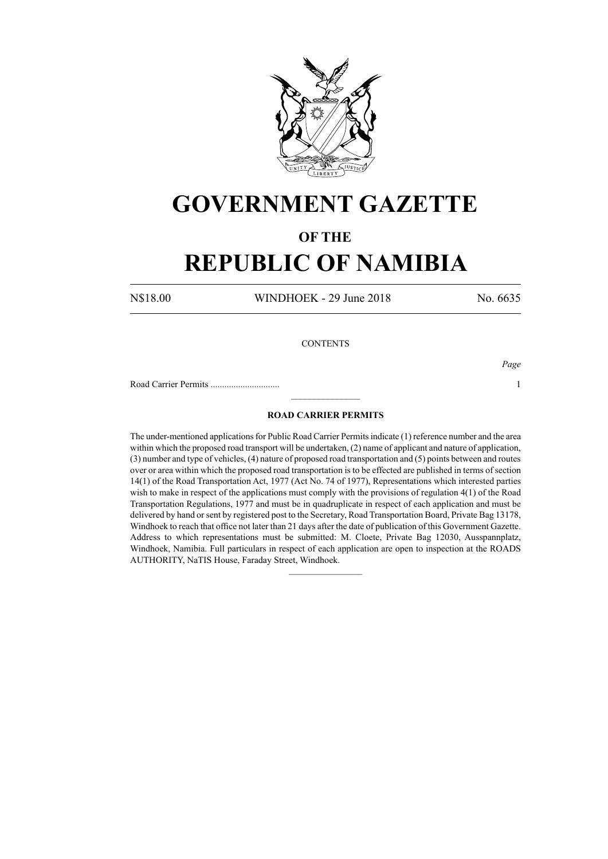

## **GOVERNMENT GAZETTE**

### **OF THE**

# **REPUBLIC OF NAMIBIA**

N\$18.00 WINDHOEK - 29 June 2018 No. 6635

#### **CONTENTS**

*Page*

Road Carrier Permits .............................. 1

### **ROAD CARRIER PERMITS**

 $\frac{1}{2}$ 

The under-mentioned applications for Public Road Carrier Permits indicate (1) reference number and the area within which the proposed road transport will be undertaken, (2) name of applicant and nature of application, (3) number and type of vehicles, (4) nature of proposed road transportation and (5) points between and routes over or area within which the proposed road transportation is to be effected are published in terms of section 14(1) of the Road Transportation Act, 1977 (Act No. 74 of 1977), Representations which interested parties wish to make in respect of the applications must comply with the provisions of regulation 4(1) of the Road Transportation Regulations, 1977 and must be in quadruplicate in respect of each application and must be delivered by hand or sent by registered post to the Secretary, Road Transportation Board, Private Bag 13178, Windhoek to reach that office not later than 21 days after the date of publication of this Government Gazette. Address to which representations must be submitted: M. Cloete, Private Bag 12030, Ausspannplatz, Windhoek, Namibia. Full particulars in respect of each application are open to inspection at the ROADS AUTHORITY, NaTIS House, Faraday Street, Windhoek.

 $\frac{1}{2}$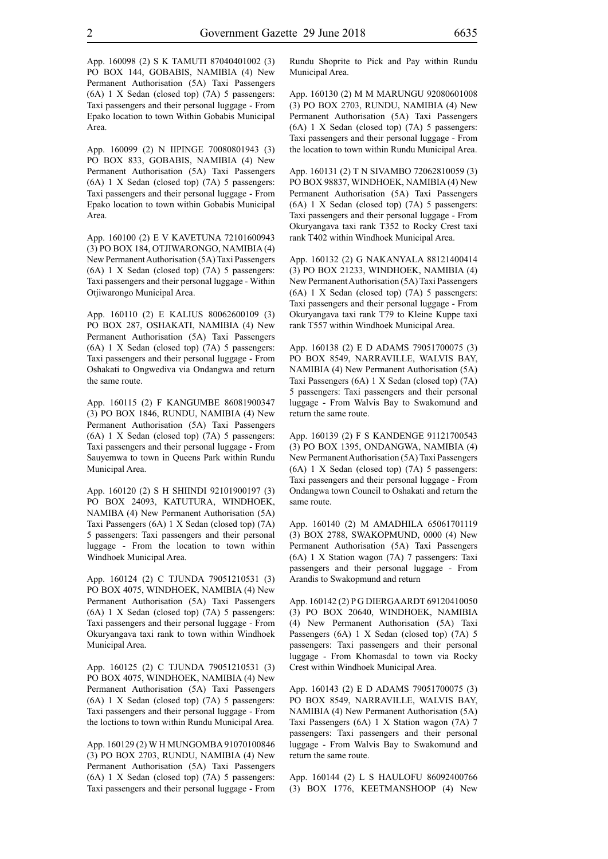App. 160098 (2) S K TAMUTI 87040401002 (3) PO BOX 144, GOBABIS, NAMIBIA (4) New Permanent Authorisation (5A) Taxi Passengers (6A) 1 X Sedan (closed top) (7A) 5 passengers: Taxi passengers and their personal luggage - From Epako location to town Within Gobabis Municipal Area.

App. 160099 (2) N IIPINGE 70080801943 (3) PO BOX 833, GOBABIS, NAMIBIA (4) New Permanent Authorisation (5A) Taxi Passengers (6A) 1 X Sedan (closed top) (7A) 5 passengers: Taxi passengers and their personal luggage - From Epako location to town within Gobabis Municipal Area.

App. 160100 (2) E V KAVETUNA 72101600943 (3) PO BOX 184, OTJIWARONGO, NAMIBIA (4) New Permanent Authorisation (5A) Taxi Passengers (6A) 1 X Sedan (closed top) (7A) 5 passengers: Taxi passengers and their personal luggage - Within Otjiwarongo Municipal Area.

App. 160110 (2) E KALIUS 80062600109 (3) PO BOX 287, OSHAKATI, NAMIBIA (4) New Permanent Authorisation (5A) Taxi Passengers (6A) 1 X Sedan (closed top) (7A) 5 passengers: Taxi passengers and their personal luggage - From Oshakati to Ongwediva via Ondangwa and return the same route.

App. 160115 (2) F KANGUMBE 86081900347 (3) PO BOX 1846, RUNDU, NAMIBIA (4) New Permanent Authorisation (5A) Taxi Passengers (6A) 1 X Sedan (closed top) (7A) 5 passengers: Taxi passengers and their personal luggage - From Sauyemwa to town in Queens Park within Rundu Municipal Area.

App. 160120 (2) S H SHIINDI 92101900197 (3) PO BOX 24093, KATUTURA, WINDHOEK, NAMIBA (4) New Permanent Authorisation (5A) Taxi Passengers (6A) 1 X Sedan (closed top) (7A) 5 passengers: Taxi passengers and their personal luggage - From the location to town within Windhoek Municipal Area.

App. 160124 (2) C TJUNDA 79051210531 (3) PO BOX 4075, WINDHOEK, NAMIBIA (4) New Permanent Authorisation (5A) Taxi Passengers (6A) 1 X Sedan (closed top) (7A) 5 passengers: Taxi passengers and their personal luggage - From Okuryangava taxi rank to town within Windhoek Municipal Area.

App. 160125 (2) C TJUNDA 79051210531 (3) PO BOX 4075, WINDHOEK, NAMIBIA (4) New Permanent Authorisation (5A) Taxi Passengers (6A) 1 X Sedan (closed top) (7A) 5 passengers: Taxi passengers and their personal luggage - From the loctions to town within Rundu Municipal Area.

App. 160129 (2) W H MUNGOMBA 91070100846 (3) PO BOX 2703, RUNDU, NAMIBIA (4) New Permanent Authorisation (5A) Taxi Passengers (6A) 1 X Sedan (closed top) (7A) 5 passengers: Taxi passengers and their personal luggage - From Rundu Shoprite to Pick and Pay within Rundu Municipal Area.

App. 160130 (2) M M MARUNGU 92080601008 (3) PO BOX 2703, RUNDU, NAMIBIA (4) New Permanent Authorisation (5A) Taxi Passengers (6A) 1 X Sedan (closed top) (7A) 5 passengers: Taxi passengers and their personal luggage - From the location to town within Rundu Municipal Area.

App. 160131 (2) T N SIVAMBO 72062810059 (3) PO BOX 98837, WINDHOEK, NAMIBIA (4) New Permanent Authorisation (5A) Taxi Passengers (6A) 1 X Sedan (closed top) (7A) 5 passengers: Taxi passengers and their personal luggage - From Okuryangava taxi rank T352 to Rocky Crest taxi rank T402 within Windhoek Municipal Area.

App. 160132 (2) G NAKANYALA 88121400414 (3) PO BOX 21233, WINDHOEK, NAMIBIA (4) New Permanent Authorisation (5A) Taxi Passengers (6A) 1 X Sedan (closed top) (7A) 5 passengers: Taxi passengers and their personal luggage - From Okuryangava taxi rank T79 to Kleine Kuppe taxi rank T557 within Windhoek Municipal Area.

App. 160138 (2) E D ADAMS 79051700075 (3) PO BOX 8549, NARRAVILLE, WALVIS BAY, NAMIBIA (4) New Permanent Authorisation (5A) Taxi Passengers (6A) 1 X Sedan (closed top) (7A) 5 passengers: Taxi passengers and their personal luggage - From Walvis Bay to Swakomund and return the same route.

App. 160139 (2) F S KANDENGE 91121700543 (3) PO BOX 1395, ONDANGWA, NAMIBIA (4) New Permanent Authorisation (5A) Taxi Passengers (6A) 1 X Sedan (closed top) (7A) 5 passengers: Taxi passengers and their personal luggage - From Ondangwa town Council to Oshakati and return the same route.

App. 160140 (2) M AMADHILA 65061701119 (3) BOX 2788, SWAKOPMUND, 0000 (4) New Permanent Authorisation (5A) Taxi Passengers (6A) 1 X Station wagon (7A) 7 passengers: Taxi passengers and their personal luggage - From Arandis to Swakopmund and return

App. 160142 (2) P G DIERGAARDT 69120410050 (3) PO BOX 20640, WINDHOEK, NAMIBIA (4) New Permanent Authorisation (5A) Taxi Passengers (6A) 1 X Sedan (closed top) (7A) 5 passengers: Taxi passengers and their personal luggage - From Khomasdal to town via Rocky Crest within Windhoek Municipal Area.

App. 160143 (2) E D ADAMS 79051700075 (3) PO BOX 8549, NARRAVILLE, WALVIS BAY, NAMIBIA (4) New Permanent Authorisation (5A) Taxi Passengers (6A) 1 X Station wagon (7A) 7 passengers: Taxi passengers and their personal luggage - From Walvis Bay to Swakomund and return the same route.

App. 160144 (2) L S HAULOFU 86092400766 (3) BOX 1776, KEETMANSHOOP (4) New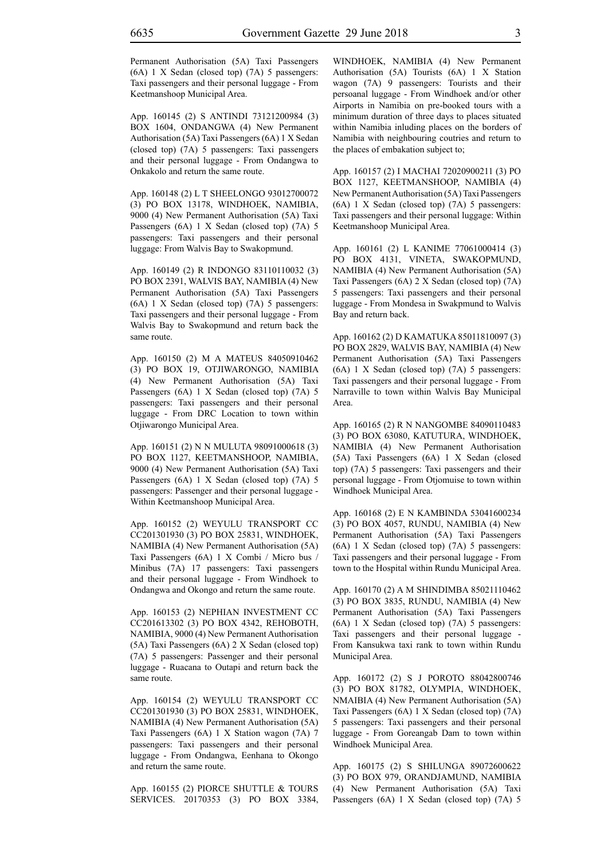Permanent Authorisation (5A) Taxi Passengers (6A) 1 X Sedan (closed top) (7A) 5 passengers: Taxi passengers and their personal luggage - From Keetmanshoop Municipal Area.

App. 160145 (2) S ANTINDI 73121200984 (3) BOX 1604, ONDANGWA (4) New Permanent Authorisation (5A) Taxi Passengers (6A) 1 X Sedan (closed top) (7A) 5 passengers: Taxi passengers and their personal luggage - From Ondangwa to Onkakolo and return the same route.

App. 160148 (2) L T SHEELONGO 93012700072 (3) PO BOX 13178, WINDHOEK, NAMIBIA, 9000 (4) New Permanent Authorisation (5A) Taxi Passengers (6A) 1 X Sedan (closed top) (7A) 5 passengers: Taxi passengers and their personal luggage: From Walvis Bay to Swakopmund.

App. 160149 (2) R INDONGO 83110110032 (3) PO BOX 2391, WALVIS BAY, NAMIBIA (4) New Permanent Authorisation (5A) Taxi Passengers (6A) 1 X Sedan (closed top) (7A) 5 passengers: Taxi passengers and their personal luggage - From Walvis Bay to Swakopmund and return back the same route.

App. 160150 (2) M A MATEUS 84050910462 (3) PO BOX 19, OTJIWARONGO, NAMIBIA (4) New Permanent Authorisation (5A) Taxi Passengers (6A) 1 X Sedan (closed top) (7A) 5 passengers: Taxi passengers and their personal luggage - From DRC Location to town within Otjiwarongo Municipal Area.

App. 160151 (2) N N MULUTA 98091000618 (3) PO BOX 1127, KEETMANSHOOP, NAMIBIA, 9000 (4) New Permanent Authorisation (5A) Taxi Passengers (6A) 1 X Sedan (closed top) (7A) 5 passengers: Passenger and their personal luggage - Within Keetmanshoop Municipal Area.

App. 160152 (2) WEYULU TRANSPORT CC CC201301930 (3) PO BOX 25831, WINDHOEK, NAMIBIA (4) New Permanent Authorisation (5A) Taxi Passengers (6A) 1 X Combi / Micro bus / Minibus (7A) 17 passengers: Taxi passengers and their personal luggage - From Windhoek to Ondangwa and Okongo and return the same route.

App. 160153 (2) NEPHIAN INVESTMENT CC CC201613302 (3) PO BOX 4342, REHOBOTH, NAMIBIA, 9000 (4) New Permanent Authorisation (5A) Taxi Passengers (6A) 2 X Sedan (closed top) (7A) 5 passengers: Passenger and their personal luggage - Ruacana to Outapi and return back the same route.

App. 160154 (2) WEYULU TRANSPORT CC CC201301930 (3) PO BOX 25831, WINDHOEK, NAMIBIA (4) New Permanent Authorisation (5A) Taxi Passengers (6A) 1 X Station wagon (7A) 7 passengers: Taxi passengers and their personal luggage - From Ondangwa, Eenhana to Okongo and return the same route.

App. 160155 (2) PIORCE SHUTTLE & TOURS SERVICES. 20170353 (3) PO BOX 3384, WINDHOEK, NAMIBIA (4) New Permanent Authorisation (5A) Tourists (6A) 1 X Station wagon (7A) 9 passengers: Tourists and their persoanal luggage - From Windhoek and/or other Airports in Namibia on pre-booked tours with a minimum duration of three days to places situated within Namibia inluding places on the borders of Namibia with neighbouring coutries and return to the places of embakation subject to;

App. 160157 (2) I MACHAI 72020900211 (3) PO BOX 1127, KEETMANSHOOP, NAMIBIA (4) New Permanent Authorisation (5A) Taxi Passengers (6A) 1 X Sedan (closed top) (7A) 5 passengers: Taxi passengers and their personal luggage: Within Keetmanshoop Municipal Area.

App. 160161 (2) L KANIME 77061000414 (3) PO BOX 4131, VINETA, SWAKOPMUND, NAMIBIA (4) New Permanent Authorisation (5A) Taxi Passengers (6A) 2 X Sedan (closed top) (7A) 5 passengers: Taxi passengers and their personal luggage - From Mondesa in Swakpmund to Walvis Bay and return back.

App. 160162 (2) D KAMATUKA 85011810097 (3) PO BOX 2829, WALVIS BAY, NAMIBIA (4) New Permanent Authorisation (5A) Taxi Passengers (6A) 1 X Sedan (closed top) (7A) 5 passengers: Taxi passengers and their personal luggage - From Narraville to town within Walvis Bay Municipal Area.

App. 160165 (2) R N NANGOMBE 84090110483 (3) PO BOX 63080, KATUTURA, WINDHOEK, NAMIBIA (4) New Permanent Authorisation (5A) Taxi Passengers (6A) 1 X Sedan (closed top) (7A) 5 passengers: Taxi passengers and their personal luggage - From Otjomuise to town within Windhoek Municipal Area.

App. 160168 (2) E N KAMBINDA 53041600234 (3) PO BOX 4057, RUNDU, NAMIBIA (4) New Permanent Authorisation (5A) Taxi Passengers (6A) 1 X Sedan (closed top) (7A) 5 passengers: Taxi passengers and their personal luggage - From town to the Hospital within Rundu Municipal Area.

App. 160170 (2) A M SHINDIMBA 85021110462 (3) PO BOX 3835, RUNDU, NAMIBIA (4) New Permanent Authorisation (5A) Taxi Passengers (6A) 1 X Sedan (closed top) (7A) 5 passengers: Taxi passengers and their personal luggage - From Kansukwa taxi rank to town within Rundu Municipal Area.

App. 160172 (2) S J POROTO 88042800746 (3) PO BOX 81782, OLYMPIA, WINDHOEK, NMAIBIA (4) New Permanent Authorisation (5A) Taxi Passengers (6A) 1 X Sedan (closed top) (7A) 5 passengers: Taxi passengers and their personal luggage - From Goreangab Dam to town within Windhoek Municipal Area.

App. 160175 (2) S SHILUNGA 89072600622 (3) PO BOX 979, ORANDJAMUND, NAMIBIA (4) New Permanent Authorisation (5A) Taxi Passengers (6A) 1 X Sedan (closed top) (7A) 5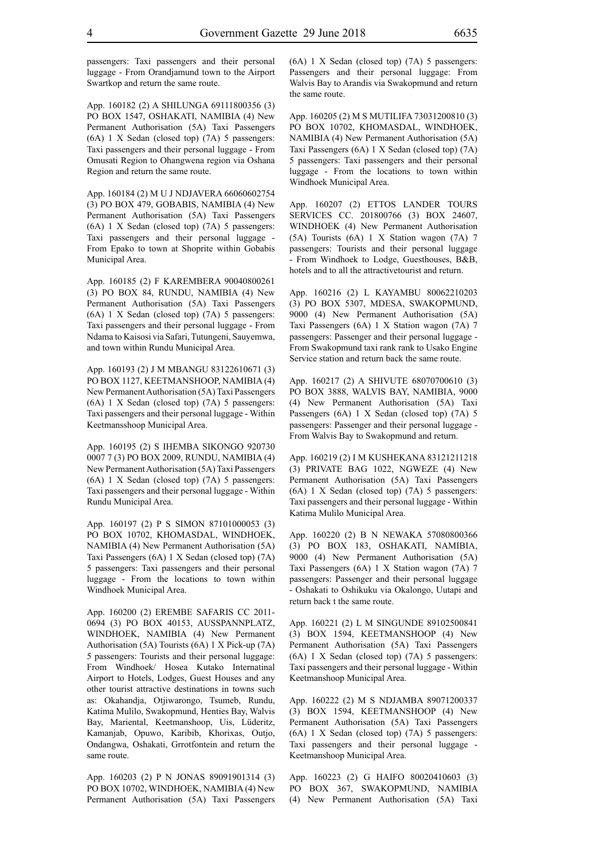passengers: Taxi passengers and their personal luggage - From Orandjamund town to the Airport Swartkop and return the same route.

App. 160182 (2) A SHILUNGA 69111800356 (3) PO BOX 1547, OSHAKATI, NAMIBIA (4) New Permanent Authorisation (5A) Taxi Passengers (6A) 1 X Sedan (closed top) (7A) 5 passengers: Taxi passengers and their personal luggage - From Omusati Region to Ohangwena region via Oshana Region and return the same route.

App. 160184 (2) M U J NDJAVERA 66060602754 (3) PO BOX 479, GOBABIS, NAMIBIA (4) New Permanent Authorisation (5A) Taxi Passengers (6A) 1 X Sedan (closed top) (7A) 5 passengers: Taxi passengers and their personal luggage - From Epako to town at Shoprite within Gobabis Municipal Area.

App. 160185 (2) F KAREMBERA 90040800261 (3) PO BOX 84, RUNDU, NAMIBIA (4) New Permanent Authorisation (5A) Taxi Passengers (6A) 1 X Sedan (closed top) (7A) 5 passengers: Taxi passengers and their personal luggage - From Ndama to Kaisosi via Safari, Tutungeni, Sauyemwa, and town within Rundu Municipal Area.

App. 160193 (2) J M MBANGU 83122610671 (3) PO BOX 1127, KEETMANSHOOP, NAMIBIA (4) New Permanent Authorisation (5A) Taxi Passengers (6A) 1 X Sedan (closed top) (7A) 5 passengers: Taxi passengers and their personal luggage - Within Keetmansshoop Municipal Area.

App. 160195 (2) S IHEMBA SIKONGO 920730 0007 7 (3) PO BOX 2009, RUNDU, NAMIBIA (4) New Permanent Authorisation (5A) Taxi Passengers (6A) 1 X Sedan (closed top) (7A) 5 passengers: Taxi passengers and their personal luggage - Within Rundu Municipal Area.

App. 160197 (2) P S SIMON 87101000053 (3) PO BOX 10702, KHOMASDAL, WINDHOEK, NAMIBIA (4) New Permanent Authorisation (5A) Taxi Passengers (6A) 1 X Sedan (closed top) (7A) 5 passengers: Taxi passengers and their personal luggage - From the locations to town within Windhoek Municipal Area.

App. 160200 (2) EREMBE SAFARIS CC 2011- 0694 (3) PO BOX 40153, AUSSPANNPLATZ, WINDHOEK, NAMIBIA (4) New Permanent Authorisation (5A) Tourists (6A) 1 X Pick-up (7A) 5 passengers: Tourists and their personal luggage: From Windhoek/ Hosea Kutako Internatinal Airport to Hotels, Lodges, Guest Houses and any other tourist attractive destinations in towns such as: Okahandja, Otjiwarongo, Tsumeb, Rundu, Katima Mulilo, Swakopmund, Henties Bay, Walvis Bay, Mariental, Keetmanshoop, Uis, Lüderitz, Kamanjab, Opuwo, Karibib, Khorixas, Outjo, Ondangwa, Oshakati, Grrotfontein and return the same route.

App. 160203 (2) P N JONAS 89091901314 (3) PO BOX 10702, WINDHOEK, NAMIBIA (4) New Permanent Authorisation (5A) Taxi Passengers (6A) 1 X Sedan (closed top) (7A) 5 passengers: Passengers and their personal luggage: From Walvis Bay to Arandis via Swakopmund and return the same route.

App. 160205 (2) M S MUTILIFA 73031200810 (3) PO BOX 10702, KHOMASDAL, WINDHOEK, NAMIBIA (4) New Permanent Authorisation (5A) Taxi Passengers (6A) 1 X Sedan (closed top) (7A) 5 passengers: Taxi passengers and their personal luggage - From the locations to town within Windhoek Municipal Area.

App. 160207 (2) ETTOS LANDER TOURS SERVICES CC. 201800766 (3) BOX 24607, WINDHOEK (4) New Permanent Authorisation (5A) Tourists (6A) 1 X Station wagon (7A) 7 passengers: Tourists and their personal luggage - From Windhoek to Lodge, Guesthouses, B&B, hotels and to all the attractivetourist and return.

App. 160216 (2) L KAYAMBU 80062210203 (3) PO BOX 5307, MDESA, SWAKOPMUND, 9000 (4) New Permanent Authorisation (5A) Taxi Passengers (6A) 1 X Station wagon (7A) 7 passengers: Passenger and their personal luggage - From Swakopmund taxi rank rank to Usako Engine Service station and return back the same route.

App. 160217 (2) A SHIVUTE 68070700610 (3) PO BOX 3888, WALVIS BAY, NAMIBIA, 9000 (4) New Permanent Authorisation (5A) Taxi Passengers (6A) 1 X Sedan (closed top) (7A) 5 passengers: Passenger and their personal luggage - From Walvis Bay to Swakopmund and return.

App. 160219 (2) I M KUSHEKANA 83121211218 (3) PRIVATE BAG 1022, NGWEZE (4) New Permanent Authorisation (5A) Taxi Passengers (6A) 1 X Sedan (closed top) (7A) 5 passengers: Taxi passengers and their personal luggage - Within Katima Mulilo Municipal Area.

App. 160220 (2) B N NEWAKA 57080800366 (3) PO BOX 183, OSHAKATI, NAMIBIA, 9000 (4) New Permanent Authorisation (5A) Taxi Passengers (6A) 1 X Station wagon (7A) 7 passengers: Passenger and their personal luggage - Oshakati to Oshikuku via Okalongo, Uutapi and return back t the same route.

App. 160221 (2) L M SINGUNDE 89102500841 (3) BOX 1594, KEETMANSHOOP (4) New Permanent Authorisation (5A) Taxi Passengers (6A) 1 X Sedan (closed top) (7A) 5 passengers: Taxi passengers and their personal luggage - Within Keetmanshoop Municipal Area.

App. 160222 (2) M S NDJAMBA 89071200337 (3) BOX 1594, KEETMANSHOOP (4) New Permanent Authorisation (5A) Taxi Passengers (6A) 1 X Sedan (closed top) (7A) 5 passengers: Taxi passengers and their personal luggage - Keetmanshoop Municipal Area.

App. 160223 (2) G HAIFO 80020410603 (3) PO BOX 367, SWAKOPMUND, NAMIBIA (4) New Permanent Authorisation (5A) Taxi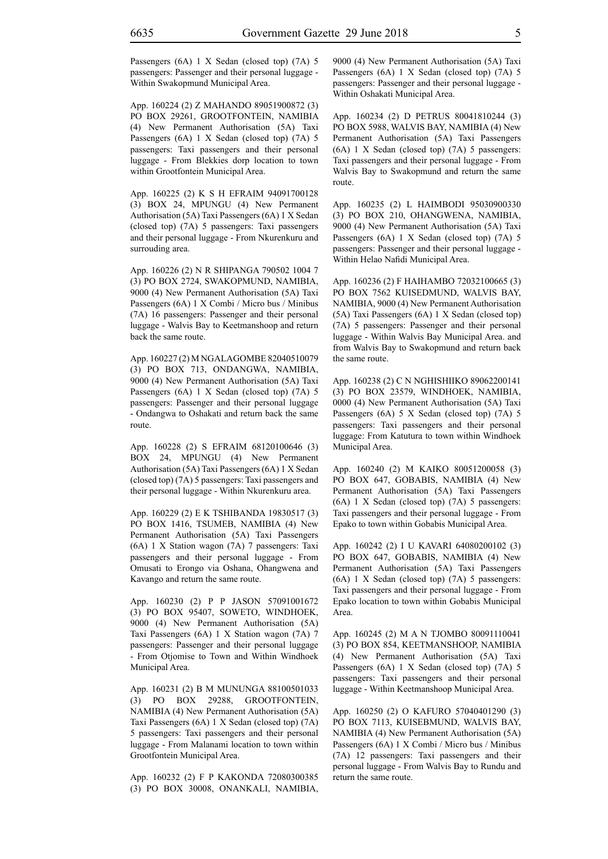Passengers (6A) 1 X Sedan (closed top) (7A) 5 passengers: Passenger and their personal luggage - Within Swakopmund Municipal Area.

App. 160224 (2) Z MAHANDO 89051900872 (3) PO BOX 29261, GROOTFONTEIN, NAMIBIA (4) New Permanent Authorisation (5A) Taxi Passengers (6A) 1 X Sedan (closed top) (7A) 5 passengers: Taxi passengers and their personal luggage - From Blekkies dorp location to town within Grootfontein Municipal Area.

App. 160225 (2) K S H EFRAIM 94091700128 (3) BOX 24, MPUNGU (4) New Permanent Authorisation (5A) Taxi Passengers (6A) 1 X Sedan (closed top) (7A) 5 passengers: Taxi passengers and their personal luggage - From Nkurenkuru and surrouding area.

App. 160226 (2) N R SHIPANGA 790502 1004 7 (3) PO BOX 2724, SWAKOPMUND, NAMIBIA, 9000 (4) New Permanent Authorisation (5A) Taxi Passengers (6A) 1 X Combi / Micro bus / Minibus (7A) 16 passengers: Passenger and their personal luggage - Walvis Bay to Keetmanshoop and return back the same route.

App. 160227 (2) M NGALAGOMBE 82040510079 (3) PO BOX 713, ONDANGWA, NAMIBIA, 9000 (4) New Permanent Authorisation (5A) Taxi Passengers (6A) 1 X Sedan (closed top) (7A) 5 passengers: Passenger and their personal luggage - Ondangwa to Oshakati and return back the same route.

App. 160228 (2) S EFRAIM 68120100646 (3) BOX 24, MPUNGU (4) New Permanent Authorisation (5A) Taxi Passengers (6A) 1 X Sedan (closed top) (7A) 5 passengers: Taxi passengers and their personal luggage - Within Nkurenkuru area.

App. 160229 (2) E K TSHIBANDA 19830517 (3) PO BOX 1416, TSUMEB, NAMIBIA (4) New Permanent Authorisation (5A) Taxi Passengers (6A) 1 X Station wagon (7A) 7 passengers: Taxi passengers and their personal luggage - From Omusati to Erongo via Oshana, Ohangwena and Kavango and return the same route.

App. 160230 (2) P P JASON 57091001672 (3) PO BOX 95407, SOWETO, WINDHOEK, 9000 (4) New Permanent Authorisation (5A) Taxi Passengers (6A) 1 X Station wagon (7A) 7 passengers: Passenger and their personal luggage - From Otjomise to Town and Within Windhoek Municipal Area.

App. 160231 (2) B M MUNUNGA 88100501033 (3) PO BOX 29288, GROOTFONTEIN, NAMIBIA (4) New Permanent Authorisation (5A) Taxi Passengers (6A) 1 X Sedan (closed top) (7A) 5 passengers: Taxi passengers and their personal luggage - From Malanami location to town within Grootfontein Municipal Area.

App. 160232 (2) F P KAKONDA 72080300385 (3) PO BOX 30008, ONANKALI, NAMIBIA, 9000 (4) New Permanent Authorisation (5A) Taxi Passengers (6A) 1 X Sedan (closed top) (7A) 5 passengers: Passenger and their personal luggage - Within Oshakati Municipal Area.

App. 160234 (2) D PETRUS 80041810244 (3) PO BOX 5988, WALVIS BAY, NAMIBIA (4) New Permanent Authorisation (5A) Taxi Passengers (6A) 1 X Sedan (closed top) (7A) 5 passengers: Taxi passengers and their personal luggage - From Walvis Bay to Swakopmund and return the same route.

App. 160235 (2) L HAIMBODI 95030900330 (3) PO BOX 210, OHANGWENA, NAMIBIA, 9000 (4) New Permanent Authorisation (5A) Taxi Passengers (6A) 1 X Sedan (closed top) (7A) 5 passengers: Passenger and their personal luggage - Within Helao Nafidi Municipal Area.

App. 160236 (2) F HAIHAMBO 72032100665 (3) PO BOX 7562 KUISEDMUND, WALVIS BAY, NAMIBIA, 9000 (4) New Permanent Authorisation (5A) Taxi Passengers (6A) 1 X Sedan (closed top) (7A) 5 passengers: Passenger and their personal luggage - Within Walvis Bay Municipal Area. and from Walvis Bay to Swakopmund and return back the same route.

App. 160238 (2) C N NGHISHIIKO 89062200141 (3) PO BOX 23579, WINDHOEK, NAMIBIA, 0000 (4) New Permanent Authorisation (5A) Taxi Passengers (6A) 5 X Sedan (closed top) (7A) 5 passengers: Taxi passengers and their personal luggage: From Katutura to town within Windhoek Municipal Area.

App. 160240 (2) M KAIKO 80051200058 (3) PO BOX 647, GOBABIS, NAMIBIA (4) New Permanent Authorisation (5A) Taxi Passengers (6A) 1 X Sedan (closed top) (7A) 5 passengers: Taxi passengers and their personal luggage - From Epako to town within Gobabis Municipal Area.

App. 160242 (2) I U KAVARI 64080200102 (3) PO BOX 647, GOBABIS, NAMIBIA (4) New Permanent Authorisation (5A) Taxi Passengers (6A) 1 X Sedan (closed top) (7A) 5 passengers: Taxi passengers and their personal luggage - From Epako location to town within Gobabis Municipal Area.

App. 160245 (2) M A N TJOMBO 80091110041 (3) PO BOX 854, KEETMANSHOOP, NAMIBIA (4) New Permanent Authorisation (5A) Taxi Passengers (6A) 1 X Sedan (closed top) (7A) 5 passengers: Taxi passengers and their personal luggage - Within Keetmanshoop Municipal Area.

App. 160250 (2) O KAFURO 57040401290 (3) PO BOX 7113, KUISEBMUND, WALVIS BAY, NAMIBIA (4) New Permanent Authorisation (5A) Passengers (6A) 1 X Combi / Micro bus / Minibus (7A) 12 passengers: Taxi passengers and their personal luggage - From Walvis Bay to Rundu and return the same route.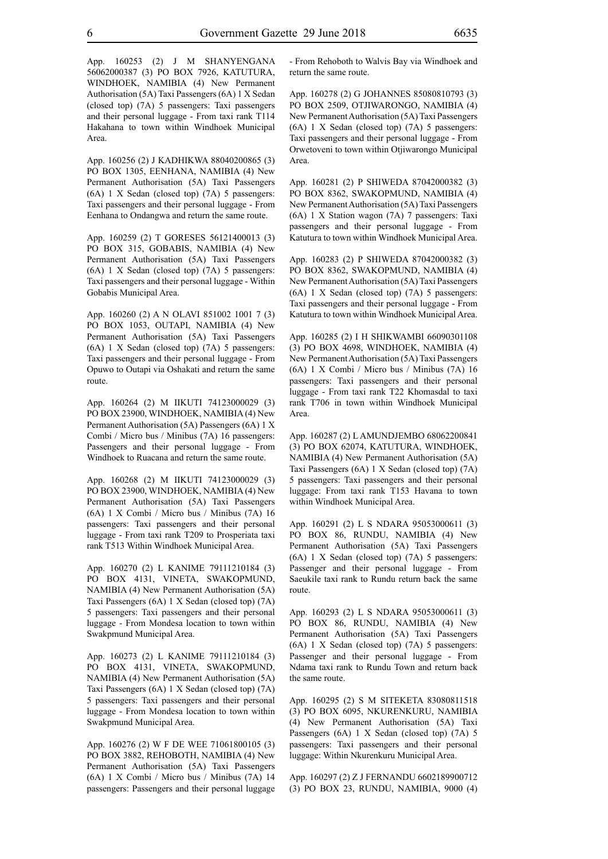App. 160253 (2) J M SHANYENGANA 56062000387 (3) PO BOX 7926, KATUTURA, WINDHOEK, NAMIBIA (4) New Permanent Authorisation (5A) Taxi Passengers (6A) 1 X Sedan (closed top) (7A) 5 passengers: Taxi passengers and their personal luggage - From taxi rank T114 Hakahana to town within Windhoek Municipal Area.

App. 160256 (2) J KADHIKWA 88040200865 (3) PO BOX 1305, EENHANA, NAMIBIA (4) New Permanent Authorisation (5A) Taxi Passengers (6A) 1 X Sedan (closed top) (7A) 5 passengers: Taxi passengers and their personal luggage - From Eenhana to Ondangwa and return the same route.

App. 160259 (2) T GORESES 56121400013 (3) PO BOX 315, GOBABIS, NAMIBIA (4) New Permanent Authorisation (5A) Taxi Passengers (6A) 1 X Sedan (closed top) (7A) 5 passengers: Taxi passengers and their personal luggage - Within Gobabis Municipal Area.

App. 160260 (2) A N OLAVI 851002 1001 7 (3) PO BOX 1053, OUTAPI, NAMIBIA (4) New Permanent Authorisation (5A) Taxi Passengers (6A) 1 X Sedan (closed top) (7A) 5 passengers: Taxi passengers and their personal luggage - From Opuwo to Outapi via Oshakati and return the same route.

App. 160264 (2) M IIKUTI 74123000029 (3) PO BOX 23900, WINDHOEK, NAMIBIA (4) New Permanent Authorisation (5A) Passengers (6A) 1 X Combi / Micro bus / Minibus (7A) 16 passengers: Passengers and their personal luggage - From Windhoek to Ruacana and return the same route.

App. 160268 (2) M IIKUTI 74123000029 (3) PO BOX 23900, WINDHOEK, NAMIBIA (4) New Permanent Authorisation (5A) Taxi Passengers (6A) 1 X Combi / Micro bus / Minibus (7A) 16 passengers: Taxi passengers and their personal luggage - From taxi rank T209 to Prosperiata taxi rank T513 Within Windhoek Municipal Area.

App. 160270 (2) L KANIME 79111210184 (3) PO BOX 4131, VINETA, SWAKOPMUND, NAMIBIA (4) New Permanent Authorisation (5A) Taxi Passengers (6A) 1 X Sedan (closed top) (7A) 5 passengers: Taxi passengers and their personal luggage - From Mondesa location to town within Swakpmund Municipal Area.

App. 160273 (2) L KANIME 79111210184 (3) PO BOX 4131, VINETA, SWAKOPMUND, NAMIBIA (4) New Permanent Authorisation (5A) Taxi Passengers (6A) 1 X Sedan (closed top) (7A) 5 passengers: Taxi passengers and their personal luggage - From Mondesa location to town within Swakpmund Municipal Area.

App. 160276 (2) W F DE WEE 71061800105 (3) PO BOX 3882, REHOBOTH, NAMIBIA (4) New Permanent Authorisation (5A) Taxi Passengers (6A) 1 X Combi / Micro bus / Minibus (7A) 14 passengers: Passengers and their personal luggage - From Rehoboth to Walvis Bay via Windhoek and return the same route.

App. 160278 (2) G JOHANNES 85080810793 (3) PO BOX 2509, OTJIWARONGO, NAMIBIA (4) New Permanent Authorisation (5A) Taxi Passengers (6A) 1 X Sedan (closed top) (7A) 5 passengers: Taxi passengers and their personal luggage - From Orwetoveni to town within Otjiwarongo Municipal Area.

App. 160281 (2) P SHIWEDA 87042000382 (3) PO BOX 8362, SWAKOPMUND, NAMIBIA (4) New Permanent Authorisation (5A) Taxi Passengers (6A) 1 X Station wagon (7A) 7 passengers: Taxi passengers and their personal luggage - From Katutura to town within Windhoek Municipal Area.

App. 160283 (2) P SHIWEDA 87042000382 (3) PO BOX 8362, SWAKOPMUND, NAMIBIA (4) New Permanent Authorisation (5A) Taxi Passengers (6A) 1 X Sedan (closed top) (7A) 5 passengers: Taxi passengers and their personal luggage - From Katutura to town within Windhoek Municipal Area.

App. 160285 (2) I H SHIKWAMBI 66090301108 (3) PO BOX 4698, WINDHOEK, NAMIBIA (4) New Permanent Authorisation (5A) Taxi Passengers (6A) 1 X Combi / Micro bus / Minibus (7A) 16 passengers: Taxi passengers and their personal luggage - From taxi rank T22 Khomasdal to taxi rank T706 in town within Windhoek Municipal Area.

App. 160287 (2) L AMUNDJEMBO 68062200841 (3) PO BOX 62074, KATUTURA, WINDHOEK, NAMIBIA (4) New Permanent Authorisation (5A) Taxi Passengers (6A) 1 X Sedan (closed top) (7A) 5 passengers: Taxi passengers and their personal luggage: From taxi rank T153 Havana to town within Windhoek Municipal Area.

App. 160291 (2) L S NDARA 95053000611 (3) PO BOX 86, RUNDU, NAMIBIA (4) New Permanent Authorisation (5A) Taxi Passengers (6A) 1 X Sedan (closed top) (7A) 5 passengers: Passenger and their personal luggage - From Saeukile taxi rank to Rundu return back the same route.

App. 160293 (2) L S NDARA 95053000611 (3) PO BOX 86, RUNDU, NAMIBIA (4) New Permanent Authorisation (5A) Taxi Passengers (6A) 1 X Sedan (closed top) (7A) 5 passengers: Passenger and their personal luggage - From Ndama taxi rank to Rundu Town and return back the same route.

App. 160295 (2) S M SITEKETA 83080811518 (3) PO BOX 6095, NKURENKURU, NAMIBIA (4) New Permanent Authorisation (5A) Taxi Passengers (6A) 1 X Sedan (closed top) (7A) 5 passengers: Taxi passengers and their personal luggage: Within Nkurenkuru Municipal Area.

App. 160297 (2) Z J FERNANDU 6602189900712 (3) PO BOX 23, RUNDU, NAMIBIA, 9000 (4)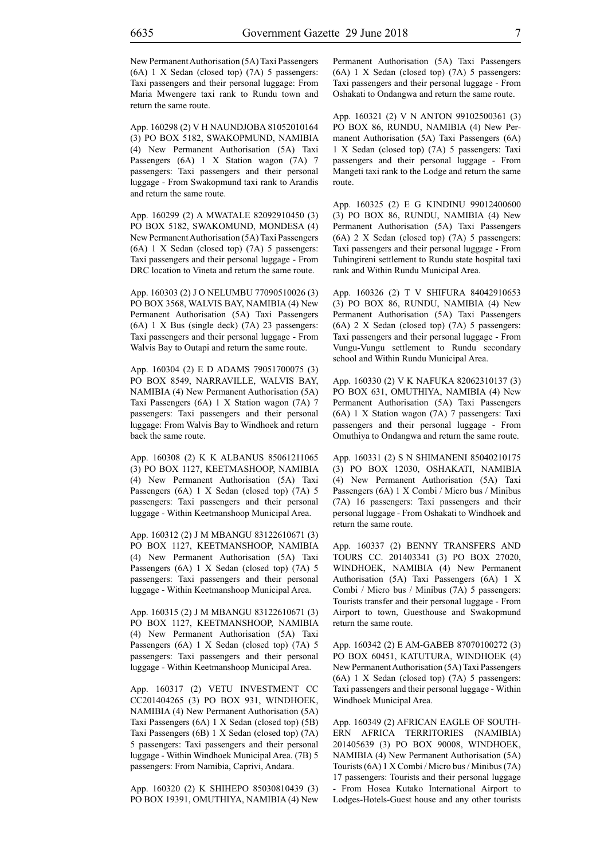New Permanent Authorisation (5A) Taxi Passengers (6A) 1 X Sedan (closed top) (7A) 5 passengers: Taxi passengers and their personal luggage: From Maria Mwengere taxi rank to Rundu town and return the same route.

App. 160298 (2) V H NAUNDJOBA 81052010164 (3) PO BOX 5182, SWAKOPMUND, NAMIBIA (4) New Permanent Authorisation (5A) Taxi Passengers (6A) 1 X Station wagon (7A) 7 passengers: Taxi passengers and their personal luggage - From Swakopmund taxi rank to Arandis and return the same route.

App. 160299 (2) A MWATALE 82092910450 (3) PO BOX 5182, SWAKOMUND, MONDESA (4) New Permanent Authorisation (5A) Taxi Passengers (6A) 1 X Sedan (closed top) (7A) 5 passengers: Taxi passengers and their personal luggage - From DRC location to Vineta and return the same route.

App. 160303 (2) J O NELUMBU 77090510026 (3) PO BOX 3568, WALVIS BAY, NAMIBIA (4) New Permanent Authorisation (5A) Taxi Passengers (6A) 1 X Bus (single deck) (7A) 23 passengers: Taxi passengers and their personal luggage - From Walvis Bay to Outapi and return the same route.

App. 160304 (2) E D ADAMS 79051700075 (3) PO BOX 8549, NARRAVILLE, WALVIS BAY, NAMIBIA (4) New Permanent Authorisation (5A) Taxi Passengers (6A) 1 X Station wagon (7A) 7 passengers: Taxi passengers and their personal luggage: From Walvis Bay to Windhoek and return back the same route.

App. 160308 (2) K K ALBANUS 85061211065 (3) PO BOX 1127, KEETMASHOOP, NAMIBIA (4) New Permanent Authorisation (5A) Taxi Passengers (6A) 1 X Sedan (closed top) (7A) 5 passengers: Taxi passengers and their personal luggage - Within Keetmanshoop Municipal Area.

App. 160312 (2) J M MBANGU 83122610671 (3) PO BOX 1127, KEETMANSHOOP, NAMIBIA (4) New Permanent Authorisation (5A) Taxi Passengers (6A) 1 X Sedan (closed top) (7A) 5 passengers: Taxi passengers and their personal luggage - Within Keetmanshoop Municipal Area.

App. 160315 (2) J M MBANGU 83122610671 (3) PO BOX 1127, KEETMANSHOOP, NAMIBIA (4) New Permanent Authorisation (5A) Taxi Passengers (6A) 1 X Sedan (closed top) (7A) 5 passengers: Taxi passengers and their personal luggage - Within Keetmanshoop Municipal Area.

App. 160317 (2) VETU INVESTMENT CC CC201404265 (3) PO BOX 931, WINDHOEK, NAMIBIA (4) New Permanent Authorisation (5A) Taxi Passengers (6A) 1 X Sedan (closed top) (5B) Taxi Passengers (6B) 1 X Sedan (closed top) (7A) 5 passengers: Taxi passengers and their personal luggage - Within Windhoek Municipal Area. (7B) 5 passengers: From Namibia, Caprivi, Andara.

App. 160320 (2) K SHIHEPO 85030810439 (3) PO BOX 19391, OMUTHIYA, NAMIBIA (4) New Permanent Authorisation (5A) Taxi Passengers (6A) 1 X Sedan (closed top) (7A) 5 passengers: Taxi passengers and their personal luggage - From Oshakati to Ondangwa and return the same route.

App. 160321 (2) V N ANTON 99102500361 (3) PO BOX 86, RUNDU, NAMIBIA (4) New Permanent Authorisation (5A) Taxi Passengers (6A) 1 X Sedan (closed top) (7A) 5 passengers: Taxi passengers and their personal luggage - From Mangeti taxi rank to the Lodge and return the same route.

App. 160325 (2) E G KINDINU 99012400600 (3) PO BOX 86, RUNDU, NAMIBIA (4) New Permanent Authorisation (5A) Taxi Passengers (6A) 2 X Sedan (closed top) (7A) 5 passengers: Taxi passengers and their personal luggage - From Tuhingireni settlement to Rundu state hospital taxi rank and Within Rundu Municipal Area.

App. 160326 (2) T V SHIFURA 84042910653 (3) PO BOX 86, RUNDU, NAMIBIA (4) New Permanent Authorisation (5A) Taxi Passengers (6A) 2 X Sedan (closed top) (7A) 5 passengers: Taxi passengers and their personal luggage - From Vungu-Vungu settlement to Rundu secondary school and Within Rundu Municipal Area.

App. 160330 (2) V K NAFUKA 82062310137 (3) PO BOX 631, OMUTHIYA, NAMIBIA (4) New Permanent Authorisation (5A) Taxi Passengers (6A) 1 X Station wagon (7A) 7 passengers: Taxi passengers and their personal luggage - From Omuthiya to Ondangwa and return the same route.

App. 160331 (2) S N SHIMANENI 85040210175 (3) PO BOX 12030, OSHAKATI, NAMIBIA (4) New Permanent Authorisation (5A) Taxi Passengers (6A) 1 X Combi / Micro bus / Minibus (7A) 16 passengers: Taxi passengers and their personal luggage - From Oshakati to Windhoek and return the same route.

App. 160337 (2) BENNY TRANSFERS AND TOURS CC. 201403341 (3) PO BOX 27020, WINDHOEK, NAMIBIA (4) New Permanent Authorisation (5A) Taxi Passengers (6A) 1 X Combi / Micro bus / Minibus (7A) 5 passengers: Tourists transfer and their personal luggage - From Airport to town, Guesthouse and Swakopmund return the same route.

App. 160342 (2) E AM-GABEB 87070100272 (3) PO BOX 60451, KATUTURA, WINDHOEK (4) New Permanent Authorisation (5A) Taxi Passengers (6A) 1 X Sedan (closed top) (7A) 5 passengers: Taxi passengers and their personal luggage - Within Windhoek Municipal Area.

App. 160349 (2) AFRICAN EAGLE OF SOUTH-ERN AFRICA TERRITORIES (NAMIBIA) 201405639 (3) PO BOX 90008, WINDHOEK, NAMIBIA (4) New Permanent Authorisation (5A) Tourists (6A) 1 X Combi / Micro bus / Minibus (7A) 17 passengers: Tourists and their personal luggage - From Hosea Kutako International Airport to Lodges-Hotels-Guest house and any other tourists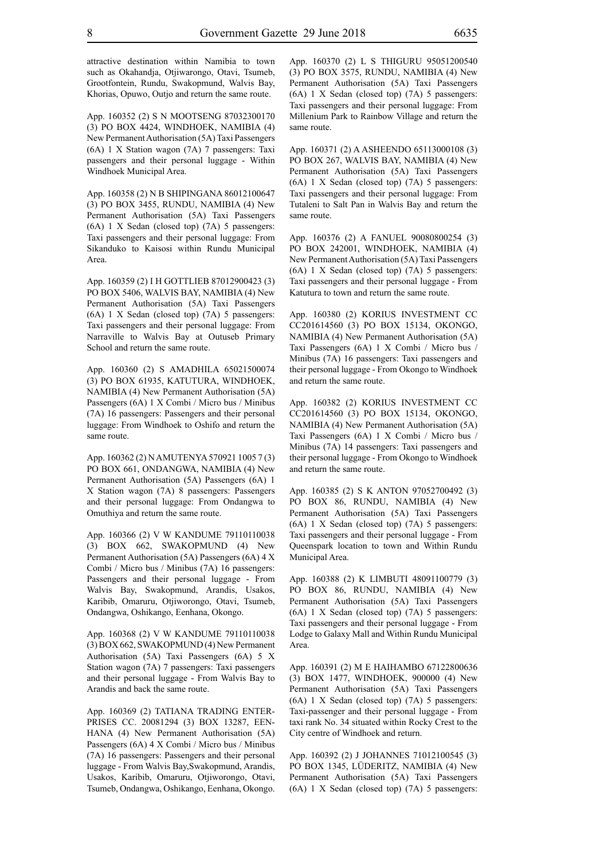attractive destination within Namibia to town such as Okahandja, Otjiwarongo, Otavi, Tsumeb, Grootfontein, Rundu, Swakopmund, Walvis Bay, Khorias, Opuwo, Outjo and return the same route.

App. 160352 (2) S N MOOTSENG 87032300170 (3) PO BOX 4424, WINDHOEK, NAMIBIA (4) New Permanent Authorisation (5A) Taxi Passengers (6A) 1 X Station wagon (7A) 7 passengers: Taxi passengers and their personal luggage - Within Windhoek Municipal Area.

App. 160358 (2) N B SHIPINGANA 86012100647 (3) PO BOX 3455, RUNDU, NAMIBIA (4) New Permanent Authorisation (5A) Taxi Passengers (6A) 1 X Sedan (closed top) (7A) 5 passengers: Taxi passengers and their personal luggage: From Sikanduko to Kaisosi within Rundu Municipal Area.

App. 160359 (2) I H GOTTLIEB 87012900423 (3) PO BOX 5406, WALVIS BAY, NAMIBIA (4) New Permanent Authorisation (5A) Taxi Passengers (6A) 1 X Sedan (closed top) (7A) 5 passengers: Taxi passengers and their personal luggage: From Narraville to Walvis Bay at Outuseb Primary School and return the same route.

App. 160360 (2) S AMADHILA 65021500074 (3) PO BOX 61935, KATUTURA, WINDHOEK, NAMIBIA (4) New Permanent Authorisation (5A) Passengers (6A) 1 X Combi / Micro bus / Minibus (7A) 16 passengers: Passengers and their personal luggage: From Windhoek to Oshifo and return the same route.

App. 160362 (2) N AMUTENYA 570921 1005 7 (3) PO BOX 661, ONDANGWA, NAMIBIA (4) New Permanent Authorisation (5A) Passengers (6A) 1 X Station wagon (7A) 8 passengers: Passengers and their personal luggage: From Ondangwa to Omuthiya and return the same route.

App. 160366 (2) V W KANDUME 79110110038 (3) BOX 662, SWAKOPMUND (4) New Permanent Authorisation (5A) Passengers (6A) 4 X Combi / Micro bus / Minibus (7A) 16 passengers: Passengers and their personal luggage - From Walvis Bay, Swakopmund, Arandis, Usakos, Karibib, Omaruru, Otjiworongo, Otavi, Tsumeb, Ondangwa, Oshikango, Eenhana, Okongo.

App. 160368 (2) V W KANDUME 79110110038 (3) BOX 662, SWAKOPMUND (4) New Permanent Authorisation (5A) Taxi Passengers (6A) 5 X Station wagon (7A) 7 passengers: Taxi passengers and their personal luggage - From Walvis Bay to Arandis and back the same route.

App. 160369 (2) TATIANA TRADING ENTER-PRISES CC. 20081294 (3) BOX 13287, EEN-HANA (4) New Permanent Authorisation (5A) Passengers (6A) 4 X Combi / Micro bus / Minibus (7A) 16 passengers: Passengers and their personal luggage - From Walvis Bay,Swakopmund, Arandis, Usakos, Karibib, Omaruru, Otjiworongo, Otavi, Tsumeb, Ondangwa, Oshikango, Eenhana, Okongo.

App. 160370 (2) L S THIGURU 95051200540 (3) PO BOX 3575, RUNDU, NAMIBIA (4) New Permanent Authorisation (5A) Taxi Passengers (6A) 1 X Sedan (closed top) (7A) 5 passengers: Taxi passengers and their personal luggage: From Millenium Park to Rainbow Village and return the same route.

App. 160371 (2) A ASHEENDO 65113000108 (3) PO BOX 267, WALVIS BAY, NAMIBIA (4) New Permanent Authorisation (5A) Taxi Passengers (6A) 1 X Sedan (closed top) (7A) 5 passengers: Taxi passengers and their personal luggage: From Tutaleni to Salt Pan in Walvis Bay and return the same route.

App. 160376 (2) A FANUEL 90080800254 (3) PO BOX 242001, WINDHOEK, NAMIBIA (4) New Permanent Authorisation (5A) Taxi Passengers (6A) 1 X Sedan (closed top) (7A) 5 passengers: Taxi passengers and their personal luggage - From Katutura to town and return the same route.

App. 160380 (2) KORIUS INVESTMENT CC CC201614560 (3) PO BOX 15134, OKONGO, NAMIBIA (4) New Permanent Authorisation (5A) Taxi Passengers (6A) 1 X Combi / Micro bus / Minibus (7A) 16 passengers: Taxi passengers and their personal luggage - From Okongo to Windhoek and return the same route.

App. 160382 (2) KORIUS INVESTMENT CC CC201614560 (3) PO BOX 15134, OKONGO, NAMIBIA (4) New Permanent Authorisation (5A) Taxi Passengers (6A) 1 X Combi / Micro bus / Minibus (7A) 14 passengers: Taxi passengers and their personal luggage - From Okongo to Windhoek and return the same route.

App. 160385 (2) S K ANTON 97052700492 (3) PO BOX 86, RUNDU, NAMIBIA (4) New Permanent Authorisation (5A) Taxi Passengers (6A) 1 X Sedan (closed top) (7A) 5 passengers: Taxi passengers and their personal luggage - From Queenspark location to town and Within Rundu Municipal Area.

App. 160388 (2) K LIMBUTI 48091100779 (3) PO BOX 86, RUNDU, NAMIBIA (4) New Permanent Authorisation (5A) Taxi Passengers (6A) 1 X Sedan (closed top) (7A) 5 passengers: Taxi passengers and their personal luggage - From Lodge to Galaxy Mall and Within Rundu Municipal Area.

App. 160391 (2) M E HAIHAMBO 67122800636 (3) BOX 1477, WINDHOEK, 900000 (4) New Permanent Authorisation (5A) Taxi Passengers (6A) 1 X Sedan (closed top) (7A) 5 passengers: Taxi-passenger and their personal luggage - From taxi rank No. 34 situated within Rocky Crest to the City centre of Windhoek and return.

App. 160392 (2) J JOHANNES 71012100545 (3) PO BOX 1345, LÜDERITZ, NAMIBIA (4) New Permanent Authorisation (5A) Taxi Passengers (6A) 1 X Sedan (closed top) (7A) 5 passengers: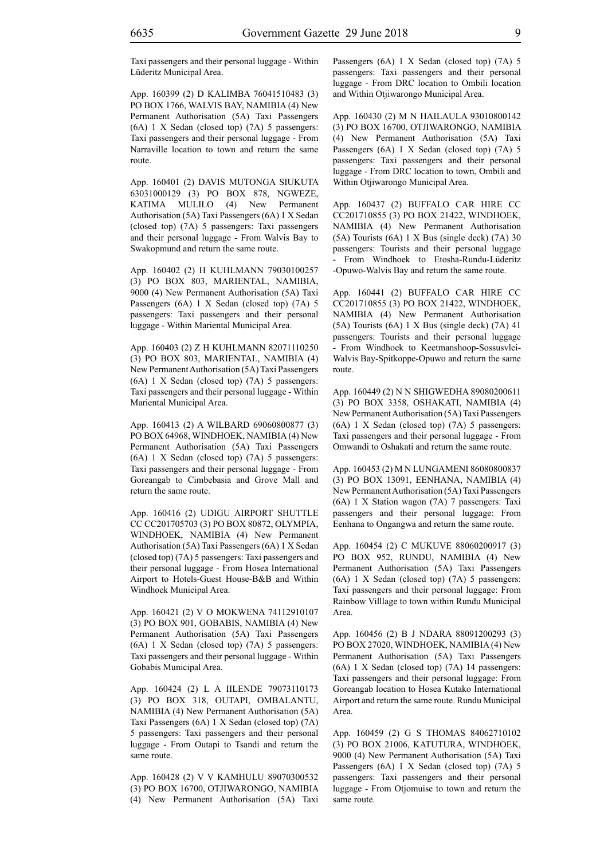Taxi passengers and their personal luggage - Within Lüderitz Municipal Area.

App. 160399 (2) D KALIMBA 76041510483 (3) PO BOX 1766, WALVIS BAY, NAMIBIA (4) New Permanent Authorisation (5A) Taxi Passengers (6A) 1 X Sedan (closed top) (7A) 5 passengers: Taxi passengers and their personal luggage - From Narraville location to town and return the same route.

App. 160401 (2) DAVIS MUTONGA SIUKUTA 63031000129 (3) PO BOX 878, NGWEZE, KATIMA MULILO (4) New Permanent Authorisation (5A) Taxi Passengers (6A) 1 X Sedan (closed top) (7A) 5 passengers: Taxi passengers and their personal luggage - From Walvis Bay to Swakopmund and return the same route.

App. 160402 (2) H KUHLMANN 79030100257 (3) PO BOX 803, MARIENTAL, NAMIBIA, 9000 (4) New Permanent Authorisation (5A) Taxi Passengers (6A) 1 X Sedan (closed top) (7A) 5 passengers: Taxi passengers and their personal luggage - Within Mariental Municipal Area.

App. 160403 (2) Z H KUHLMANN 82071110250 (3) PO BOX 803, MARIENTAL, NAMIBIA (4) New Permanent Authorisation (5A) Taxi Passengers (6A) 1 X Sedan (closed top) (7A) 5 passengers: Taxi passengers and their personal luggage - Within Mariental Municipal Area.

App. 160413 (2) A WILBARD 69060800877 (3) PO BOX 64968, WINDHOEK, NAMIBIA (4) New Permanent Authorisation (5A) Taxi Passengers (6A) 1 X Sedan (closed top) (7A) 5 passengers: Taxi passengers and their personal luggage - From Goreangab to Cimbebasia and Grove Mall and return the same route.

App. 160416 (2) UDIGU AIRPORT SHUTTLE CC CC201705703 (3) PO BOX 80872, OLYMPIA, WINDHOEK, NAMIBIA (4) New Permanent Authorisation (5A) Taxi Passengers (6A) 1 X Sedan (closed top) (7A) 5 passengers: Taxi passengers and their personal luggage - From Hosea International Airport to Hotels-Guest House-B&B and Within Windhoek Municipal Area.

App. 160421 (2) V O MOKWENA 74112910107 (3) PO BOX 901, GOBABIS, NAMIBIA (4) New Permanent Authorisation (5A) Taxi Passengers (6A) 1 X Sedan (closed top) (7A) 5 passengers: Taxi passengers and their personal luggage - Within Gobabis Municipal Area.

App. 160424 (2) L A IILENDE 79073110173 (3) PO BOX 318, OUTAPI, OMBALANTU, NAMIBIA (4) New Permanent Authorisation (5A) Taxi Passengers (6A) 1 X Sedan (closed top) (7A) 5 passengers: Taxi passengers and their personal luggage - From Outapi to Tsandi and return the same route.

App. 160428 (2) V V KAMHULU 89070300532 (3) PO BOX 16700, OTJIWARONGO, NAMIBIA (4) New Permanent Authorisation (5A) Taxi Passengers (6A) 1 X Sedan (closed top) (7A) 5 passengers: Taxi passengers and their personal luggage - From DRC location to Ombili location and Within Otjiwarongo Municipal Area.

App. 160430 (2) M N HAILAULA 93010800142 (3) PO BOX 16700, OTJIWARONGO, NAMIBIA (4) New Permanent Authorisation (5A) Taxi Passengers (6A) 1 X Sedan (closed top) (7A) 5 passengers: Taxi passengers and their personal luggage - From DRC location to town, Ombili and Within Otjiwarongo Municipal Area.

App. 160437 (2) BUFFALO CAR HIRE CC CC201710855 (3) PO BOX 21422, WINDHOEK, NAMIBIA (4) New Permanent Authorisation (5A) Tourists (6A) 1 X Bus (single deck) (7A) 30 passengers: Tourists and their personal luggage - From Windhoek to Etosha-Rundu-Lüderitz -Opuwo-Walvis Bay and return the same route.

App. 160441 (2) BUFFALO CAR HIRE CC CC201710855 (3) PO BOX 21422, WINDHOEK, NAMIBIA (4) New Permanent Authorisation (5A) Tourists (6A) 1 X Bus (single deck) (7A) 41 passengers: Tourists and their personal luggage - From Windhoek to Keetmanshoop-Sossusvlei-Walvis Bay-Spitkoppe-Opuwo and return the same route.

App. 160449 (2) N N SHIGWEDHA 89080200611 (3) PO BOX 3358, OSHAKATI, NAMIBIA (4) New Permanent Authorisation (5A) Taxi Passengers (6A) 1 X Sedan (closed top) (7A) 5 passengers: Taxi passengers and their personal luggage - From Omwandi to Oshakati and return the same route.

App. 160453 (2) M N LUNGAMENI 86080800837 (3) PO BOX 13091, EENHANA, NAMIBIA (4) New Permanent Authorisation (5A) Taxi Passengers (6A) 1 X Station wagon (7A) 7 passengers: Taxi passengers and their personal luggage: From Eenhana to Ongangwa and return the same route.

App. 160454 (2) C MUKUVE 88060200917 (3) PO BOX 952, RUNDU, NAMIBIA (4) New Permanent Authorisation (5A) Taxi Passengers (6A) 1 X Sedan (closed top) (7A) 5 passengers: Taxi passengers and their personal luggage: From Rainbow Villlage to town within Rundu Municipal Area.

App. 160456 (2) B J NDARA 88091200293 (3) PO BOX 27020, WINDHOEK, NAMIBIA (4) New Permanent Authorisation (5A) Taxi Passengers (6A) 1 X Sedan (closed top) (7A) 14 passengers: Taxi passengers and their personal luggage: From Goreangab location to Hosea Kutako International Airport and return the same route. Rundu Municipal Area.

App. 160459 (2) G S THOMAS 84062710102 (3) PO BOX 21006, KATUTURA, WINDHOEK, 9000 (4) New Permanent Authorisation (5A) Taxi Passengers (6A) 1 X Sedan (closed top) (7A) 5 passengers: Taxi passengers and their personal luggage - From Otjomuise to town and return the same route.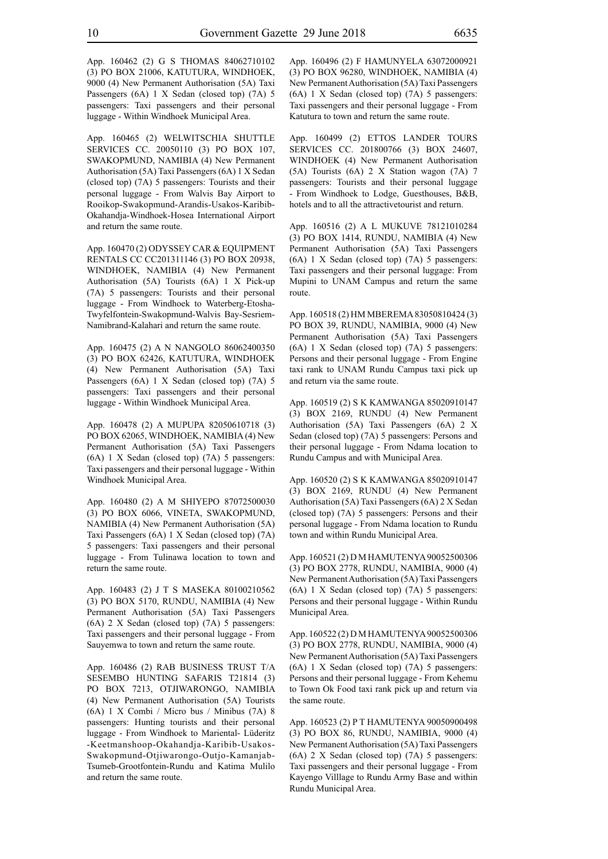App. 160462 (2) G S THOMAS 84062710102 (3) PO BOX 21006, KATUTURA, WINDHOEK, 9000 (4) New Permanent Authorisation (5A) Taxi Passengers (6A) 1 X Sedan (closed top) (7A) 5 passengers: Taxi passengers and their personal luggage - Within Windhoek Municipal Area.

App. 160465 (2) WELWITSCHIA SHUTTLE SERVICES CC. 20050110 (3) PO BOX 107, SWAKOPMUND, NAMIBIA (4) New Permanent Authorisation (5A) Taxi Passengers (6A) 1 X Sedan (closed top) (7A) 5 passengers: Tourists and their personal luggage - From Walvis Bay Airport to Rooikop-Swakopmund-Arandis-Usakos-Karibib-Okahandja-Windhoek-Hosea International Airport and return the same route.

App. 160470 (2) ODYSSEY CAR & EQUIPMENT RENTALS CC CC201311146 (3) PO BOX 20938, WINDHOEK, NAMIBIA (4) New Permanent Authorisation (5A) Tourists (6A) 1 X Pick-up (7A) 5 passengers: Tourists and their personal luggage - From Windhoek to Waterberg-Etosha-Twyfelfontein-Swakopmund-Walvis Bay-Sesriem-Namibrand-Kalahari and return the same route.

App. 160475 (2) A N NANGOLO 86062400350 (3) PO BOX 62426, KATUTURA, WINDHOEK (4) New Permanent Authorisation (5A) Taxi Passengers (6A) 1 X Sedan (closed top) (7A) 5 passengers: Taxi passengers and their personal luggage - Within Windhoek Municipal Area.

App. 160478 (2) A MUPUPA 82050610718 (3) PO BOX 62065, WINDHOEK, NAMIBIA (4) New Permanent Authorisation (5A) Taxi Passengers (6A) 1 X Sedan (closed top) (7A) 5 passengers: Taxi passengers and their personal luggage - Within Windhoek Municipal Area.

App. 160480 (2) A M SHIYEPO 87072500030 (3) PO BOX 6066, VINETA, SWAKOPMUND, NAMIBIA (4) New Permanent Authorisation (5A) Taxi Passengers (6A) 1 X Sedan (closed top) (7A) 5 passengers: Taxi passengers and their personal luggage - From Tulinawa location to town and return the same route.

App. 160483 (2) J T S MASEKA 80100210562 (3) PO BOX 5170, RUNDU, NAMIBIA (4) New Permanent Authorisation (5A) Taxi Passengers (6A) 2 X Sedan (closed top) (7A) 5 passengers: Taxi passengers and their personal luggage - From Sauyemwa to town and return the same route.

App. 160486 (2) RAB BUSINESS TRUST T/A SESEMBO HUNTING SAFARIS T21814 (3) PO BOX 7213, OTJIWARONGO, NAMIBIA (4) New Permanent Authorisation (5A) Tourists (6A) 1 X Combi / Micro bus / Minibus (7A) 8 passengers: Hunting tourists and their personal luggage - From Windhoek to Mariental- Lüderitz -Keetmanshoop-Okahandja-Karibib-Usakos-Swakopmund-Otjiwarongo-Outjo-Kamanjab-Tsumeb-Grootfontein-Rundu and Katima Mulilo and return the same route.

App. 160496 (2) F HAMUNYELA 63072000921 (3) PO BOX 96280, WINDHOEK, NAMIBIA (4) New Permanent Authorisation (5A) Taxi Passengers (6A) 1 X Sedan (closed top) (7A) 5 passengers: Taxi passengers and their personal luggage - From Katutura to town and return the same route.

App. 160499 (2) ETTOS LANDER TOURS SERVICES CC. 201800766 (3) BOX 24607, WINDHOEK (4) New Permanent Authorisation (5A) Tourists (6A) 2 X Station wagon (7A) 7 passengers: Tourists and their personal luggage - From Windhoek to Lodge, Guesthouses, B&B, hotels and to all the attractivetourist and return.

App. 160516 (2) A L MUKUVE 78121010284 (3) PO BOX 1414, RUNDU, NAMIBIA (4) New Permanent Authorisation (5A) Taxi Passengers (6A) 1 X Sedan (closed top) (7A) 5 passengers: Taxi passengers and their personal luggage: From Mupini to UNAM Campus and return the same route.

App. 160518 (2) HM MBEREMA 83050810424 (3) PO BOX 39, RUNDU, NAMIBIA, 9000 (4) New Permanent Authorisation (5A) Taxi Passengers (6A) 1 X Sedan (closed top) (7A) 5 passengers: Persons and their personal luggage - From Engine taxi rank to UNAM Rundu Campus taxi pick up and return via the same route.

App. 160519 (2) S K KAMWANGA 85020910147 (3) BOX 2169, RUNDU (4) New Permanent Authorisation (5A) Taxi Passengers (6A) 2 X Sedan (closed top) (7A) 5 passengers: Persons and their personal luggage - From Ndama location to Rundu Campus and with Municipal Area.

App. 160520 (2) S K KAMWANGA 85020910147 (3) BOX 2169, RUNDU (4) New Permanent Authorisation (5A) Taxi Passengers (6A) 2 X Sedan (closed top) (7A) 5 passengers: Persons and their personal luggage - From Ndama location to Rundu town and within Rundu Municipal Area.

App. 160521 (2) D M HAMUTENYA 90052500306 (3) PO BOX 2778, RUNDU, NAMIBIA, 9000 (4) New Permanent Authorisation (5A) Taxi Passengers (6A) 1 X Sedan (closed top) (7A) 5 passengers: Persons and their personal luggage - Within Rundu Municipal Area.

App. 160522 (2) D M HAMUTENYA 90052500306 (3) PO BOX 2778, RUNDU, NAMIBIA, 9000 (4) New Permanent Authorisation (5A) Taxi Passengers (6A) 1 X Sedan (closed top) (7A) 5 passengers: Persons and their personal luggage - From Kehemu to Town Ok Food taxi rank pick up and return via the same route.

App. 160523 (2) P T HAMUTENYA 90050900498 (3) PO BOX 86, RUNDU, NAMIBIA, 9000 (4) New Permanent Authorisation (5A) Taxi Passengers (6A) 2 X Sedan (closed top) (7A) 5 passengers: Taxi passengers and their personal luggage - From Kayengo Villlage to Rundu Army Base and within Rundu Municipal Area.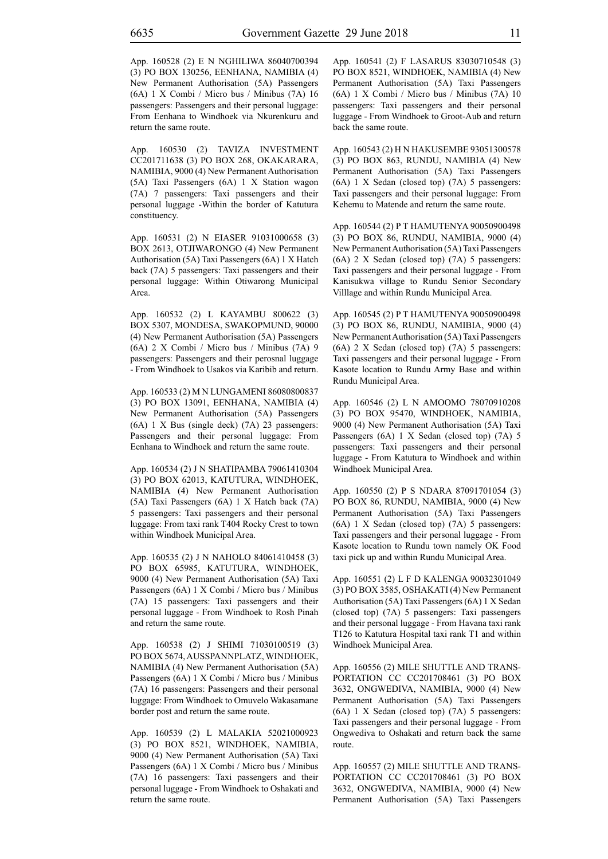App. 160528 (2) E N NGHILIWA 86040700394 (3) PO BOX 130256, EENHANA, NAMIBIA (4) New Permanent Authorisation (5A) Passengers (6A) 1 X Combi / Micro bus / Minibus (7A) 16 passengers: Passengers and their personal luggage: From Eenhana to Windhoek via Nkurenkuru and return the same route.

App. 160530 (2) TAVIZA INVESTMENT CC201711638 (3) PO BOX 268, OKAKARARA, NAMIBIA, 9000 (4) New Permanent Authorisation (5A) Taxi Passengers (6A) 1 X Station wagon (7A) 7 passengers: Taxi passengers and their personal luggage -Within the border of Katutura constituency.

App. 160531 (2) N EIASER 91031000658 (3) BOX 2613, OTJIWARONGO (4) New Permanent Authorisation (5A) Taxi Passengers (6A) 1 X Hatch back (7A) 5 passengers: Taxi passengers and their personal luggage: Within Otiwarong Municipal Area.

App. 160532 (2) L KAYAMBU 800622 (3) BOX 5307, MONDESA, SWAKOPMUND, 90000 (4) New Permanent Authorisation (5A) Passengers (6A) 2 X Combi / Micro bus / Minibus (7A) 9 passengers: Passengers and their perosnal luggage - From Windhoek to Usakos via Karibib and return.

App. 160533 (2) M N LUNGAMENI 86080800837 (3) PO BOX 13091, EENHANA, NAMIBIA (4) New Permanent Authorisation (5A) Passengers (6A) 1 X Bus (single deck) (7A) 23 passengers: Passengers and their personal luggage: From Eenhana to Windhoek and return the same route.

App. 160534 (2) J N SHATIPAMBA 79061410304 (3) PO BOX 62013, KATUTURA, WINDHOEK, NAMIBIA (4) New Permanent Authorisation (5A) Taxi Passengers (6A) 1 X Hatch back (7A) 5 passengers: Taxi passengers and their personal luggage: From taxi rank T404 Rocky Crest to town within Windhoek Municipal Area.

App. 160535 (2) J N NAHOLO 84061410458 (3) PO BOX 65985, KATUTURA, WINDHOEK, 9000 (4) New Permanent Authorisation (5A) Taxi Passengers (6A) 1 X Combi / Micro bus / Minibus (7A) 15 passengers: Taxi passengers and their personal luggage - From Windhoek to Rosh Pinah and return the same route.

App. 160538 (2) J SHIMI 71030100519 (3) PO BOX 5674, AUSSPANNPLATZ, WINDHOEK, NAMIBIA (4) New Permanent Authorisation (5A) Passengers (6A) 1 X Combi / Micro bus / Minibus (7A) 16 passengers: Passengers and their personal luggage: From Windhoek to Omuvelo Wakasamane border post and return the same route.

App. 160539 (2) L MALAKIA 52021000923 (3) PO BOX 8521, WINDHOEK, NAMIBIA, 9000 (4) New Permanent Authorisation (5A) Taxi Passengers (6A) 1 X Combi / Micro bus / Minibus (7A) 16 passengers: Taxi passengers and their personal luggage - From Windhoek to Oshakati and return the same route.

App. 160541 (2) F LASARUS 83030710548 (3) PO BOX 8521, WINDHOEK, NAMIBIA (4) New Permanent Authorisation (5A) Taxi Passengers (6A) 1 X Combi / Micro bus / Minibus (7A) 10 passengers: Taxi passengers and their personal luggage - From Windhoek to Groot-Aub and return back the same route.

App. 160543 (2) H N HAKUSEMBE 93051300578 (3) PO BOX 863, RUNDU, NAMIBIA (4) New Permanent Authorisation (5A) Taxi Passengers (6A) 1 X Sedan (closed top) (7A) 5 passengers: Taxi passengers and their personal luggage: From Kehemu to Matende and return the same route.

App. 160544 (2) P T HAMUTENYA 90050900498 (3) PO BOX 86, RUNDU, NAMIBIA, 9000 (4) New Permanent Authorisation (5A) Taxi Passengers (6A) 2 X Sedan (closed top) (7A) 5 passengers: Taxi passengers and their personal luggage - From Kanisukwa village to Rundu Senior Secondary Villlage and within Rundu Municipal Area.

App. 160545 (2) P T HAMUTENYA 90050900498 (3) PO BOX 86, RUNDU, NAMIBIA, 9000 (4) New Permanent Authorisation (5A) Taxi Passengers (6A) 2 X Sedan (closed top) (7A) 5 passengers: Taxi passengers and their personal luggage - From Kasote location to Rundu Army Base and within Rundu Municipal Area.

App. 160546 (2) L N AMOOMO 78070910208 (3) PO BOX 95470, WINDHOEK, NAMIBIA, 9000 (4) New Permanent Authorisation (5A) Taxi Passengers (6A) 1 X Sedan (closed top) (7A) 5 passengers: Taxi passengers and their personal luggage - From Katutura to Windhoek and within Windhoek Municipal Area.

App. 160550 (2) P S NDARA 87091701054 (3) PO BOX 86, RUNDU, NAMIBIA, 9000 (4) New Permanent Authorisation (5A) Taxi Passengers (6A) 1 X Sedan (closed top) (7A) 5 passengers: Taxi passengers and their personal luggage - From Kasote location to Rundu town namely OK Food taxi pick up and within Rundu Municipal Area.

App. 160551 (2) L F D KALENGA 90032301049 (3) PO BOX 3585, OSHAKATI (4) New Permanent Authorisation (5A) Taxi Passengers (6A) 1 X Sedan (closed top) (7A) 5 passengers: Taxi passengers and their personal luggage - From Havana taxi rank T126 to Katutura Hospital taxi rank T1 and within Windhoek Municipal Area.

App. 160556 (2) MILE SHUTTLE AND TRANS-PORTATION CC CC201708461 (3) PO BOX 3632, ONGWEDIVA, NAMIBIA, 9000 (4) New Permanent Authorisation (5A) Taxi Passengers (6A) 1 X Sedan (closed top) (7A) 5 passengers: Taxi passengers and their personal luggage - From Ongwediva to Oshakati and return back the same route.

App. 160557 (2) MILE SHUTTLE AND TRANS-PORTATION CC CC201708461 (3) PO BOX 3632, ONGWEDIVA, NAMIBIA, 9000 (4) New Permanent Authorisation (5A) Taxi Passengers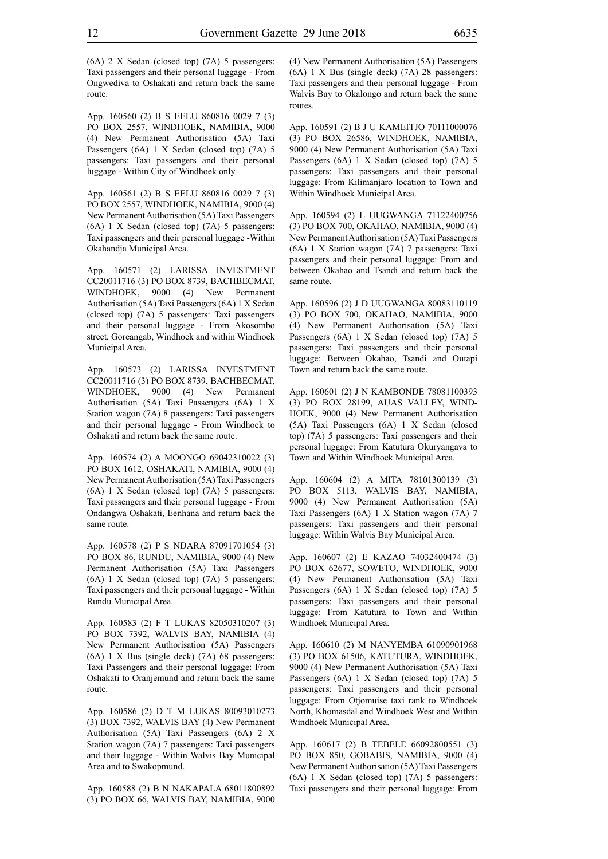(6A) 2 X Sedan (closed top) (7A) 5 passengers: Taxi passengers and their personal luggage - From Ongwediva to Oshakati and return back the same route.

App. 160560 (2) B S EELU 860816 0029 7 (3) PO BOX 2557, WINDHOEK, NAMIBIA, 9000 (4) New Permanent Authorisation (5A) Taxi Passengers (6A) 1 X Sedan (closed top) (7A) 5 passengers: Taxi passengers and their personal luggage - Within City of Windhoek only.

App. 160561 (2) B S EELU 860816 0029 7 (3) PO BOX 2557, WINDHOEK, NAMIBIA, 9000 (4) New Permanent Authorisation (5A) Taxi Passengers (6A) 1 X Sedan (closed top) (7A) 5 passengers: Taxi passengers and their personal luggage -Within Okahandja Municipal Area.

App. 160571 (2) LARISSA INVESTMENT CC20011716 (3) PO BOX 8739, BACHBECMAT, WINDHOEK, 9000 (4) New Permanent Authorisation (5A) Taxi Passengers (6A) 1 X Sedan (closed top) (7A) 5 passengers: Taxi passengers and their personal luggage - From Akosombo street, Goreangab, Windhoek and within Windhoek Municipal Area.

App. 160573 (2) LARISSA INVESTMENT CC20011716 (3) PO BOX 8739, BACHBECMAT, WINDHOEK, 9000 (4) New Permanent Authorisation (5A) Taxi Passengers (6A) 1 X Station wagon (7A) 8 passengers: Taxi passengers and their personal luggage - From Windhoek to Oshakati and return back the same route.

App. 160574 (2) A MOONGO 69042310022 (3) PO BOX 1612, OSHAKATI, NAMIBIA, 9000 (4) New Permanent Authorisation (5A) Taxi Passengers (6A) 1 X Sedan (closed top) (7A) 5 passengers: Taxi passengers and their personal luggage - From Ondangwa Oshakati, Eenhana and return back the same route.

App. 160578 (2) P S NDARA 87091701054 (3) PO BOX 86, RUNDU, NAMIBIA, 9000 (4) New Permanent Authorisation (5A) Taxi Passengers (6A) 1 X Sedan (closed top) (7A) 5 passengers: Taxi passengers and their personal luggage - Within Rundu Municipal Area.

App. 160583 (2) F T LUKAS 82050310207 (3) PO BOX 7392, WALVIS BAY, NAMIBIA (4) New Permanent Authorisation (5A) Passengers (6A) 1 X Bus (single deck) (7A) 68 passengers: Taxi Passengers and their personal luggage: From Oshakati to Oranjemund and return back the same route.

App. 160586 (2) D T M LUKAS 80093010273 (3) BOX 7392, WALVIS BAY (4) New Permanent Authorisation (5A) Taxi Passengers (6A) 2 X Station wagon (7A) 7 passengers: Taxi passengers and their luggage - Within Walvis Bay Municipal Area and to Swakopmund.

App. 160588 (2) B N NAKAPALA 68011800892 (3) PO BOX 66, WALVIS BAY, NAMIBIA, 9000 (4) New Permanent Authorisation (5A) Passengers (6A) 1 X Bus (single deck) (7A) 28 passengers: Taxi passengers and their personal luggage - From Walvis Bay to Okalongo and return back the same routes.

App. 160591 (2) B J U KAMEITJO 70111000076 (3) PO BOX 26586, WINDHOEK, NAMIBIA, 9000 (4) New Permanent Authorisation (5A) Taxi Passengers (6A) 1 X Sedan (closed top) (7A) 5 passengers: Taxi passengers and their personal luggage: From Kilimanjaro location to Town and Within Windhoek Municipal Area.

App. 160594 (2) L UUGWANGA 71122400756 (3) PO BOX 700, OKAHAO, NAMIBIA, 9000 (4) New Permanent Authorisation (5A) Taxi Passengers (6A) 1 X Station wagon (7A) 7 passengers: Taxi passengers and their personal luggage: From and between Okahao and Tsandi and return back the same route.

App. 160596 (2) J D UUGWANGA 80083110119 (3) PO BOX 700, OKAHAO, NAMIBIA, 9000 (4) New Permanent Authorisation (5A) Taxi Passengers (6A) 1 X Sedan (closed top) (7A) 5 passengers: Taxi passengers and their personal luggage: Between Okahao, Tsandi and Outapi Town and return back the same route.

App. 160601 (2) J N KAMBONDE 78081100393 (3) PO BOX 28199, AUAS VALLEY, WIND-HOEK, 9000 (4) New Permanent Authorisation (5A) Taxi Passengers (6A) 1 X Sedan (closed top) (7A) 5 passengers: Taxi passengers and their personal luggage: From Katutura Okuryangava to Town and Within Windhoek Municipal Area.

App. 160604 (2) A MITA 78101300139 (3) PO BOX 5113, WALVIS BAY, NAMIBIA, 9000 (4) New Permanent Authorisation (5A) Taxi Passengers (6A) 1 X Station wagon (7A) 7 passengers: Taxi passengers and their personal luggage: Within Walvis Bay Municipal Area.

App. 160607 (2) E KAZAO 74032400474 (3) PO BOX 62677, SOWETO, WINDHOEK, 9000 (4) New Permanent Authorisation (5A) Taxi Passengers (6A) 1 X Sedan (closed top) (7A) 5 passengers: Taxi passengers and their personal luggage: From Katutura to Town and Within Windhoek Municipal Area.

App. 160610 (2) M NANYEMBA 61090901968 (3) PO BOX 61506, KATUTURA, WINDHOEK, 9000 (4) New Permanent Authorisation (5A) Taxi Passengers (6A) 1 X Sedan (closed top) (7A) 5 passengers: Taxi passengers and their personal luggage: From Otjomuise taxi rank to Windhoek North, Khomasdal and Windhoek West and Within Windhoek Municipal Area.

App. 160617 (2) B TEBELE 66092800551 (3) PO BOX 850, GOBABIS, NAMIBIA, 9000 (4) New Permanent Authorisation (5A) Taxi Passengers (6A) 1 X Sedan (closed top) (7A) 5 passengers: Taxi passengers and their personal luggage: From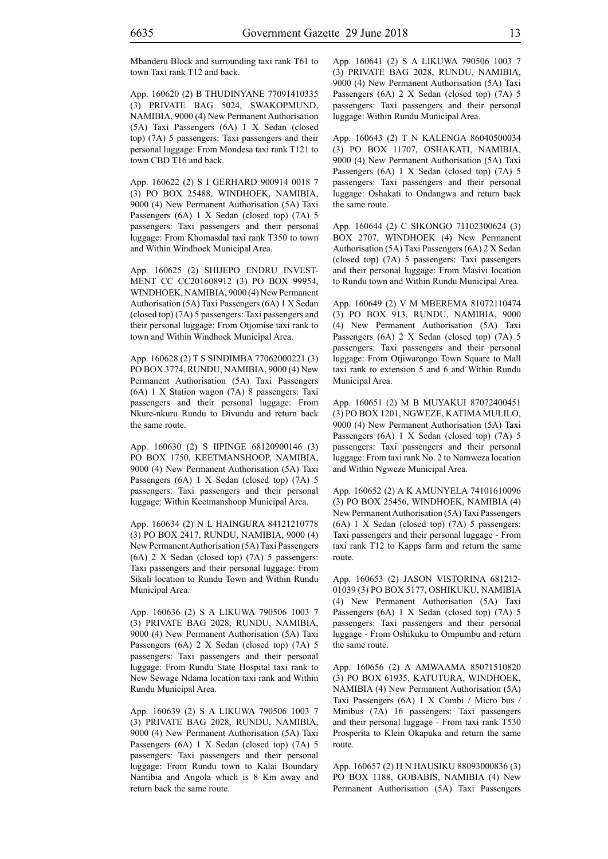Mbanderu Block and surrounding taxi rank T61 to town Taxi rank T12 and back.

App. 160620 (2) B THUDINYANE 77091410335 (3) PRIVATE BAG 5024, SWAKOPMUND, NAMIBIA, 9000 (4) New Permanent Authorisation (5A) Taxi Passengers (6A) 1 X Sedan (closed top) (7A) 5 passengers: Taxi passengers and their personal luggage: From Mondesa taxi rank T121 to town CBD T16 and back.

App. 160622 (2) S I GERHARD 900914 0018 7 (3) PO BOX 25488, WINDHOEK, NAMIBIA, 9000 (4) New Permanent Authorisation (5A) Taxi Passengers (6A) 1 X Sedan (closed top) (7A) 5 passengers: Taxi passengers and their personal luggage: From Khomasdal taxi rank T350 to town and Within Windhoek Municipal Area.

App. 160625 (2) SHIJEPO ENDRU INVEST-MENT CC CC201608912 (3) PO BOX 99954, WINDHOEK, NAMIBIA, 9000 (4) New Permanent Authorisation (5A) Taxi Passengers (6A) 1 X Sedan (closed top) (7A) 5 passengers: Taxi passengers and their personal luggage: From Otjomise taxi rank to town and Within Windhoek Municipal Area.

App. 160628 (2) T S SINDIMBA 77062000221 (3) PO BOX 3774, RUNDU, NAMIBIA, 9000 (4) New Permanent Authorisation (5A) Taxi Passengers (6A) 1 X Station wagon (7A) 8 passengers: Taxi passengers and their personal luggage: From Nkure-nkuru Rundu to Divundu and return back the same route.

App. 160630 (2) S IIPINGE 68120900146 (3) PO BOX 1750, KEETMANSHOOP, NAMIBIA, 9000 (4) New Permanent Authorisation (5A) Taxi Passengers (6A) 1 X Sedan (closed top) (7A) 5 passengers: Taxi passengers and their personal luggage: Within Keetmanshoop Municipal Area.

App. 160634 (2) N L HAINGURA 84121210778 (3) PO BOX 2417, RUNDU, NAMIBIA, 9000 (4) New Permanent Authorisation (5A) Taxi Passengers (6A) 2 X Sedan (closed top) (7A) 5 passengers: Taxi passengers and their personal luggage: From Sikali location to Rundu Town and Within Rundu Municipal Area.

App. 160636 (2) S A LIKUWA 790506 1003 7 (3) PRIVATE BAG 2028, RUNDU, NAMIBIA, 9000 (4) New Permanent Authorisation (5A) Taxi Passengers (6A) 2 X Sedan (closed top) (7A) 5 passengers: Taxi passengers and their personal luggage: From Rundu State Hospital taxi rank to New Sewage Ndama location taxi rank and Within Rundu Municipal Area.

App. 160639 (2) S A LIKUWA 790506 1003 7 (3) PRIVATE BAG 2028, RUNDU, NAMIBIA, 9000 (4) New Permanent Authorisation (5A) Taxi Passengers (6A) 1 X Sedan (closed top) (7A) 5 passengers: Taxi passengers and their personal luggage: From Rundu town to Kalai Boundary Namibia and Angola which is 8 Km away and return back the same route.

App. 160641 (2) S A LIKUWA 790506 1003 7 (3) PRIVATE BAG 2028, RUNDU, NAMIBIA, 9000 (4) New Permanent Authorisation (5A) Taxi Passengers (6A) 2 X Sedan (closed top) (7A) 5 passengers: Taxi passengers and their personal luggage: Within Rundu Municipal Area.

App. 160643 (2) T N KALENGA 86040500034 (3) PO BOX 11707, OSHAKATI, NAMIBIA, 9000 (4) New Permanent Authorisation (5A) Taxi Passengers (6A) 1 X Sedan (closed top) (7A) 5 passengers: Taxi passengers and their personal luggage: Oshakati to Ondangwa and return back the same route.

App. 160644 (2) C SIKONGO 71102300624 (3) BOX 2707, WINDHOEK (4) New Permanent Authorisation (5A) Taxi Passengers (6A) 2 X Sedan (closed top) (7A) 5 passengers: Taxi passengers and their personal luggage: From Masivi location to Rundu town and Within Rundu Municipal Area.

App. 160649 (2) V M MBEREMA 81072110474 (3) PO BOX 913, RUNDU, NAMIBIA, 9000 (4) New Permanent Authorisation (5A) Taxi Passengers (6A) 2 X Sedan (closed top) (7A) 5 passengers: Taxi passengers and their personal luggage: From Otjiwarongo Town Square to Mall taxi rank to extension 5 and 6 and Within Rundu Municipal Area.

App. 160651 (2) M B MUYAKUI 87072400451 (3) PO BOX 1201, NGWEZE, KATIMA MULILO, 9000 (4) New Permanent Authorisation (5A) Taxi Passengers (6A) 1 X Sedan (closed top) (7A) 5 passengers: Taxi passengers and their personal luggage: From taxi rank No. 2 to Namweza location and Within Ngweze Municipal Area.

App. 160652 (2) A K AMUNYELA 74101610096 (3) PO BOX 25456, WINDHOEK, NAMIBIA (4) New Permanent Authorisation (5A) Taxi Passengers (6A) 1 X Sedan (closed top) (7A) 5 passengers: Taxi passengers and their personal luggage - From taxi rank T12 to Kapps farm and return the same route.

App. 160653 (2) JASON VISTORINA 681212- 01039 (3) PO BOX 5177, OSHIKUKU, NAMIBIA (4) New Permanent Authorisation (5A) Taxi Passengers (6A) 1 X Sedan (closed top) (7A) 5 passengers: Taxi passengers and their personal luggage - From Oshikuku to Ompumbu and return the same route.

App. 160656 (2) A AMWAAMA 85071510820 (3) PO BOX 61935, KATUTURA, WINDHOEK, NAMIBIA (4) New Permanent Authorisation (5A) Taxi Passengers (6A) 1 X Combi / Micro bus / Minibus (7A) 16 passengers: Taxi passengers and their personal luggage - From taxi rank T530 Prosperita to Klein Okapuka and return the same route.

App. 160657 (2) H N HAUSIKU 88093000836 (3) PO BOX 1188, GOBABIS, NAMIBIA (4) New Permanent Authorisation (5A) Taxi Passengers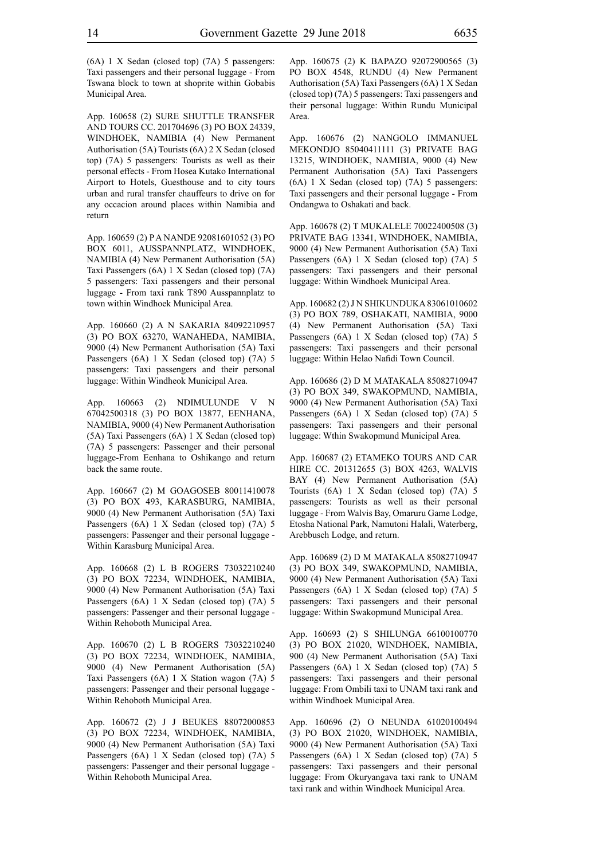App. 160658 (2) SURE SHUTTLE TRANSFER AND TOURS CC. 201704696 (3) PO BOX 24339, WINDHOEK, NAMIBIA (4) New Permanent Authorisation (5A) Tourists (6A) 2 X Sedan (closed top) (7A) 5 passengers: Tourists as well as their personal effects - From Hosea Kutako International Airport to Hotels, Guesthouse and to city tours urban and rural transfer chauffeurs to drive on for any occacion around places within Namibia and return

App. 160659 (2) P A NANDE 92081601052 (3) PO BOX 6011, AUSSPANNPLATZ, WINDHOEK, NAMIBIA (4) New Permanent Authorisation (5A) Taxi Passengers (6A) 1 X Sedan (closed top) (7A) 5 passengers: Taxi passengers and their personal luggage - From taxi rank T890 Ausspannplatz to town within Windhoek Municipal Area.

App. 160660 (2) A N SAKARIA 84092210957 (3) PO BOX 63270, WANAHEDA, NAMIBIA, 9000 (4) New Permanent Authorisation (5A) Taxi Passengers (6A) 1 X Sedan (closed top) (7A) 5 passengers: Taxi passengers and their personal luggage: Within Windheok Municipal Area.

App. 160663 (2) NDIMULUNDE V N 67042500318 (3) PO BOX 13877, EENHANA, NAMIBIA, 9000 (4) New Permanent Authorisation (5A) Taxi Passengers (6A) 1 X Sedan (closed top) (7A) 5 passengers: Passenger and their personal luggage-From Eenhana to Oshikango and return back the same route.

App. 160667 (2) M GOAGOSEB 80011410078 (3) PO BOX 493, KARASBURG, NAMIBIA, 9000 (4) New Permanent Authorisation (5A) Taxi Passengers (6A) 1 X Sedan (closed top) (7A) 5 passengers: Passenger and their personal luggage - Within Karasburg Municipal Area.

App. 160668 (2) L B ROGERS 73032210240 (3) PO BOX 72234, WINDHOEK, NAMIBIA, 9000 (4) New Permanent Authorisation (5A) Taxi Passengers (6A) 1 X Sedan (closed top) (7A) 5 passengers: Passenger and their personal luggage - Within Rehoboth Municipal Area.

App. 160670 (2) L B ROGERS 73032210240 (3) PO BOX 72234, WINDHOEK, NAMIBIA, 9000 (4) New Permanent Authorisation (5A) Taxi Passengers (6A) 1 X Station wagon (7A) 5 passengers: Passenger and their personal luggage - Within Rehoboth Municipal Area.

App. 160672 (2) J J BEUKES 88072000853 (3) PO BOX 72234, WINDHOEK, NAMIBIA, 9000 (4) New Permanent Authorisation (5A) Taxi Passengers (6A) 1 X Sedan (closed top) (7A) 5 passengers: Passenger and their personal luggage - Within Rehoboth Municipal Area.

App. 160675 (2) K BAPAZO 92072900565 (3) PO BOX 4548, RUNDU (4) New Permanent Authorisation (5A) Taxi Passengers (6A) 1 X Sedan (closed top) (7A) 5 passengers: Taxi passengers and their personal luggage: Within Rundu Municipal Area.

App. 160676 (2) NANGOLO IMMANUEL MEKONDJO 85040411111 (3) PRIVATE BAG 13215, WINDHOEK, NAMIBIA, 9000 (4) New Permanent Authorisation (5A) Taxi Passengers (6A) 1 X Sedan (closed top) (7A) 5 passengers: Taxi passengers and their personal luggage - From Ondangwa to Oshakati and back.

App. 160678 (2) T MUKALELE 70022400508 (3) PRIVATE BAG 13341, WINDHOEK, NAMIBIA, 9000 (4) New Permanent Authorisation (5A) Taxi Passengers (6A) 1 X Sedan (closed top) (7A) 5 passengers: Taxi passengers and their personal luggage: Within Windhoek Municipal Area.

App. 160682 (2) J N SHIKUNDUKA 83061010602 (3) PO BOX 789, OSHAKATI, NAMIBIA, 9000 (4) New Permanent Authorisation (5A) Taxi Passengers (6A) 1 X Sedan (closed top) (7A) 5 passengers: Taxi passengers and their personal luggage: Within Helao Nafidi Town Council.

App. 160686 (2) D M MATAKALA 85082710947 (3) PO BOX 349, SWAKOPMUND, NAMIBIA, 9000 (4) New Permanent Authorisation (5A) Taxi Passengers (6A) 1 X Sedan (closed top) (7A) 5 passengers: Taxi passengers and their personal luggage: Wthin Swakopmund Municipal Area.

App. 160687 (2) ETAMEKO TOURS AND CAR HIRE CC. 201312655 (3) BOX 4263, WALVIS BAY (4) New Permanent Authorisation (5A) Tourists (6A) 1 X Sedan (closed top) (7A) 5 passengers: Tourists as well as their personal luggage - From Walvis Bay, Omaruru Game Lodge, Etosha National Park, Namutoni Halali, Waterberg, Arebbusch Lodge, and return.

App. 160689 (2) D M MATAKALA 85082710947 (3) PO BOX 349, SWAKOPMUND, NAMIBIA, 9000 (4) New Permanent Authorisation (5A) Taxi Passengers (6A) 1 X Sedan (closed top) (7A) 5 passengers: Taxi passengers and their personal luggage: Within Swakopmund Municipal Area.

App. 160693 (2) S SHILUNGA 66100100770 (3) PO BOX 21020, WINDHOEK, NAMIBIA, 900 (4) New Permanent Authorisation (5A) Taxi Passengers (6A) 1 X Sedan (closed top) (7A) 5 passengers: Taxi passengers and their personal luggage: From Ombili taxi to UNAM taxi rank and within Windhoek Municipal Area.

App. 160696 (2) O NEUNDA 61020100494 (3) PO BOX 21020, WINDHOEK, NAMIBIA, 9000 (4) New Permanent Authorisation (5A) Taxi Passengers (6A) 1 X Sedan (closed top) (7A) 5 passengers: Taxi passengers and their personal luggage: From Okuryangava taxi rank to UNAM taxi rank and within Windhoek Municipal Area.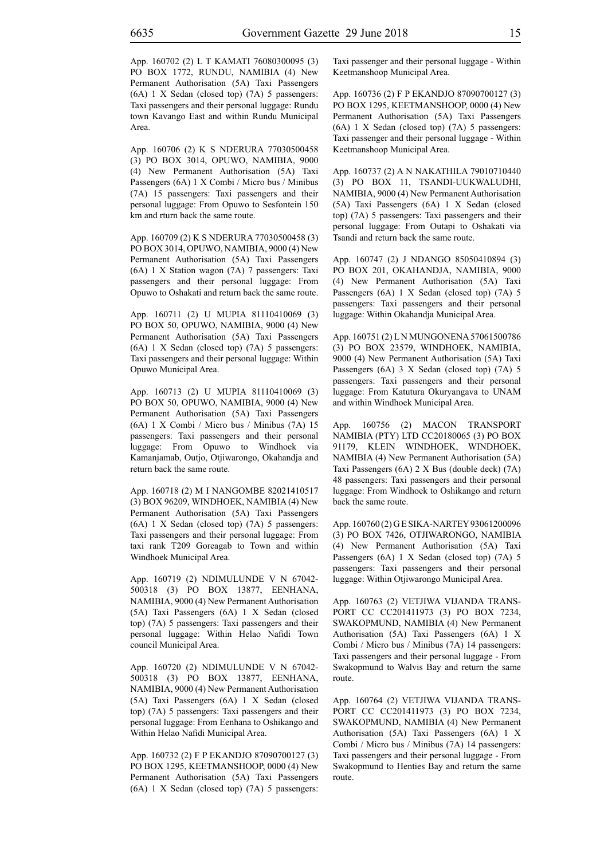App. 160702 (2) L T KAMATI 76080300095 (3) PO BOX 1772, RUNDU, NAMIBIA (4) New Permanent Authorisation (5A) Taxi Passengers (6A) 1 X Sedan (closed top) (7A) 5 passengers: Taxi passengers and their personal luggage: Rundu town Kavango East and within Rundu Municipal Area.

App. 160706 (2) K S NDERURA 77030500458 (3) PO BOX 3014, OPUWO, NAMIBIA, 9000 (4) New Permanent Authorisation (5A) Taxi Passengers (6A) 1 X Combi / Micro bus / Minibus (7A) 15 passengers: Taxi passengers and their personal luggage: From Opuwo to Sesfontein 150 km and rturn back the same route.

App. 160709 (2) K S NDERURA 77030500458 (3) PO BOX 3014, OPUWO, NAMIBIA, 9000 (4) New Permanent Authorisation (5A) Taxi Passengers (6A) 1 X Station wagon (7A) 7 passengers: Taxi passengers and their personal luggage: From Opuwo to Oshakati and return back the same route.

App. 160711 (2) U MUPIA 81110410069 (3) PO BOX 50, OPUWO, NAMIBIA, 9000 (4) New Permanent Authorisation (5A) Taxi Passengers (6A) 1 X Sedan (closed top) (7A) 5 passengers: Taxi passengers and their personal luggage: Within Opuwo Municipal Area.

App. 160713 (2) U MUPIA 81110410069 (3) PO BOX 50, OPUWO, NAMIBIA, 9000 (4) New Permanent Authorisation (5A) Taxi Passengers (6A) 1 X Combi / Micro bus / Minibus (7A) 15 passengers: Taxi passengers and their personal luggage: From Opuwo to Windhoek via Kamanjamab, Outjo, Otjiwarongo, Okahandja and return back the same route.

App. 160718 (2) M I NANGOMBE 82021410517 (3) BOX 96209, WINDHOEK, NAMIBIA (4) New Permanent Authorisation (5A) Taxi Passengers (6A) 1 X Sedan (closed top) (7A) 5 passengers: Taxi passengers and their personal luggage: From taxi rank T209 Goreagab to Town and within Windhoek Municipal Area.

App. 160719 (2) NDIMULUNDE V N 67042- 500318 (3) PO BOX 13877, EENHANA, NAMIBIA, 9000 (4) New Permanent Authorisation (5A) Taxi Passengers (6A) 1 X Sedan (closed top) (7A) 5 passengers: Taxi passengers and their personal luggage: Within Helao Nafidi Town council Municipal Area.

App. 160720 (2) NDIMULUNDE V N 67042- 500318 (3) PO BOX 13877, EENHANA, NAMIBIA, 9000 (4) New Permanent Authorisation (5A) Taxi Passengers (6A) 1 X Sedan (closed top) (7A) 5 passengers: Taxi passengers and their personal luggage: From Eenhana to Oshikango and Within Helao Nafidi Municipal Area.

App. 160732 (2) F P EKANDJO 87090700127 (3) PO BOX 1295, KEETMANSHOOP, 0000 (4) New Permanent Authorisation (5A) Taxi Passengers (6A) 1 X Sedan (closed top) (7A) 5 passengers: Taxi passenger and their personal luggage - Within Keetmanshoop Municipal Area.

App. 160736 (2) F P EKANDJO 87090700127 (3) PO BOX 1295, KEETMANSHOOP, 0000 (4) New Permanent Authorisation (5A) Taxi Passengers (6A) 1 X Sedan (closed top) (7A) 5 passengers: Taxi passenger and their personal luggage - Within Keetmanshoop Municipal Area.

App. 160737 (2) A N NAKATHILA 79010710440 (3) PO BOX 11, TSANDI-UUKWALUDHI, NAMIBIA, 9000 (4) New Permanent Authorisation (5A) Taxi Passengers (6A) 1 X Sedan (closed top) (7A) 5 passengers: Taxi passengers and their personal luggage: From Outapi to Oshakati via Tsandi and return back the same route.

App. 160747 (2) J NDANGO 85050410894 (3) PO BOX 201, OKAHANDJA, NAMIBIA, 9000 (4) New Permanent Authorisation (5A) Taxi Passengers (6A) 1 X Sedan (closed top) (7A) 5 passengers: Taxi passengers and their personal luggage: Within Okahandja Municipal Area.

App. 160751 (2) L N MUNGONENA 57061500786 (3) PO BOX 23579, WINDHOEK, NAMIBIA, 9000 (4) New Permanent Authorisation (5A) Taxi Passengers (6A) 3 X Sedan (closed top) (7A) 5 passengers: Taxi passengers and their personal luggage: From Katutura Okuryangava to UNAM and within Windhoek Municipal Area.

App. 160756 (2) MACON TRANSPORT NAMIBIA (PTY) LTD CC20180065 (3) PO BOX 91179, KLEIN WINDHOEK, WINDHOEK, NAMIBIA (4) New Permanent Authorisation (5A) Taxi Passengers (6A) 2 X Bus (double deck) (7A) 48 passengers: Taxi passengers and their personal luggage: From Windhoek to Oshikango and return back the same route.

App. 160760 (2) G E SIKA-NARTEY 93061200096 (3) PO BOX 7426, OTJIWARONGO, NAMIBIA (4) New Permanent Authorisation (5A) Taxi Passengers (6A) 1 X Sedan (closed top) (7A) 5 passengers: Taxi passengers and their personal luggage: Within Otjiwarongo Municipal Area.

App. 160763 (2) VETJIWA VIJANDA TRANS-PORT CC CC201411973 (3) PO BOX 7234, SWAKOPMUND, NAMIBIA (4) New Permanent Authorisation (5A) Taxi Passengers (6A) 1 X Combi / Micro bus / Minibus (7A) 14 passengers: Taxi passengers and their personal luggage - From Swakopmund to Walvis Bay and return the same route.

App. 160764 (2) VETJIWA VIJANDA TRANS-PORT CC CC201411973 (3) PO BOX 7234, SWAKOPMUND, NAMIBIA (4) New Permanent Authorisation (5A) Taxi Passengers (6A) 1 X Combi / Micro bus / Minibus (7A) 14 passengers: Taxi passengers and their personal luggage - From Swakopmund to Henties Bay and return the same route.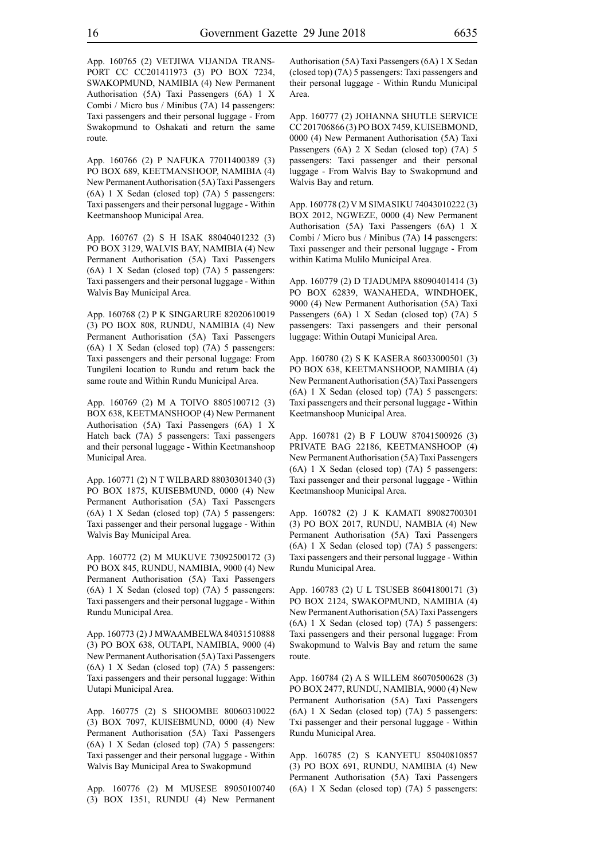App. 160765 (2) VETJIWA VIJANDA TRANS-PORT CC CC201411973 (3) PO BOX 7234, SWAKOPMUND, NAMIBIA (4) New Permanent Authorisation (5A) Taxi Passengers (6A) 1 X Combi / Micro bus / Minibus (7A) 14 passengers: Taxi passengers and their personal luggage - From Swakopmund to Oshakati and return the same route.

App. 160766 (2) P NAFUKA 77011400389 (3) PO BOX 689, KEETMANSHOOP, NAMIBIA (4) New Permanent Authorisation (5A) Taxi Passengers (6A) 1 X Sedan (closed top) (7A) 5 passengers: Taxi passengers and their personal luggage - Within Keetmanshoop Municipal Area.

App. 160767 (2) S H ISAK 88040401232 (3) PO BOX 3129, WALVIS BAY, NAMIBIA (4) New Permanent Authorisation (5A) Taxi Passengers (6A) 1 X Sedan (closed top) (7A) 5 passengers: Taxi passengers and their personal luggage - Within Walvis Bay Municipal Area.

App. 160768 (2) P K SINGARURE 82020610019 (3) PO BOX 808, RUNDU, NAMIBIA (4) New Permanent Authorisation (5A) Taxi Passengers (6A) 1 X Sedan (closed top) (7A) 5 passengers: Taxi passengers and their personal luggage: From Tungileni location to Rundu and return back the same route and Within Rundu Municipal Area.

App. 160769 (2) M A TOIVO 8805100712 (3) BOX 638, KEETMANSHOOP (4) New Permanent Authorisation (5A) Taxi Passengers (6A) 1 X Hatch back (7A) 5 passengers: Taxi passengers and their personal luggage - Within Keetmanshoop Municipal Area.

App. 160771 (2) N T WILBARD 88030301340 (3) PO BOX 1875, KUISEBMUND, 0000 (4) New Permanent Authorisation (5A) Taxi Passengers (6A) 1 X Sedan (closed top) (7A) 5 passengers: Taxi passenger and their personal luggage - Within Walvis Bay Municipal Area.

App. 160772 (2) M MUKUVE 73092500172 (3) PO BOX 845, RUNDU, NAMIBIA, 9000 (4) New Permanent Authorisation (5A) Taxi Passengers (6A) 1 X Sedan (closed top) (7A) 5 passengers: Taxi passengers and their personal luggage - Within Rundu Municipal Area.

App. 160773 (2) J MWAAMBELWA 84031510888 (3) PO BOX 638, OUTAPI, NAMIBIA, 9000 (4) New Permanent Authorisation (5A) Taxi Passengers (6A) 1 X Sedan (closed top) (7A) 5 passengers: Taxi passengers and their personal luggage: Within Uutapi Municipal Area.

App. 160775 (2) S SHOOMBE 80060310022 (3) BOX 7097, KUISEBMUND, 0000 (4) New Permanent Authorisation (5A) Taxi Passengers (6A) 1 X Sedan (closed top) (7A) 5 passengers: Taxi passenger and their personal luggage - Within Walvis Bay Municipal Area to Swakopmund

App. 160776 (2) M MUSESE 89050100740 (3) BOX 1351, RUNDU (4) New Permanent Authorisation (5A) Taxi Passengers (6A) 1 X Sedan (closed top) (7A) 5 passengers: Taxi passengers and their personal luggage - Within Rundu Municipal Area.

App. 160777 (2) JOHANNA SHUTLE SERVICE CC 201706866 (3) PO BOX 7459, KUISEBMOND, 0000 (4) New Permanent Authorisation (5A) Taxi Passengers (6A) 2 X Sedan (closed top) (7A) 5 passengers: Taxi passenger and their personal luggage - From Walvis Bay to Swakopmund and Walvis Bay and return.

App. 160778 (2) V M SIMASIKU 74043010222 (3) BOX 2012, NGWEZE, 0000 (4) New Permanent Authorisation (5A) Taxi Passengers (6A) 1 X Combi / Micro bus / Minibus (7A) 14 passengers: Taxi passenger and their personal luggage - From within Katima Mulilo Municipal Area.

App. 160779 (2) D TJADUMPA 88090401414 (3) PO BOX 62839, WANAHEDA, WINDHOEK, 9000 (4) New Permanent Authorisation (5A) Taxi Passengers (6A) 1 X Sedan (closed top) (7A) 5 passengers: Taxi passengers and their personal luggage: Within Outapi Municipal Area.

App. 160780 (2) S K KASERA 86033000501 (3) PO BOX 638, KEETMANSHOOP, NAMIBIA (4) New Permanent Authorisation (5A) Taxi Passengers (6A) 1 X Sedan (closed top) (7A) 5 passengers: Taxi passengers and their personal luggage - Within Keetmanshoop Municipal Area.

App. 160781 (2) B F LOUW 87041500926 (3) PRIVATE BAG 22186, KEETMANSHOOP (4) New Permanent Authorisation (5A) Taxi Passengers (6A) 1 X Sedan (closed top) (7A) 5 passengers: Taxi passenger and their personal luggage - Within Keetmanshoop Municipal Area.

App. 160782 (2) J K KAMATI 89082700301 (3) PO BOX 2017, RUNDU, NAMBIA (4) New Permanent Authorisation (5A) Taxi Passengers (6A) 1 X Sedan (closed top) (7A) 5 passengers: Taxi passengers and their personal luggage - Within Rundu Municipal Area.

App. 160783 (2) U L TSUSEB 86041800171 (3) PO BOX 2124, SWAKOPMUND, NAMIBIA (4) New Permanent Authorisation (5A) Taxi Passengers (6A) 1 X Sedan (closed top) (7A) 5 passengers: Taxi passengers and their personal luggage: From Swakopmund to Walvis Bay and return the same route.

App. 160784 (2) A S WILLEM 86070500628 (3) PO BOX 2477, RUNDU, NAMIBIA, 9000 (4) New Permanent Authorisation (5A) Taxi Passengers (6A) 1 X Sedan (closed top) (7A) 5 passengers: Txi passenger and their personal luggage - Within Rundu Municipal Area.

App. 160785 (2) S KANYETU 85040810857 (3) PO BOX 691, RUNDU, NAMIBIA (4) New Permanent Authorisation (5A) Taxi Passengers (6A) 1 X Sedan (closed top) (7A) 5 passengers: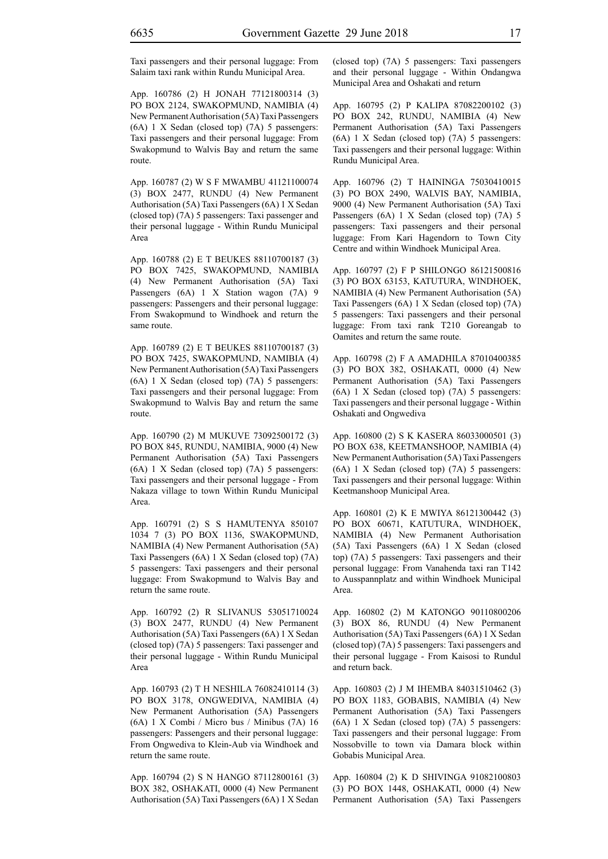Taxi passengers and their personal luggage: From Salaim taxi rank within Rundu Municipal Area.

App. 160786 (2) H JONAH 77121800314 (3) PO BOX 2124, SWAKOPMUND, NAMIBIA (4) New Permanent Authorisation (5A) Taxi Passengers (6A) 1 X Sedan (closed top) (7A) 5 passengers: Taxi passengers and their personal luggage: From Swakopmund to Walvis Bay and return the same route.

App. 160787 (2) W S F MWAMBU 41121100074 (3) BOX 2477, RUNDU (4) New Permanent Authorisation (5A) Taxi Passengers (6A) 1 X Sedan (closed top) (7A) 5 passengers: Taxi passenger and their personal luggage - Within Rundu Municipal Area

App. 160788 (2) E T BEUKES 88110700187 (3) PO BOX 7425, SWAKOPMUND, NAMIBIA (4) New Permanent Authorisation (5A) Taxi Passengers (6A) 1 X Station wagon (7A) 9 passengers: Passengers and their personal luggage: From Swakopmund to Windhoek and return the same route.

App. 160789 (2) E T BEUKES 88110700187 (3) PO BOX 7425, SWAKOPMUND, NAMIBIA (4) New Permanent Authorisation (5A) Taxi Passengers (6A) 1 X Sedan (closed top) (7A) 5 passengers: Taxi passengers and their personal luggage: From Swakopmund to Walvis Bay and return the same route.

App. 160790 (2) M MUKUVE 73092500172 (3) PO BOX 845, RUNDU, NAMIBIA, 9000 (4) New Permanent Authorisation (5A) Taxi Passengers (6A) 1 X Sedan (closed top) (7A) 5 passengers: Taxi passengers and their personal luggage - From Nakaza village to town Within Rundu Municipal Area.

App. 160791 (2) S S HAMUTENYA 850107 1034 7 (3) PO BOX 1136, SWAKOPMUND, NAMIBIA (4) New Permanent Authorisation (5A) Taxi Passengers (6A) 1 X Sedan (closed top) (7A) 5 passengers: Taxi passengers and their personal luggage: From Swakopmund to Walvis Bay and return the same route.

App. 160792 (2) R SLIVANUS 53051710024 (3) BOX 2477, RUNDU (4) New Permanent Authorisation (5A) Taxi Passengers (6A) 1 X Sedan (closed top) (7A) 5 passengers: Taxi passenger and their personal luggage - Within Rundu Municipal Area

App. 160793 (2) T H NESHILA 76082410114 (3) PO BOX 3178, ONGWEDIVA, NAMIBIA (4) New Permanent Authorisation (5A) Passengers (6A) 1 X Combi / Micro bus / Minibus (7A) 16 passengers: Passengers and their personal luggage: From Ongwediva to Klein-Aub via Windhoek and return the same route.

App. 160794 (2) S N HANGO 87112800161 (3) BOX 382, OSHAKATI, 0000 (4) New Permanent Authorisation (5A) Taxi Passengers (6A) 1 X Sedan (closed top) (7A) 5 passengers: Taxi passengers and their personal luggage - Within Ondangwa Municipal Area and Oshakati and return

App. 160795 (2) P KALIPA 87082200102 (3) PO BOX 242, RUNDU, NAMIBIA (4) New Permanent Authorisation (5A) Taxi Passengers (6A) 1 X Sedan (closed top) (7A) 5 passengers: Taxi passengers and their personal luggage: Within Rundu Municipal Area.

App. 160796 (2) T HAININGA 75030410015 (3) PO BOX 2490, WALVIS BAY, NAMIBIA, 9000 (4) New Permanent Authorisation (5A) Taxi Passengers (6A) 1 X Sedan (closed top) (7A) 5 passengers: Taxi passengers and their personal luggage: From Kari Hagendorn to Town City Centre and within Windhoek Municipal Area.

App. 160797 (2) F P SHILONGO 86121500816 (3) PO BOX 63153, KATUTURA, WINDHOEK, NAMIBIA (4) New Permanent Authorisation (5A) Taxi Passengers (6A) 1 X Sedan (closed top) (7A) 5 passengers: Taxi passengers and their personal luggage: From taxi rank T210 Goreangab to Oamites and return the same route.

App. 160798 (2) F A AMADHILA 87010400385 (3) PO BOX 382, OSHAKATI, 0000 (4) New Permanent Authorisation (5A) Taxi Passengers (6A) 1 X Sedan (closed top) (7A) 5 passengers: Taxi passengers and their personal luggage - Within Oshakati and Ongwediva

App. 160800 (2) S K KASERA 86033000501 (3) PO BOX 638, KEETMANSHOOP, NAMIBIA (4) New Permanent Authorisation (5A) Taxi Passengers (6A) 1 X Sedan (closed top) (7A) 5 passengers: Taxi passengers and their personal luggage: Within Keetmanshoop Municipal Area.

App. 160801 (2) K E MWIYA 86121300442 (3) PO BOX 60671, KATUTURA, WINDHOEK, NAMIBIA (4) New Permanent Authorisation (5A) Taxi Passengers (6A) 1 X Sedan (closed top) (7A) 5 passengers: Taxi passengers and their personal luggage: From Vanahenda taxi ran T142 to Ausspannplatz and within Windhoek Municipal Area.

App. 160802 (2) M KATONGO 90110800206 (3) BOX 86, RUNDU (4) New Permanent Authorisation (5A) Taxi Passengers (6A) 1 X Sedan (closed top) (7A) 5 passengers: Taxi passengers and their personal luggage - From Kaisosi to Rundul and return back.

App. 160803 (2) J M IHEMBA 84031510462 (3) PO BOX 1183, GOBABIS, NAMIBIA (4) New Permanent Authorisation (5A) Taxi Passengers (6A) 1 X Sedan (closed top) (7A) 5 passengers: Taxi passengers and their personal luggage: From Nossobville to town via Damara block within Gobabis Municipal Area.

App. 160804 (2) K D SHIVINGA 91082100803 (3) PO BOX 1448, OSHAKATI, 0000 (4) New Permanent Authorisation (5A) Taxi Passengers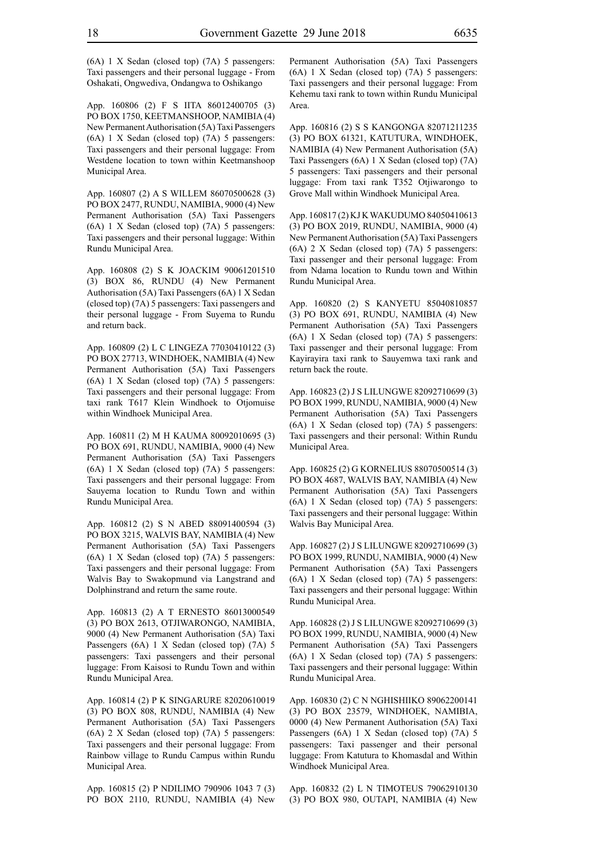(6A) 1 X Sedan (closed top) (7A) 5 passengers: Taxi passengers and their personal luggage - From Oshakati, Ongwediva, Ondangwa to Oshikango

App. 160806 (2) F S IITA 86012400705 (3) PO BOX 1750, KEETMANSHOOP, NAMIBIA (4) New Permanent Authorisation (5A) Taxi Passengers (6A) 1 X Sedan (closed top) (7A) 5 passengers: Taxi passengers and their personal luggage: From Westdene location to town within Keetmanshoop Municipal Area.

App. 160807 (2) A S WILLEM 86070500628 (3) PO BOX 2477, RUNDU, NAMIBIA, 9000 (4) New Permanent Authorisation (5A) Taxi Passengers (6A) 1 X Sedan (closed top) (7A) 5 passengers: Taxi passengers and their personal luggage: Within Rundu Municipal Area.

App. 160808 (2) S K JOACKIM 90061201510 (3) BOX 86, RUNDU (4) New Permanent Authorisation (5A) Taxi Passengers (6A) 1 X Sedan (closed top) (7A) 5 passengers: Taxi passengers and their personal luggage - From Suyema to Rundu and return back.

App. 160809 (2) L C LINGEZA 77030410122 (3) PO BOX 27713, WINDHOEK, NAMIBIA (4) New Permanent Authorisation (5A) Taxi Passengers (6A) 1 X Sedan (closed top) (7A) 5 passengers: Taxi passengers and their personal luggage: From taxi rank T617 Klein Windhoek to Otjomuise within Windhoek Municipal Area.

App. 160811 (2) M H KAUMA 80092010695 (3) PO BOX 691, RUNDU, NAMIBIA, 9000 (4) New Permanent Authorisation (5A) Taxi Passengers (6A) 1 X Sedan (closed top) (7A) 5 passengers: Taxi passengers and their personal luggage: From Sauyema location to Rundu Town and within Rundu Municipal Area.

App. 160812 (2) S N ABED 88091400594 (3) PO BOX 3215, WALVIS BAY, NAMIBIA (4) New Permanent Authorisation (5A) Taxi Passengers (6A) 1 X Sedan (closed top) (7A) 5 passengers: Taxi passengers and their personal luggage: From Walvis Bay to Swakopmund via Langstrand and Dolphinstrand and return the same route.

App. 160813 (2) A T ERNESTO 86013000549 (3) PO BOX 2613, OTJIWARONGO, NAMIBIA, 9000 (4) New Permanent Authorisation (5A) Taxi Passengers (6A) 1 X Sedan (closed top) (7A) 5 passengers: Taxi passengers and their personal luggage: From Kaisosi to Rundu Town and within Rundu Municipal Area.

App. 160814 (2) P K SINGARURE 82020610019 (3) PO BOX 808, RUNDU, NAMIBIA (4) New Permanent Authorisation (5A) Taxi Passengers (6A) 2 X Sedan (closed top) (7A) 5 passengers: Taxi passengers and their personal luggage: From Rainbow village to Rundu Campus within Rundu Municipal Area.

App. 160815 (2) P NDILIMO 790906 1043 7 (3) PO BOX 2110, RUNDU, NAMIBIA (4) New Permanent Authorisation (5A) Taxi Passengers (6A) 1 X Sedan (closed top) (7A) 5 passengers: Taxi passengers and their personal luggage: From Kehemu taxi rank to town within Rundu Municipal Area.

App. 160816 (2) S S KANGONGA 82071211235 (3) PO BOX 61321, KATUTURA, WINDHOEK, NAMIBIA (4) New Permanent Authorisation (5A) Taxi Passengers (6A) 1 X Sedan (closed top) (7A) 5 passengers: Taxi passengers and their personal luggage: From taxi rank T352 Otjiwarongo to Grove Mall within Windhoek Municipal Area.

App. 160817 (2) KJ K WAKUDUMO 84050410613 (3) PO BOX 2019, RUNDU, NAMIBIA, 9000 (4) New Permanent Authorisation (5A) Taxi Passengers (6A) 2 X Sedan (closed top) (7A) 5 passengers: Taxi passenger and their personal luggage: From from Ndama location to Rundu town and Within Rundu Municipal Area.

App. 160820 (2) S KANYETU 85040810857 (3) PO BOX 691, RUNDU, NAMIBIA (4) New Permanent Authorisation (5A) Taxi Passengers (6A) 1 X Sedan (closed top) (7A) 5 passengers: Taxi passenger and their personal luggage: From Kayirayira taxi rank to Sauyemwa taxi rank and return back the route.

App. 160823 (2) J S LILUNGWE 82092710699 (3) PO BOX 1999, RUNDU, NAMIBIA, 9000 (4) New Permanent Authorisation (5A) Taxi Passengers (6A) 1 X Sedan (closed top) (7A) 5 passengers: Taxi passengers and their personal: Within Rundu Municipal Area.

App. 160825 (2) G KORNELIUS 88070500514 (3) PO BOX 4687, WALVIS BAY, NAMIBIA (4) New Permanent Authorisation (5A) Taxi Passengers (6A) 1 X Sedan (closed top) (7A) 5 passengers: Taxi passengers and their personal luggage: Within Walvis Bay Municipal Area.

App. 160827 (2) J S LILUNGWE 82092710699 (3) PO BOX 1999, RUNDU, NAMIBIA, 9000 (4) New Permanent Authorisation (5A) Taxi Passengers (6A) 1 X Sedan (closed top) (7A) 5 passengers: Taxi passengers and their personal luggage: Within Rundu Municipal Area.

App. 160828 (2) J S LILUNGWE 82092710699 (3) PO BOX 1999, RUNDU, NAMIBIA, 9000 (4) New Permanent Authorisation (5A) Taxi Passengers (6A) 1 X Sedan (closed top) (7A) 5 passengers: Taxi passengers and their personal luggage: Within Rundu Municipal Area.

App. 160830 (2) C N NGHISHIIKO 89062200141 (3) PO BOX 23579, WINDHOEK, NAMIBIA, 0000 (4) New Permanent Authorisation (5A) Taxi Passengers (6A) 1 X Sedan (closed top) (7A) 5 passengers: Taxi passenger and their personal luggage: From Katutura to Khomasdal and Within Windhoek Municipal Area.

App. 160832 (2) L N TIMOTEUS 79062910130 (3) PO BOX 980, OUTAPI, NAMIBIA (4) New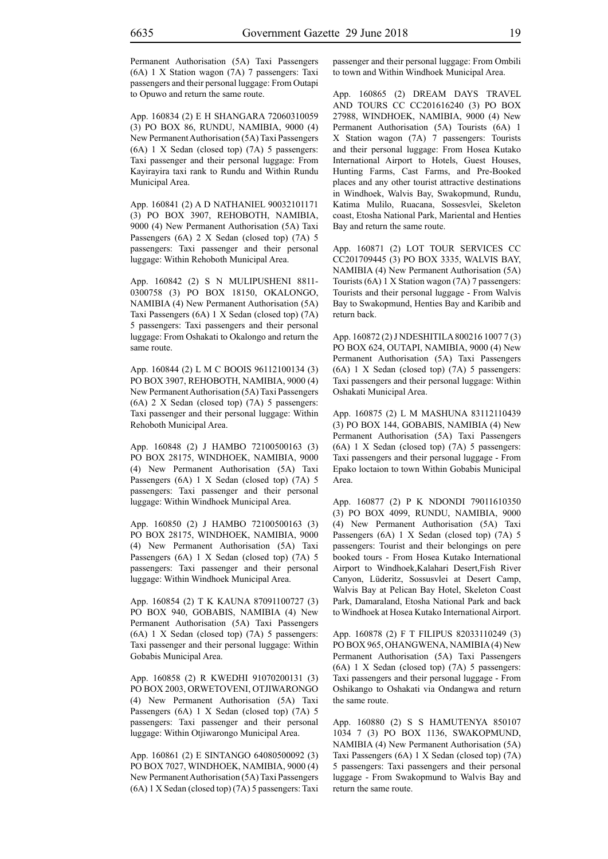Permanent Authorisation (5A) Taxi Passengers (6A) 1 X Station wagon (7A) 7 passengers: Taxi passengers and their personal luggage: From Outapi to Opuwo and return the same route.

App. 160834 (2) E H SHANGARA 72060310059 (3) PO BOX 86, RUNDU, NAMIBIA, 9000 (4) New Permanent Authorisation (5A) Taxi Passengers (6A) 1 X Sedan (closed top) (7A) 5 passengers: Taxi passenger and their personal luggage: From Kayirayira taxi rank to Rundu and Within Rundu Municipal Area.

App. 160841 (2) A D NATHANIEL 90032101171 (3) PO BOX 3907, REHOBOTH, NAMIBIA, 9000 (4) New Permanent Authorisation (5A) Taxi Passengers (6A) 2 X Sedan (closed top) (7A) 5 passengers: Taxi passenger and their personal luggage: Within Rehoboth Municipal Area.

App. 160842 (2) S N MULIPUSHENI 8811- 0300758 (3) PO BOX 18150, OKALONGO, NAMIBIA (4) New Permanent Authorisation (5A) Taxi Passengers (6A) 1 X Sedan (closed top) (7A) 5 passengers: Taxi passengers and their personal luggage: From Oshakati to Okalongo and return the same route.

App. 160844 (2) L M C BOOIS 96112100134 (3) PO BOX 3907, REHOBOTH, NAMIBIA, 9000 (4) New Permanent Authorisation (5A) Taxi Passengers (6A) 2 X Sedan (closed top) (7A) 5 passengers: Taxi passenger and their personal luggage: Within Rehoboth Municipal Area.

App. 160848 (2) J HAMBO 72100500163 (3) PO BOX 28175, WINDHOEK, NAMIBIA, 9000 (4) New Permanent Authorisation (5A) Taxi Passengers (6A) 1 X Sedan (closed top) (7A) 5 passengers: Taxi passenger and their personal luggage: Within Windhoek Municipal Area.

App. 160850 (2) J HAMBO 72100500163 (3) PO BOX 28175, WINDHOEK, NAMIBIA, 9000 (4) New Permanent Authorisation (5A) Taxi Passengers (6A) 1 X Sedan (closed top) (7A) 5 passengers: Taxi passenger and their personal luggage: Within Windhoek Municipal Area.

App. 160854 (2) T K KAUNA 87091100727 (3) PO BOX 940, GOBABIS, NAMIBIA (4) New Permanent Authorisation (5A) Taxi Passengers (6A) 1 X Sedan (closed top) (7A) 5 passengers: Taxi passenger and their personal luggage: Within Gobabis Municipal Area.

App. 160858 (2) R KWEDHI 91070200131 (3) PO BOX 2003, ORWETOVENI, OTJIWARONGO (4) New Permanent Authorisation (5A) Taxi Passengers (6A) 1 X Sedan (closed top) (7A) 5 passengers: Taxi passenger and their personal luggage: Within Otjiwarongo Municipal Area.

App. 160861 (2) E SINTANGO 64080500092 (3) PO BOX 7027, WINDHOEK, NAMIBIA, 9000 (4) New Permanent Authorisation (5A) Taxi Passengers (6A) 1 X Sedan (closed top) (7A) 5 passengers: Taxi passenger and their personal luggage: From Ombili to town and Within Windhoek Municipal Area.

App. 160865 (2) DREAM DAYS TRAVEL AND TOURS CC CC201616240 (3) PO BOX 27988, WINDHOEK, NAMIBIA, 9000 (4) New Permanent Authorisation (5A) Tourists (6A) 1 X Station wagon (7A) 7 passengers: Tourists and their personal luggage: From Hosea Kutako International Airport to Hotels, Guest Houses, Hunting Farms, Cast Farms, and Pre-Booked places and any other tourist attractive destinations in Windhoek, Walvis Bay, Swakopmund, Rundu, Katima Mulilo, Ruacana, Sossesvlei, Skeleton coast, Etosha National Park, Mariental and Henties Bay and return the same route.

App. 160871 (2) LOT TOUR SERVICES CC CC201709445 (3) PO BOX 3335, WALVIS BAY, NAMIBIA (4) New Permanent Authorisation (5A) Tourists (6A) 1 X Station wagon (7A) 7 passengers: Tourists and their personal luggage - From Walvis Bay to Swakopmund, Henties Bay and Karibib and return back.

App. 160872 (2) J NDESHITILA 800216 1007 7 (3) PO BOX 624, OUTAPI, NAMIBIA, 9000 (4) New Permanent Authorisation (5A) Taxi Passengers (6A) 1 X Sedan (closed top) (7A) 5 passengers: Taxi passengers and their personal luggage: Within Oshakati Municipal Area.

App. 160875 (2) L M MASHUNA 83112110439 (3) PO BOX 144, GOBABIS, NAMIBIA (4) New Permanent Authorisation (5A) Taxi Passengers (6A) 1 X Sedan (closed top) (7A) 5 passengers: Taxi passengers and their personal luggage - From Epako loctaion to town Within Gobabis Municipal Area.

App. 160877 (2) P K NDONDI 79011610350 (3) PO BOX 4099, RUNDU, NAMIBIA, 9000 (4) New Permanent Authorisation (5A) Taxi Passengers (6A) 1 X Sedan (closed top) (7A) 5 passengers: Tourist and their belongings on pere booked tours - From Hosea Kutako International Airport to Windhoek,Kalahari Desert,Fish River Canyon, Lüderitz, Sossusvlei at Desert Camp, Walvis Bay at Pelican Bay Hotel, Skeleton Coast Park, Damaraland, Etosha National Park and back to Windhoek at Hosea Kutako International Airport.

App. 160878 (2) F T FILIPUS 82033110249 (3) PO BOX 965, OHANGWENA, NAMIBIA (4) New Permanent Authorisation (5A) Taxi Passengers (6A) 1 X Sedan (closed top) (7A) 5 passengers: Taxi passengers and their personal luggage - From Oshikango to Oshakati via Ondangwa and return the same route.

App. 160880 (2) S S HAMUTENYA 850107 1034 7 (3) PO BOX 1136, SWAKOPMUND, NAMIBIA (4) New Permanent Authorisation (5A) Taxi Passengers (6A) 1 X Sedan (closed top) (7A) 5 passengers: Taxi passengers and their personal luggage - From Swakopmund to Walvis Bay and return the same route.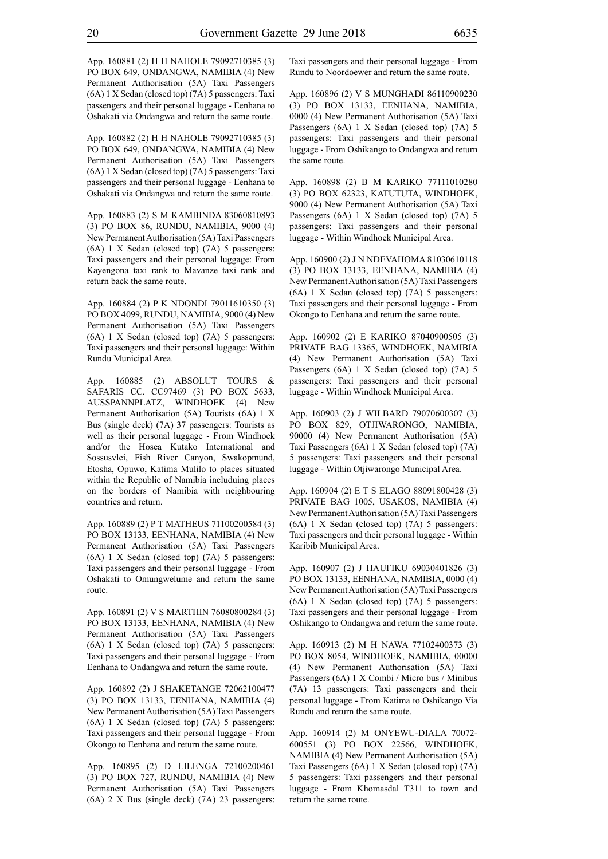App. 160881 (2) H H NAHOLE 79092710385 (3) PO BOX 649, ONDANGWA, NAMIBIA (4) New Permanent Authorisation (5A) Taxi Passengers (6A) 1 X Sedan (closed top) (7A) 5 passengers: Taxi passengers and their personal luggage - Eenhana to Oshakati via Ondangwa and return the same route.

App. 160882 (2) H H NAHOLE 79092710385 (3) PO BOX 649, ONDANGWA, NAMIBIA (4) New Permanent Authorisation (5A) Taxi Passengers (6A) 1 X Sedan (closed top) (7A) 5 passengers: Taxi passengers and their personal luggage - Eenhana to Oshakati via Ondangwa and return the same route.

App. 160883 (2) S M KAMBINDA 83060810893 (3) PO BOX 86, RUNDU, NAMIBIA, 9000 (4) New Permanent Authorisation (5A) Taxi Passengers (6A) 1 X Sedan (closed top) (7A) 5 passengers: Taxi passengers and their personal luggage: From Kayengona taxi rank to Mavanze taxi rank and return back the same route.

App. 160884 (2) P K NDONDI 79011610350 (3) PO BOX 4099, RUNDU, NAMIBIA, 9000 (4) New Permanent Authorisation (5A) Taxi Passengers (6A) 1 X Sedan (closed top) (7A) 5 passengers: Taxi passengers and their personal luggage: Within Rundu Municipal Area.

App. 160885 (2) ABSOLUT TOURS & SAFARIS CC. CC97469 (3) PO BOX 5633, AUSSPANNPLATZ, WINDHOEK (4) New Permanent Authorisation (5A) Tourists (6A) 1 X Bus (single deck) (7A) 37 passengers: Tourists as well as their personal luggage - From Windhoek and/or the Hosea Kutako International and Sossusvlei, Fish River Canyon, Swakopmund, Etosha, Opuwo, Katima Mulilo to places situated within the Republic of Namibia includuing places on the borders of Namibia with neighbouring countries and return.

App. 160889 (2) P T MATHEUS 71100200584 (3) PO BOX 13133, EENHANA, NAMIBIA (4) New Permanent Authorisation (5A) Taxi Passengers (6A) 1 X Sedan (closed top) (7A) 5 passengers: Taxi passengers and their personal luggage - From Oshakati to Omungwelume and return the same route.

App. 160891 (2) V S MARTHIN 76080800284 (3) PO BOX 13133, EENHANA, NAMIBIA (4) New Permanent Authorisation (5A) Taxi Passengers (6A) 1 X Sedan (closed top) (7A) 5 passengers: Taxi passengers and their personal luggage - From Eenhana to Ondangwa and return the same route.

App. 160892 (2) J SHAKETANGE 72062100477 (3) PO BOX 13133, EENHANA, NAMIBIA (4) New Permanent Authorisation (5A) Taxi Passengers (6A) 1 X Sedan (closed top) (7A) 5 passengers: Taxi passengers and their personal luggage - From Okongo to Eenhana and return the same route.

App. 160895 (2) D LILENGA 72100200461 (3) PO BOX 727, RUNDU, NAMIBIA (4) New Permanent Authorisation (5A) Taxi Passengers (6A) 2 X Bus (single deck) (7A) 23 passengers: Taxi passengers and their personal luggage - From Rundu to Noordoewer and return the same route.

App. 160896 (2) V S MUNGHADI 86110900230 (3) PO BOX 13133, EENHANA, NAMIBIA, 0000 (4) New Permanent Authorisation (5A) Taxi Passengers (6A) 1 X Sedan (closed top) (7A) 5 passengers: Taxi passengers and their personal luggage - From Oshikango to Ondangwa and return the same route.

App. 160898 (2) B M KARIKO 77111010280 (3) PO BOX 62323, KATUTUTA, WINDHOEK, 9000 (4) New Permanent Authorisation (5A) Taxi Passengers (6A) 1 X Sedan (closed top) (7A) 5 passengers: Taxi passengers and their personal luggage - Within Windhoek Municipal Area.

App. 160900 (2) J N NDEVAHOMA 81030610118 (3) PO BOX 13133, EENHANA, NAMIBIA (4) New Permanent Authorisation (5A) Taxi Passengers (6A) 1 X Sedan (closed top) (7A) 5 passengers: Taxi passengers and their personal luggage - From Okongo to Eenhana and return the same route.

App. 160902 (2) E KARIKO 87040900505 (3) PRIVATE BAG 13365, WINDHOEK, NAMIBIA (4) New Permanent Authorisation (5A) Taxi Passengers (6A) 1 X Sedan (closed top) (7A) 5 passengers: Taxi passengers and their personal luggage - Within Windhoek Municipal Area.

App. 160903 (2) J WILBARD 79070600307 (3) PO BOX 829, OTJIWARONGO, NAMIBIA, 90000 (4) New Permanent Authorisation (5A) Taxi Passengers (6A) 1 X Sedan (closed top) (7A) 5 passengers: Taxi passengers and their personal luggage - Within Otjiwarongo Municipal Area.

App. 160904 (2) E T S ELAGO 88091800428 (3) PRIVATE BAG 1005, USAKOS, NAMIBIA (4) New Permanent Authorisation (5A) Taxi Passengers (6A) 1 X Sedan (closed top) (7A) 5 passengers: Taxi passengers and their personal luggage - Within Karibib Municipal Area.

App. 160907 (2) J HAUFIKU 69030401826 (3) PO BOX 13133, EENHANA, NAMIBIA, 0000 (4) New Permanent Authorisation (5A) Taxi Passengers (6A) 1 X Sedan (closed top) (7A) 5 passengers: Taxi passengers and their personal luggage - From Oshikango to Ondangwa and return the same route.

App. 160913 (2) M H NAWA 77102400373 (3) PO BOX 8054, WINDHOEK, NAMIBIA, 00000 (4) New Permanent Authorisation (5A) Taxi Passengers (6A) 1 X Combi / Micro bus / Minibus (7A) 13 passengers: Taxi passengers and their personal luggage - From Katima to Oshikango Via Rundu and return the same route.

App. 160914 (2) M ONYEWU-DIALA 70072- 600551 (3) PO BOX 22566, WINDHOEK, NAMIBIA (4) New Permanent Authorisation (5A) Taxi Passengers (6A) 1 X Sedan (closed top) (7A) 5 passengers: Taxi passengers and their personal luggage - From Khomasdal T311 to town and return the same route.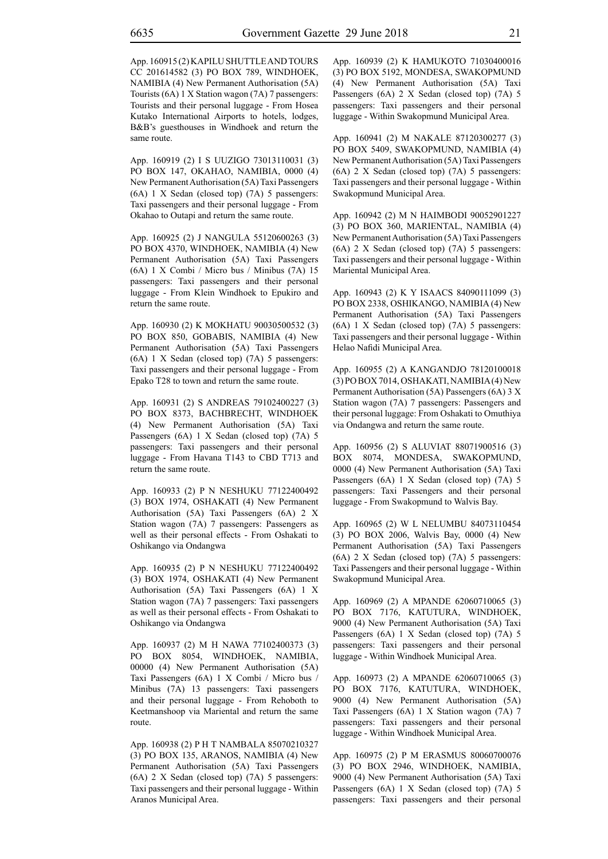App. 160915 (2) KAPILU SHUTTLE AND TOURS CC 201614582 (3) PO BOX 789, WINDHOEK, NAMIBIA (4) New Permanent Authorisation (5A) Tourists (6A) 1 X Station wagon (7A) 7 passengers: Tourists and their personal luggage - From Hosea Kutako International Airports to hotels, lodges, B&B's guesthouses in Windhoek and return the same route.

App. 160919 (2) I S UUZIGO 73013110031 (3) PO BOX 147, OKAHAO, NAMIBIA, 0000 (4) New Permanent Authorisation (5A) Taxi Passengers (6A) 1 X Sedan (closed top) (7A) 5 passengers: Taxi passengers and their personal luggage - From Okahao to Outapi and return the same route.

App. 160925 (2) J NANGULA 55120600263 (3) PO BOX 4370, WINDHOEK, NAMIBIA (4) New Permanent Authorisation (5A) Taxi Passengers (6A) 1 X Combi / Micro bus / Minibus (7A) 15 passengers: Taxi passengers and their personal luggage - From Klein Windhoek to Epukiro and return the same route.

App. 160930 (2) K MOKHATU 90030500532 (3) PO BOX 850, GOBABIS, NAMIBIA (4) New Permanent Authorisation (5A) Taxi Passengers (6A) 1 X Sedan (closed top) (7A) 5 passengers: Taxi passengers and their personal luggage - From Epako T28 to town and return the same route.

App. 160931 (2) S ANDREAS 79102400227 (3) PO BOX 8373, BACHBRECHT, WINDHOEK (4) New Permanent Authorisation (5A) Taxi Passengers (6A) 1 X Sedan (closed top) (7A) 5 passengers: Taxi passengers and their personal luggage - From Havana T143 to CBD T713 and return the same route.

App. 160933 (2) P N NESHUKU 77122400492 (3) BOX 1974, OSHAKATI (4) New Permanent Authorisation (5A) Taxi Passengers (6A) 2 X Station wagon (7A) 7 passengers: Passengers as well as their personal effects - From Oshakati to Oshikango via Ondangwa

App. 160935 (2) P N NESHUKU 77122400492 (3) BOX 1974, OSHAKATI (4) New Permanent Authorisation (5A) Taxi Passengers (6A) 1 X Station wagon (7A) 7 passengers: Taxi passengers as well as their personal effects - From Oshakati to Oshikango via Ondangwa

App. 160937 (2) M H NAWA 77102400373 (3) PO BOX 8054, WINDHOEK, NAMIBIA, 00000 (4) New Permanent Authorisation (5A) Taxi Passengers (6A) 1 X Combi / Micro bus / Minibus (7A) 13 passengers: Taxi passengers and their personal luggage - From Rehoboth to Keetmanshoop via Mariental and return the same route.

App. 160938 (2) P H T NAMBALA 85070210327 (3) PO BOX 135, ARANOS, NAMIBIA (4) New Permanent Authorisation (5A) Taxi Passengers (6A) 2 X Sedan (closed top) (7A) 5 passengers: Taxi passengers and their personal luggage - Within Aranos Municipal Area.

App. 160939 (2) K HAMUKOTO 71030400016 (3) PO BOX 5192, MONDESA, SWAKOPMUND (4) New Permanent Authorisation (5A) Taxi Passengers (6A) 2 X Sedan (closed top) (7A) 5 passengers: Taxi passengers and their personal luggage - Within Swakopmund Municipal Area.

App. 160941 (2) M NAKALE 87120300277 (3) PO BOX 5409, SWAKOPMUND, NAMIBIA (4) New Permanent Authorisation (5A) Taxi Passengers (6A) 2 X Sedan (closed top) (7A) 5 passengers: Taxi passengers and their personal luggage - Within Swakopmund Municipal Area.

App. 160942 (2) M N HAIMBODI 90052901227 (3) PO BOX 360, MARIENTAL, NAMIBIA (4) New Permanent Authorisation (5A) Taxi Passengers (6A) 2 X Sedan (closed top) (7A) 5 passengers: Taxi passengers and their personal luggage - Within Mariental Municipal Area.

App. 160943 (2) K Y ISAACS 84090111099 (3) PO BOX 2338, OSHIKANGO, NAMIBIA (4) New Permanent Authorisation (5A) Taxi Passengers (6A) 1 X Sedan (closed top) (7A) 5 passengers: Taxi passengers and their personal luggage - Within Helao Nafidi Municipal Area.

App. 160955 (2) A KANGANDJO 78120100018 (3) PO BOX 7014, OSHAKATI, NAMIBIA (4) New Permanent Authorisation (5A) Passengers (6A) 3 X Station wagon (7A) 7 passengers: Passengers and their personal luggage: From Oshakati to Omuthiya via Ondangwa and return the same route.

App. 160956 (2) S ALUVIAT 88071900516 (3) BOX 8074, MONDESA, SWAKOPMUND, 0000 (4) New Permanent Authorisation (5A) Taxi Passengers (6A) 1 X Sedan (closed top) (7A) 5 passengers: Taxi Passengers and their personal luggage - From Swakopmund to Walvis Bay.

App. 160965 (2) W L NELUMBU 84073110454 (3) PO BOX 2006, Walvis Bay, 0000 (4) New Permanent Authorisation (5A) Taxi Passengers (6A) 2 X Sedan (closed top) (7A) 5 passengers: Taxi Passengers and their personal luggage - Within Swakopmund Municipal Area.

App. 160969 (2) A MPANDE 62060710065 (3) PO BOX 7176, KATUTURA, WINDHOEK, 9000 (4) New Permanent Authorisation (5A) Taxi Passengers (6A) 1 X Sedan (closed top) (7A) 5 passengers: Taxi passengers and their personal luggage - Within Windhoek Municipal Area.

App. 160973 (2) A MPANDE 62060710065 (3) PO BOX 7176, KATUTURA, WINDHOEK, 9000 (4) New Permanent Authorisation (5A) Taxi Passengers (6A) 1 X Station wagon (7A) 7 passengers: Taxi passengers and their personal luggage - Within Windhoek Municipal Area.

App. 160975 (2) P M ERASMUS 80060700076 (3) PO BOX 2946, WINDHOEK, NAMIBIA, 9000 (4) New Permanent Authorisation (5A) Taxi Passengers (6A) 1 X Sedan (closed top) (7A) 5 passengers: Taxi passengers and their personal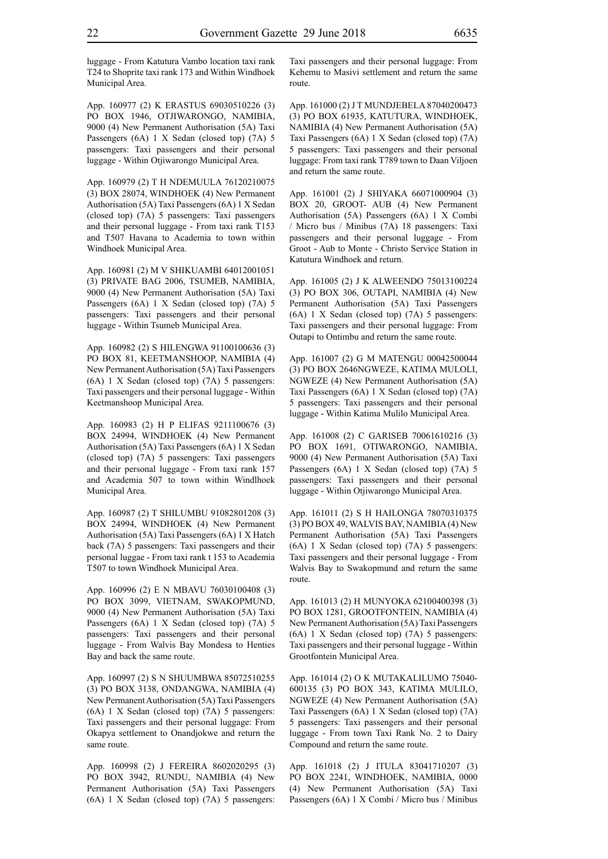luggage - From Katutura Vambo location taxi rank T24 to Shoprite taxi rank 173 and Within Windhoek Municipal Area.

App. 160977 (2) K ERASTUS 69030510226 (3) PO BOX 1946, OTJIWARONGO, NAMIBIA, 9000 (4) New Permanent Authorisation (5A) Taxi Passengers (6A) 1 X Sedan (closed top) (7A) 5 passengers: Taxi passengers and their personal luggage - Within Otjiwarongo Municipal Area.

App. 160979 (2) T H NDEMUULA 76120210075 (3) BOX 28074, WINDHOEK (4) New Permanent Authorisation (5A) Taxi Passengers (6A) 1 X Sedan (closed top) (7A) 5 passengers: Taxi passengers and their personal luggage - From taxi rank T153 and T507 Havana to Academia to town within Windhoek Municipal Area.

App. 160981 (2) M V SHIKUAMBI 64012001051 (3) PRIVATE BAG 2006, TSUMEB, NAMIBIA, 9000 (4) New Permanent Authorisation (5A) Taxi Passengers (6A) 1 X Sedan (closed top) (7A) 5 passengers: Taxi passengers and their personal luggage - Within Tsumeb Municipal Area.

App. 160982 (2) S HILENGWA 91100100636 (3) PO BOX 81, KEETMANSHOOP, NAMIBIA (4) New Permanent Authorisation (5A) Taxi Passengers (6A) 1 X Sedan (closed top) (7A) 5 passengers: Taxi passengers and their personal luggage - Within Keetmanshoop Municipal Area.

App. 160983 (2) H P ELIFAS 9211100676 (3) BOX 24994, WINDHOEK (4) New Permanent Authorisation (5A) Taxi Passengers (6A) 1 X Sedan (closed top) (7A) 5 passengers: Taxi passengers and their personal luggage - From taxi rank 157 and Academia 507 to town within Windlhoek Municipal Area.

App. 160987 (2) T SHILUMBU 91082801208 (3) BOX 24994, WINDHOEK (4) New Permanent Authorisation (5A) Taxi Passengers (6A) 1 X Hatch back (7A) 5 passengers: Taxi passengers and their personal luggae - From taxi rank t 153 to Academia T507 to town Windhoek Municipal Area.

App. 160996 (2) E N MBAVU 76030100408 (3) PO BOX 3099, VIETNAM, SWAKOPMUND, 9000 (4) New Permanent Authorisation (5A) Taxi Passengers (6A) 1 X Sedan (closed top) (7A) 5 passengers: Taxi passengers and their personal luggage - From Walvis Bay Mondesa to Henties Bay and back the same route.

App. 160997 (2) S N SHUUMBWA 85072510255 (3) PO BOX 3138, ONDANGWA, NAMIBIA (4) New Permanent Authorisation (5A) Taxi Passengers (6A) 1 X Sedan (closed top) (7A) 5 passengers: Taxi passengers and their personal luggage: From Okapya settlement to Onandjokwe and return the same route.

App. 160998 (2) J FEREIRA 8602020295 (3) PO BOX 3942, RUNDU, NAMIBIA (4) New Permanent Authorisation (5A) Taxi Passengers (6A) 1 X Sedan (closed top) (7A) 5 passengers: Taxi passengers and their personal luggage: From Kehemu to Masivi settlement and return the same route.

App. 161000 (2) JTMUNDJEBELA 87040200473 (3) PO BOX 61935, KATUTURA, WINDHOEK, NAMIBIA (4) New Permanent Authorisation (5A) Taxi Passengers (6A) 1 X Sedan (closed top) (7A) 5 passengers: Taxi passengers and their personal luggage: From taxi rank T789 town to Daan Viljoen and return the same route.

App. 161001 (2) J SHIYAKA 66071000904 (3) BOX 20, GROOT- AUB (4) New Permanent Authorisation (5A) Passengers (6A) 1 X Combi / Micro bus / Minibus (7A) 18 passengers: Taxi passengers and their personal luggage - From Groot - Aub to Monte - Christo Service Station in Katutura Windhoek and return.

App. 161005 (2) J K ALWEENDO 75013100224 (3) PO BOX 306, OUTAPI, NAMIBIA (4) New Permanent Authorisation (5A) Taxi Passengers (6A) 1 X Sedan (closed top) (7A) 5 passengers: Taxi passengers and their personal luggage: From Outapi to Ontimbu and return the same route.

App. 161007 (2) G M MATENGU 00042500044 (3) PO BOX 2646NGWEZE, KATIMA MULOLI, NGWEZE (4) New Permanent Authorisation (5A) Taxi Passengers (6A) 1 X Sedan (closed top) (7A) 5 passengers: Taxi passengers and their personal luggage - Within Katima Mulilo Municipal Area.

App. 161008 (2) C GARISEB 70061610216 (3) PO BOX 1691, OTIWARONGO, NAMIBIA, 9000 (4) New Permanent Authorisation (5A) Taxi Passengers (6A) 1 X Sedan (closed top) (7A) 5 passengers: Taxi passengers and their personal luggage - Within Otjiwarongo Municipal Area.

App. 161011 (2) S H HAILONGA 78070310375 (3) PO BOX 49, WALVIS BAY, NAMIBIA (4) New Permanent Authorisation (5A) Taxi Passengers (6A) 1 X Sedan (closed top) (7A) 5 passengers: Taxi passengers and their personal luggage - From Walvis Bay to Swakopmund and return the same route.

App. 161013 (2) H MUNYOKA 62100400398 (3) PO BOX 1281, GROOTFONTEIN, NAMIBIA (4) New Permanent Authorisation (5A) Taxi Passengers (6A) 1 X Sedan (closed top) (7A) 5 passengers: Taxi passengers and their personal luggage - Within Grootfontein Municipal Area.

App. 161014 (2) O K MUTAKALILUMO 75040- 600135 (3) PO BOX 343, KATIMA MULILO, NGWEZE (4) New Permanent Authorisation (5A) Taxi Passengers (6A) 1 X Sedan (closed top) (7A) 5 passengers: Taxi passengers and their personal luggage - From town Taxi Rank No. 2 to Dairy Compound and return the same route.

App. 161018 (2) J ITULA 83041710207 (3) PO BOX 2241, WINDHOEK, NAMIBIA, 0000 (4) New Permanent Authorisation (5A) Taxi Passengers (6A) 1 X Combi / Micro bus / Minibus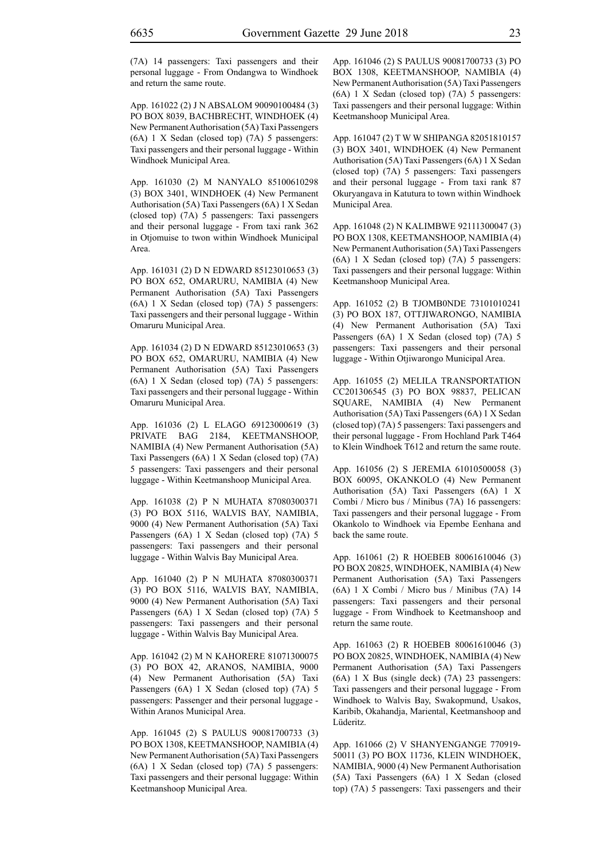(7A) 14 passengers: Taxi passengers and their personal luggage - From Ondangwa to Windhoek and return the same route.

App. 161022 (2) J N ABSALOM 90090100484 (3) PO BOX 8039, BACHBRECHT, WINDHOEK (4) New Permanent Authorisation (5A) Taxi Passengers (6A) 1 X Sedan (closed top) (7A) 5 passengers: Taxi passengers and their personal luggage - Within Windhoek Municipal Area.

App. 161030 (2) M NANYALO 85100610298 (3) BOX 3401, WINDHOEK (4) New Permanent Authorisation (5A) Taxi Passengers (6A) 1 X Sedan (closed top) (7A) 5 passengers: Taxi passengers and their personal luggage - From taxi rank 362 in Otjomuise to twon within Windhoek Municipal Area.

App. 161031 (2) D N EDWARD 85123010653 (3) PO BOX 652, OMARURU, NAMIBIA (4) New Permanent Authorisation (5A) Taxi Passengers (6A) 1 X Sedan (closed top) (7A) 5 passengers: Taxi passengers and their personal luggage - Within Omaruru Municipal Area.

App. 161034 (2) D N EDWARD 85123010653 (3) PO BOX 652, OMARURU, NAMIBIA (4) New Permanent Authorisation (5A) Taxi Passengers (6A) 1 X Sedan (closed top) (7A) 5 passengers: Taxi passengers and their personal luggage - Within Omaruru Municipal Area.

App. 161036 (2) L ELAGO 69123000619 (3) PRIVATE BAG 2184, KEETMANSHOOP, NAMIBIA (4) New Permanent Authorisation (5A) Taxi Passengers (6A) 1 X Sedan (closed top) (7A) 5 passengers: Taxi passengers and their personal luggage - Within Keetmanshoop Municipal Area.

App. 161038 (2) P N MUHATA 87080300371 (3) PO BOX 5116, WALVIS BAY, NAMIBIA, 9000 (4) New Permanent Authorisation (5A) Taxi Passengers (6A) 1 X Sedan (closed top) (7A) 5 passengers: Taxi passengers and their personal luggage - Within Walvis Bay Municipal Area.

App. 161040 (2) P N MUHATA 87080300371 (3) PO BOX 5116, WALVIS BAY, NAMIBIA, 9000 (4) New Permanent Authorisation (5A) Taxi Passengers (6A) 1 X Sedan (closed top) (7A) 5 passengers: Taxi passengers and their personal luggage - Within Walvis Bay Municipal Area.

App. 161042 (2) M N KAHORERE 81071300075 (3) PO BOX 42, ARANOS, NAMIBIA, 9000 (4) New Permanent Authorisation (5A) Taxi Passengers (6A) 1 X Sedan (closed top) (7A) 5 passengers: Passenger and their personal luggage - Within Aranos Municipal Area.

App. 161045 (2) S PAULUS 90081700733 (3) PO BOX 1308, KEETMANSHOOP, NAMIBIA (4) New Permanent Authorisation (5A) Taxi Passengers (6A) 1 X Sedan (closed top) (7A) 5 passengers: Taxi passengers and their personal luggage: Within Keetmanshoop Municipal Area.

App. 161046 (2) S PAULUS 90081700733 (3) PO BOX 1308, KEETMANSHOOP, NAMIBIA (4) New Permanent Authorisation (5A) Taxi Passengers (6A) 1 X Sedan (closed top) (7A) 5 passengers: Taxi passengers and their personal luggage: Within Keetmanshoop Municipal Area.

App. 161047 (2) T W W SHIPANGA 82051810157 (3) BOX 3401, WINDHOEK (4) New Permanent Authorisation (5A) Taxi Passengers (6A) 1 X Sedan (closed top) (7A) 5 passengers: Taxi passengers and their personal luggage - From taxi rank 87 Okuryangava in Katutura to town within Windhoek Municipal Area.

App. 161048 (2) N KALIMBWE 92111300047 (3) PO BOX 1308, KEETMANSHOOP, NAMIBIA (4) New Permanent Authorisation (5A) Taxi Passengers (6A) 1 X Sedan (closed top) (7A) 5 passengers: Taxi passengers and their personal luggage: Within Keetmanshoop Municipal Area.

App. 161052 (2) B TJOMB0NDE 73101010241 (3) PO BOX 187, OTTJIWARONGO, NAMIBIA (4) New Permanent Authorisation (5A) Taxi Passengers (6A) 1 X Sedan (closed top) (7A) 5 passengers: Taxi passengers and their personal luggage - Within Otjiwarongo Municipal Area.

App. 161055 (2) MELILA TRANSPORTATION CC201306545 (3) PO BOX 98837, PELICAN SQUARE, NAMIBIA (4) New Permanent Authorisation (5A) Taxi Passengers (6A) 1 X Sedan (closed top) (7A) 5 passengers: Taxi passengers and their personal luggage - From Hochland Park T464 to Klein Windhoek T612 and return the same route.

App. 161056 (2) S JEREMIA 61010500058 (3) BOX 60095, OKANKOLO (4) New Permanent Authorisation (5A) Taxi Passengers (6A) 1 X Combi / Micro bus / Minibus (7A) 16 passengers: Taxi passengers and their personal luggage - From Okankolo to Windhoek via Epembe Eenhana and back the same route.

App. 161061 (2) R HOEBEB 80061610046 (3) PO BOX 20825, WINDHOEK, NAMIBIA (4) New Permanent Authorisation (5A) Taxi Passengers (6A) 1 X Combi / Micro bus / Minibus (7A) 14 passengers: Taxi passengers and their personal luggage - From Windhoek to Keetmanshoop and return the same route.

App. 161063 (2) R HOEBEB 80061610046 (3) PO BOX 20825, WINDHOEK, NAMIBIA (4) New Permanent Authorisation (5A) Taxi Passengers (6A) 1 X Bus (single deck) (7A) 23 passengers: Taxi passengers and their personal luggage - From Windhoek to Walvis Bay, Swakopmund, Usakos, Karibib, Okahandja, Mariental, Keetmanshoop and Lüderitz.

App. 161066 (2) V SHANYENGANGE 770919- 50011 (3) PO BOX 11736, KLEIN WINDHOEK, NAMIBIA, 9000 (4) New Permanent Authorisation (5A) Taxi Passengers (6A) 1 X Sedan (closed top) (7A) 5 passengers: Taxi passengers and their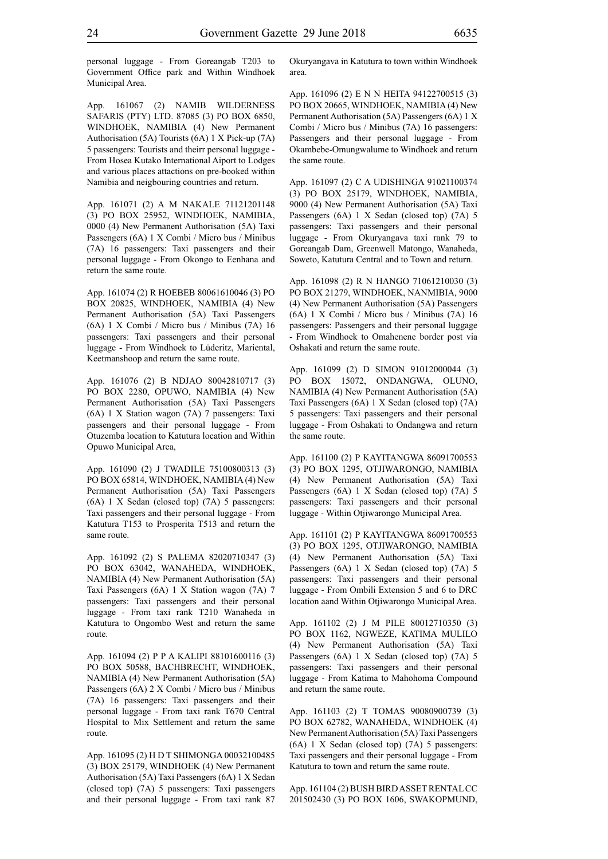personal luggage - From Goreangab T203 to Government Office park and Within Windhoek Municipal Area.

App. 161067 (2) NAMIB WILDERNESS SAFARIS (PTY) LTD. 87085 (3) PO BOX 6850, WINDHOEK, NAMIBIA (4) New Permanent Authorisation (5A) Tourists (6A) 1 X Pick-up (7A) 5 passengers: Tourists and theirr personal luggage - From Hosea Kutako International Aiport to Lodges and various places attactions on pre-booked within Namibia and neigbouring countries and return.

App. 161071 (2) A M NAKALE 71121201148 (3) PO BOX 25952, WINDHOEK, NAMIBIA, 0000 (4) New Permanent Authorisation (5A) Taxi Passengers (6A) 1 X Combi / Micro bus / Minibus (7A) 16 passengers: Taxi passengers and their personal luggage - From Okongo to Eenhana and return the same route.

App. 161074 (2) R HOEBEB 80061610046 (3) PO BOX 20825, WINDHOEK, NAMIBIA (4) New Permanent Authorisation (5A) Taxi Passengers (6A) 1 X Combi / Micro bus / Minibus (7A) 16 passengers: Taxi passengers and their personal luggage - From Windhoek to Lüderitz, Mariental, Keetmanshoop and return the same route.

App. 161076 (2) B NDJAO 80042810717 (3) PO BOX 2280, OPUWO, NAMIBIA (4) New Permanent Authorisation (5A) Taxi Passengers (6A) 1 X Station wagon (7A) 7 passengers: Taxi passengers and their personal luggage - From Otuzemba location to Katutura location and Within Opuwo Municipal Area,

App. 161090 (2) J TWADILE 75100800313 (3) PO BOX 65814, WINDHOEK, NAMIBIA (4) New Permanent Authorisation (5A) Taxi Passengers (6A) 1 X Sedan (closed top) (7A) 5 passengers: Taxi passengers and their personal luggage - From Katutura T153 to Prosperita T513 and return the same route.

App. 161092 (2) S PALEMA 82020710347 (3) PO BOX 63042, WANAHEDA, WINDHOEK, NAMIBIA (4) New Permanent Authorisation (5A) Taxi Passengers (6A) 1 X Station wagon (7A) 7 passengers: Taxi passengers and their personal luggage - From taxi rank T210 Wanaheda in Katutura to Ongombo West and return the same route.

App. 161094 (2) P P A KALIPI 88101600116 (3) PO BOX 50588, BACHBRECHT, WINDHOEK, NAMIBIA (4) New Permanent Authorisation (5A) Passengers (6A) 2 X Combi / Micro bus / Minibus (7A) 16 passengers: Taxi passengers and their personal luggage - From taxi rank T670 Central Hospital to Mix Settlement and return the same route.

App. 161095 (2) H D T SHIMONGA 00032100485 (3) BOX 25179, WINDHOEK (4) New Permanent Authorisation (5A) Taxi Passengers (6A) 1 X Sedan (closed top) (7A) 5 passengers: Taxi passengers and their personal luggage - From taxi rank 87

Okuryangava in Katutura to town within Windhoek area.

App. 161096 (2) E N N HEITA 94122700515 (3) PO BOX 20665, WINDHOEK, NAMIBIA (4) New Permanent Authorisation (5A) Passengers (6A) 1 X Combi / Micro bus / Minibus (7A) 16 passengers: Passengers and their personal luggage - From Okambebe-Omungwalume to Windhoek and return the same route.

App. 161097 (2) C A UDISHINGA 91021100374 (3) PO BOX 25179, WINDHOEK, NAMIBIA, 9000 (4) New Permanent Authorisation (5A) Taxi Passengers (6A) 1 X Sedan (closed top) (7A) 5 passengers: Taxi passengers and their personal luggage - From Okuryangava taxi rank 79 to Goreangab Dam, Greenwell Matongo, Wanaheda, Soweto, Katutura Central and to Town and return.

App. 161098 (2) R N HANGO 71061210030 (3) PO BOX 21279, WINDHOEK, NANMIBIA, 9000 (4) New Permanent Authorisation (5A) Passengers (6A) 1 X Combi / Micro bus / Minibus (7A) 16 passengers: Passengers and their personal luggage - From Windhoek to Omahenene border post via Oshakati and return the same route.

App. 161099 (2) D SIMON 91012000044 (3) PO BOX 15072, ONDANGWA, OLUNO, NAMIBIA (4) New Permanent Authorisation (5A) Taxi Passengers (6A) 1 X Sedan (closed top) (7A) 5 passengers: Taxi passengers and their personal luggage - From Oshakati to Ondangwa and return the same route.

App. 161100 (2) P KAYITANGWA 86091700553 (3) PO BOX 1295, OTJIWARONGO, NAMIBIA (4) New Permanent Authorisation (5A) Taxi Passengers (6A) 1 X Sedan (closed top) (7A) 5 passengers: Taxi passengers and their personal luggage - Within Otjiwarongo Municipal Area.

App. 161101 (2) P KAYITANGWA 86091700553 (3) PO BOX 1295, OTJIWARONGO, NAMIBIA (4) New Permanent Authorisation (5A) Taxi Passengers (6A) 1 X Sedan (closed top) (7A) 5 passengers: Taxi passengers and their personal luggage - From Ombili Extension 5 and 6 to DRC location aand Within Otjiwarongo Municipal Area.

App. 161102 (2) J M PILE 80012710350 (3) PO BOX 1162, NGWEZE, KATIMA MULILO (4) New Permanent Authorisation (5A) Taxi Passengers (6A) 1 X Sedan (closed top) (7A) 5 passengers: Taxi passengers and their personal luggage - From Katima to Mahohoma Compound and return the same route.

App. 161103 (2) T TOMAS 90080900739 (3) PO BOX 62782, WANAHEDA, WINDHOEK (4) New Permanent Authorisation (5A) Taxi Passengers (6A) 1 X Sedan (closed top) (7A) 5 passengers: Taxi passengers and their personal luggage - From Katutura to town and return the same route.

App. 161104 (2) BUSH BIRD ASSET RENTAL CC 201502430 (3) PO BOX 1606, SWAKOPMUND,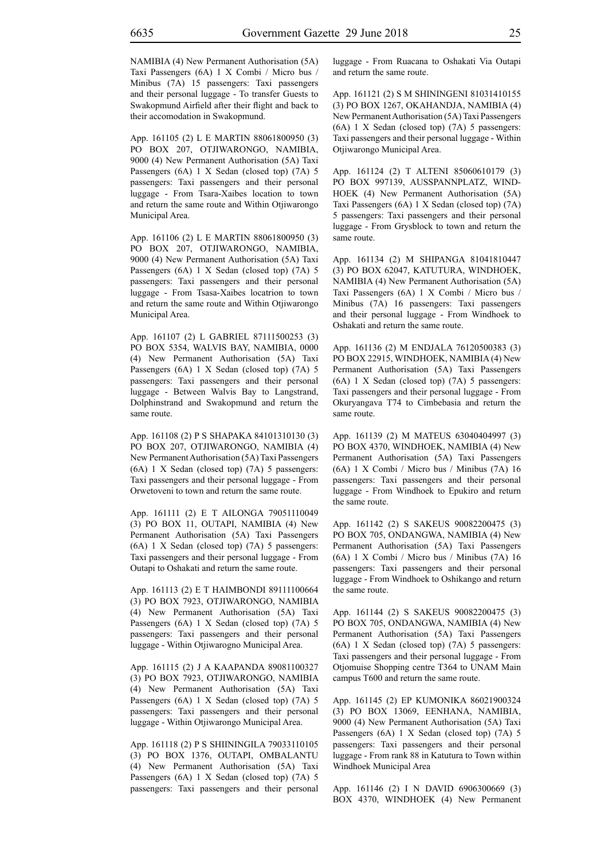NAMIBIA (4) New Permanent Authorisation (5A) Taxi Passengers (6A) 1 X Combi / Micro bus / Minibus (7A) 15 passengers: Taxi passengers and their personal luggage - To transfer Guests to Swakopmund Airfield after their flight and back to their accomodation in Swakopmund.

App. 161105 (2) L E MARTIN 88061800950 (3) PO BOX 207, OTJIWARONGO, NAMIBIA, 9000 (4) New Permanent Authorisation (5A) Taxi Passengers (6A) 1 X Sedan (closed top) (7A) 5 passengers: Taxi passengers and their personal luggage - From Tsara-Xaibes location to town and return the same route and Within Otjiwarongo Municipal Area.

App. 161106 (2) L E MARTIN 88061800950 (3) PO BOX 207, OTJIWARONGO, NAMIBIA, 9000 (4) New Permanent Authorisation (5A) Taxi Passengers (6A) 1 X Sedan (closed top) (7A) 5 passengers: Taxi passengers and their personal luggage - From Tsasa-Xaibes locatrion to town and return the same route and Within Otjiwarongo Municipal Area.

App. 161107 (2) L GABRIEL 87111500253 (3) PO BOX 5354, WALVIS BAY, NAMIBIA, 0000 (4) New Permanent Authorisation (5A) Taxi Passengers (6A) 1 X Sedan (closed top) (7A) 5 passengers: Taxi passengers and their personal luggage - Between Walvis Bay to Langstrand, Dolphinstrand and Swakopmund and return the same route.

App. 161108 (2) P S SHAPAKA 84101310130 (3) PO BOX 207, OTJIWARONGO, NAMIBIA (4) New Permanent Authorisation (5A) Taxi Passengers (6A) 1 X Sedan (closed top) (7A) 5 passengers: Taxi passengers and their personal luggage - From Orwetoveni to town and return the same route.

App. 161111 (2) E T AILONGA 79051110049 (3) PO BOX 11, OUTAPI, NAMIBIA (4) New Permanent Authorisation (5A) Taxi Passengers (6A) 1 X Sedan (closed top) (7A) 5 passengers: Taxi passengers and their personal luggage - From Outapi to Oshakati and return the same route.

App. 161113 (2) E T HAIMBONDI 89111100664 (3) PO BOX 7923, OTJIWARONGO, NAMIBIA (4) New Permanent Authorisation (5A) Taxi Passengers (6A) 1 X Sedan (closed top) (7A) 5 passengers: Taxi passengers and their personal luggage - Within Otjiwarogno Municipal Area.

App. 161115 (2) J A KAAPANDA 89081100327 (3) PO BOX 7923, OTJIWARONGO, NAMIBIA (4) New Permanent Authorisation (5A) Taxi Passengers (6A) 1 X Sedan (closed top) (7A) 5 passengers: Taxi passengers and their personal luggage - Within Otjiwarongo Municipal Area.

App. 161118 (2) P S SHIININGILA 79033110105 (3) PO BOX 1376, OUTAPI, OMBALANTU (4) New Permanent Authorisation (5A) Taxi Passengers (6A) 1 X Sedan (closed top) (7A) 5 passengers: Taxi passengers and their personal luggage - From Ruacana to Oshakati Via Outapi and return the same route.

App. 161121 (2) S M SHININGENI 81031410155 (3) PO BOX 1267, OKAHANDJA, NAMIBIA (4) New Permanent Authorisation (5A) Taxi Passengers (6A) 1 X Sedan (closed top) (7A) 5 passengers: Taxi passengers and their personal luggage - Within Otjiwarongo Municipal Area.

App. 161124 (2) T ALTENI 85060610179 (3) PO BOX 997139, AUSSPANNPLATZ, WIND-HOEK (4) New Permanent Authorisation (5A) Taxi Passengers (6A) 1 X Sedan (closed top) (7A) 5 passengers: Taxi passengers and their personal luggage - From Grysblock to town and return the same route.

App. 161134 (2) M SHIPANGA 81041810447 (3) PO BOX 62047, KATUTURA, WINDHOEK, NAMIBIA (4) New Permanent Authorisation (5A) Taxi Passengers (6A) 1 X Combi / Micro bus / Minibus (7A) 16 passengers: Taxi passengers and their personal luggage - From Windhoek to Oshakati and return the same route.

App. 161136 (2) M ENDJALA 76120500383 (3) PO BOX 22915, WINDHOEK, NAMIBIA (4) New Permanent Authorisation (5A) Taxi Passengers (6A) 1 X Sedan (closed top) (7A) 5 passengers: Taxi passengers and their personal luggage - From Okuryangava T74 to Cimbebasia and return the same route.

App. 161139 (2) M MATEUS 63040404997 (3) PO BOX 4370, WINDHOEK, NAMIBIA (4) New Permanent Authorisation (5A) Taxi Passengers (6A) 1 X Combi / Micro bus / Minibus (7A) 16 passengers: Taxi passengers and their personal luggage - From Windhoek to Epukiro and return the same route.

App. 161142 (2) S SAKEUS 90082200475 (3) PO BOX 705, ONDANGWA, NAMIBIA (4) New Permanent Authorisation (5A) Taxi Passengers (6A) 1 X Combi / Micro bus / Minibus (7A) 16 passengers: Taxi passengers and their personal luggage - From Windhoek to Oshikango and return the same route.

App. 161144 (2) S SAKEUS 90082200475 (3) PO BOX 705, ONDANGWA, NAMIBIA (4) New Permanent Authorisation (5A) Taxi Passengers (6A) 1 X Sedan (closed top) (7A) 5 passengers: Taxi passengers and their personal luggage - From Otiomuise Shopping centre T364 to UNAM Main campus T600 and return the same route.

App. 161145 (2) EP KUMONIKA 86021900324 (3) PO BOX 13069, EENHANA, NAMIBIA, 9000 (4) New Permanent Authorisation (5A) Taxi Passengers (6A) 1 X Sedan (closed top) (7A) 5 passengers: Taxi passengers and their personal luggage - From rank 88 in Katutura to Town within Windhoek Municipal Area

App. 161146 (2) I N DAVID 6906300669 (3) BOX 4370, WINDHOEK (4) New Permanent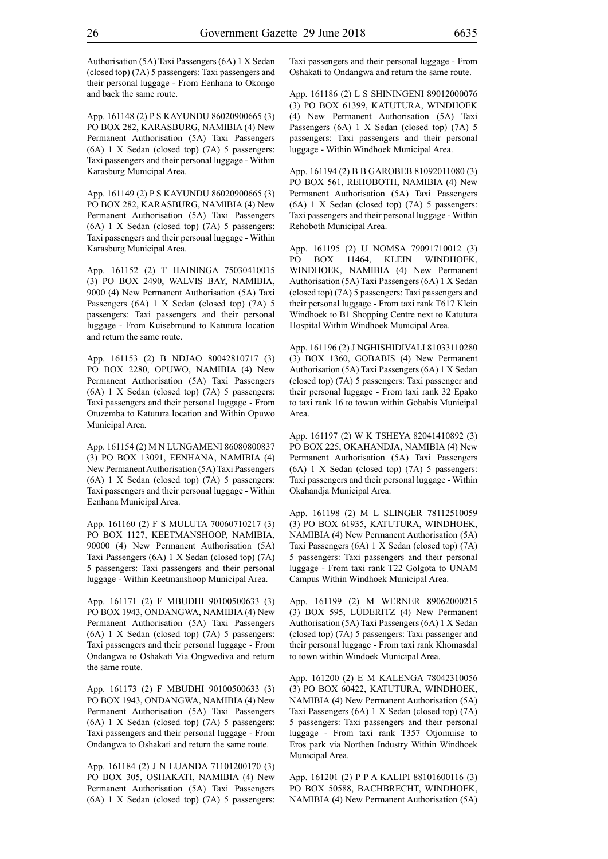Authorisation (5A) Taxi Passengers (6A) 1 X Sedan (closed top) (7A) 5 passengers: Taxi passengers and their personal luggage - From Eenhana to Okongo and back the same route.

App. 161148 (2) P S KAYUNDU 86020900665 (3) PO BOX 282, KARASBURG, NAMIBIA (4) New Permanent Authorisation (5A) Taxi Passengers (6A) 1 X Sedan (closed top) (7A) 5 passengers: Taxi passengers and their personal luggage - Within Karasburg Municipal Area.

App. 161149 (2) P S KAYUNDU 86020900665 (3) PO BOX 282, KARASBURG, NAMIBIA (4) New Permanent Authorisation (5A) Taxi Passengers (6A) 1 X Sedan (closed top) (7A) 5 passengers: Taxi passengers and their personal luggage - Within Karasburg Municipal Area.

App. 161152 (2) T HAININGA 75030410015 (3) PO BOX 2490, WALVIS BAY, NAMIBIA, 9000 (4) New Permanent Authorisation (5A) Taxi Passengers (6A) 1 X Sedan (closed top) (7A) 5 passengers: Taxi passengers and their personal luggage - From Kuisebmund to Katutura location and return the same route.

App. 161153 (2) B NDJAO 80042810717 (3) PO BOX 2280, OPUWO, NAMIBIA (4) New Permanent Authorisation (5A) Taxi Passengers (6A) 1 X Sedan (closed top) (7A) 5 passengers: Taxi passengers and their personal luggage - From Otuzemba to Katutura location and Within Opuwo Municipal Area.

App. 161154 (2) M N LUNGAMENI 86080800837 (3) PO BOX 13091, EENHANA, NAMIBIA (4) New Permanent Authorisation (5A) Taxi Passengers (6A) 1 X Sedan (closed top) (7A) 5 passengers: Taxi passengers and their personal luggage - Within Eenhana Municipal Area.

App. 161160 (2) F S MULUTA 70060710217 (3) PO BOX 1127, KEETMANSHOOP, NAMIBIA, 90000 (4) New Permanent Authorisation (5A) Taxi Passengers (6A) 1 X Sedan (closed top) (7A) 5 passengers: Taxi passengers and their personal luggage - Within Keetmanshoop Municipal Area.

App. 161171 (2) F MBUDHI 90100500633 (3) PO BOX 1943, ONDANGWA, NAMIBIA (4) New Permanent Authorisation (5A) Taxi Passengers (6A) 1 X Sedan (closed top) (7A) 5 passengers: Taxi passengers and their personal luggage - From Ondangwa to Oshakati Via Ongwediva and return the same route.

App. 161173 (2) F MBUDHI 90100500633 (3) PO BOX 1943, ONDANGWA, NAMIBIA (4) New Permanent Authorisation (5A) Taxi Passengers (6A) 1 X Sedan (closed top) (7A) 5 passengers: Taxi passengers and their personal luggage - From Ondangwa to Oshakati and return the same route.

App. 161184 (2) J N LUANDA 71101200170 (3) PO BOX 305, OSHAKATI, NAMIBIA (4) New Permanent Authorisation (5A) Taxi Passengers (6A) 1 X Sedan (closed top) (7A) 5 passengers: Taxi passengers and their personal luggage - From Oshakati to Ondangwa and return the same route.

App. 161186 (2) L S SHININGENI 89012000076 (3) PO BOX 61399, KATUTURA, WINDHOEK (4) New Permanent Authorisation (5A) Taxi Passengers (6A) 1 X Sedan (closed top) (7A) 5 passengers: Taxi passengers and their personal luggage - Within Windhoek Municipal Area.

App. 161194 (2) B B GAROBEB 81092011080 (3) PO BOX 561, REHOBOTH, NAMIBIA (4) New Permanent Authorisation (5A) Taxi Passengers (6A) 1 X Sedan (closed top) (7A) 5 passengers: Taxi passengers and their personal luggage - Within Rehoboth Municipal Area.

App. 161195 (2) U NOMSA 79091710012 (3) PO BOX 11464, KLEIN WINDHOEK, WINDHOEK, NAMIBIA (4) New Permanent Authorisation (5A) Taxi Passengers (6A) 1 X Sedan (closed top) (7A) 5 passengers: Taxi passengers and their personal luggage - From taxi rank T617 Klein Windhoek to B1 Shopping Centre next to Katutura Hospital Within Windhoek Municipal Area.

App. 161196 (2) J NGHISHIDIVALI 81033110280 (3) BOX 1360, GOBABIS (4) New Permanent Authorisation (5A) Taxi Passengers (6A) 1 X Sedan (closed top) (7A) 5 passengers: Taxi passenger and their personal luggage - From taxi rank 32 Epako to taxi rank 16 to towun within Gobabis Municipal Area.

App. 161197 (2) W K TSHEYA 82041410892 (3) PO BOX 225, OKAHANDJA, NAMIBIA (4) New Permanent Authorisation (5A) Taxi Passengers (6A) 1 X Sedan (closed top) (7A) 5 passengers: Taxi passengers and their personal luggage - Within Okahandja Municipal Area.

App. 161198 (2) M L SLINGER 78112510059 (3) PO BOX 61935, KATUTURA, WINDHOEK, NAMIBIA (4) New Permanent Authorisation (5A) Taxi Passengers (6A) 1 X Sedan (closed top) (7A) 5 passengers: Taxi passengers and their personal luggage - From taxi rank T22 Golgota to UNAM Campus Within Windhoek Municipal Area.

App. 161199 (2) M WERNER 89062000215 (3) BOX 595, LÜDERITZ (4) New Permanent Authorisation (5A) Taxi Passengers (6A) 1 X Sedan (closed top) (7A) 5 passengers: Taxi passenger and their personal luggage - From taxi rank Khomasdal to town within Windoek Municipal Area.

App. 161200 (2) E M KALENGA 78042310056 (3) PO BOX 60422, KATUTURA, WINDHOEK, NAMIBIA (4) New Permanent Authorisation (5A) Taxi Passengers (6A) 1 X Sedan (closed top) (7A) 5 passengers: Taxi passengers and their personal luggage - From taxi rank T357 Otjomuise to Eros park via Northen Industry Within Windhoek Municipal Area.

App. 161201 (2) P P A KALIPI 88101600116 (3) PO BOX 50588, BACHBRECHT, WINDHOEK, NAMIBIA (4) New Permanent Authorisation (5A)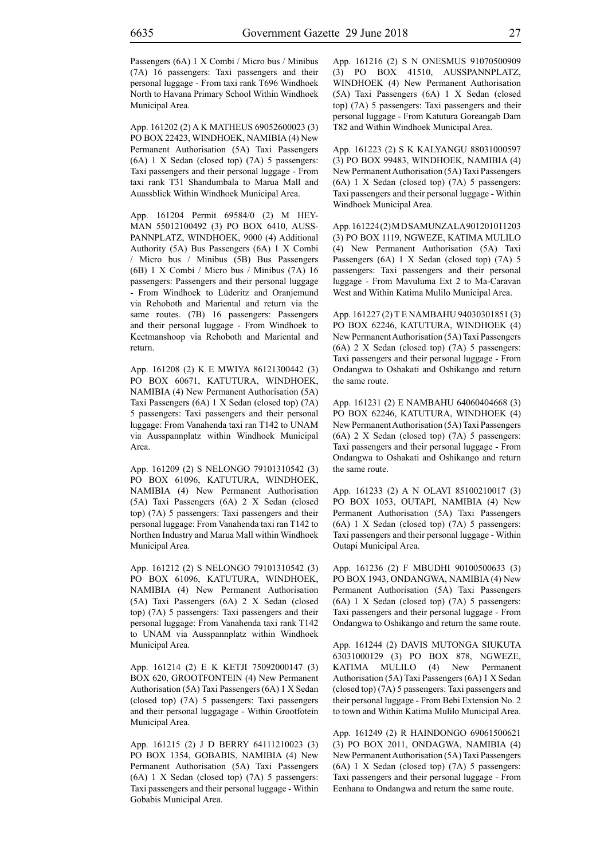App. 161202 (2) A K MATHEUS 69052600023 (3) PO BOX 22423, WINDHOEK, NAMIBIA (4) New Permanent Authorisation (5A) Taxi Passengers (6A) 1 X Sedan (closed top) (7A) 5 passengers: Taxi passengers and their personal luggage - From taxi rank T31 Shandumbala to Marua Mall and Auassblick Within Windhoek Municipal Area.

App. 161204 Permit 69584/0 (2) M HEY-MAN 55012100492 (3) PO BOX 6410, AUSS-PANNPLATZ, WINDHOEK, 9000 (4) Additional Authority (5A) Bus Passengers (6A) 1 X Combi / Micro bus / Minibus (5B) Bus Passengers (6B) 1 X Combi / Micro bus / Minibus (7A) 16 passengers: Passengers and their personal luggage - From Windhoek to Lüderitz and Oranjemund via Rehoboth and Mariental and return via the same routes. (7B) 16 passengers: Passengers and their personal luggage - From Windhoek to Keetmanshoop via Rehoboth and Mariental and return.

App. 161208 (2) K E MWIYA 86121300442 (3) PO BOX 60671, KATUTURA, WINDHOEK, NAMIBIA (4) New Permanent Authorisation (5A) Taxi Passengers (6A) 1 X Sedan (closed top) (7A) 5 passengers: Taxi passengers and their personal luggage: From Vanahenda taxi ran T142 to UNAM via Ausspannplatz within Windhoek Municipal Area.

App. 161209 (2) S NELONGO 79101310542 (3) PO BOX 61096, KATUTURA, WINDHOEK, NAMIBIA (4) New Permanent Authorisation (5A) Taxi Passengers (6A) 2 X Sedan (closed top) (7A) 5 passengers: Taxi passengers and their personal luggage: From Vanahenda taxi ran T142 to Northen Industry and Marua Mall within Windhoek Municipal Area.

App. 161212 (2) S NELONGO 79101310542 (3) PO BOX 61096, KATUTURA, WINDHOEK, NAMIBIA (4) New Permanent Authorisation (5A) Taxi Passengers (6A) 2 X Sedan (closed top) (7A) 5 passengers: Taxi passengers and their personal luggage: From Vanahenda taxi rank T142 to UNAM via Ausspannplatz within Windhoek Municipal Area.

App. 161214 (2) E K KETJI 75092000147 (3) BOX 620, GROOTFONTEIN (4) New Permanent Authorisation (5A) Taxi Passengers (6A) 1 X Sedan (closed top) (7A) 5 passengers: Taxi passengers and their personal luggagage - Within Grootfotein Municipal Area.

App. 161215 (2) J D BERRY 64111210023 (3) PO BOX 1354, GOBABIS, NAMIBIA (4) New Permanent Authorisation (5A) Taxi Passengers (6A) 1 X Sedan (closed top) (7A) 5 passengers: Taxi passengers and their personal luggage - Within Gobabis Municipal Area.

App. 161216 (2) S N ONESMUS 91070500909 (3) PO BOX 41510, AUSSPANNPLATZ, WINDHOEK (4) New Permanent Authorisation (5A) Taxi Passengers (6A) 1 X Sedan (closed top) (7A) 5 passengers: Taxi passengers and their personal luggage - From Katutura Goreangab Dam T82 and Within Windhoek Municipal Area.

App. 161223 (2) S K KALYANGU 88031000597 (3) PO BOX 99483, WINDHOEK, NAMIBIA (4) New Permanent Authorisation (5A) Taxi Passengers (6A) 1 X Sedan (closed top) (7A) 5 passengers: Taxi passengers and their personal luggage - Within Windhoek Municipal Area.

App. 161224 (2) M D SAMUNZALA 901201011203 (3) PO BOX 1119, NGWEZE, KATIMA MULILO (4) New Permanent Authorisation (5A) Taxi Passengers (6A) 1 X Sedan (closed top) (7A) 5 passengers: Taxi passengers and their personal luggage - From Mavuluma Ext 2 to Ma-Caravan West and Within Katima Mulilo Municipal Area.

App. 161227 (2) T E NAMBAHU 94030301851 (3) PO BOX 62246, KATUTURA, WINDHOEK (4) New Permanent Authorisation (5A) Taxi Passengers (6A) 2 X Sedan (closed top) (7A) 5 passengers: Taxi passengers and their personal luggage - From Ondangwa to Oshakati and Oshikango and return the same route.

App. 161231 (2) E NAMBAHU 64060404668 (3) PO BOX 62246, KATUTURA, WINDHOEK (4) New Permanent Authorisation (5A) Taxi Passengers (6A) 2 X Sedan (closed top) (7A) 5 passengers: Taxi passengers and their personal luggage - From Ondangwa to Oshakati and Oshikango and return the same route.

App. 161233 (2) A N OLAVI 85100210017 (3) PO BOX 1053, OUTAPI, NAMIBIA (4) New Permanent Authorisation (5A) Taxi Passengers (6A) 1 X Sedan (closed top) (7A) 5 passengers: Taxi passengers and their personal luggage - Within Outapi Municipal Area.

App. 161236 (2) F MBUDHI 90100500633 (3) PO BOX 1943, ONDANGWA, NAMIBIA (4) New Permanent Authorisation (5A) Taxi Passengers (6A) 1 X Sedan (closed top) (7A) 5 passengers: Taxi passengers and their personal luggage - From Ondangwa to Oshikango and return the same route.

App. 161244 (2) DAVIS MUTONGA SIUKUTA 63031000129 (3) PO BOX 878, NGWEZE, KATIMA MULILO (4) New Permanent Authorisation (5A) Taxi Passengers (6A) 1 X Sedan (closed top) (7A) 5 passengers: Taxi passengers and their personal luggage - From Bebi Extension No. 2 to town and Within Katima Mulilo Municipal Area.

App. 161249 (2) R HAINDONGO 69061500621 (3) PO BOX 2011, ONDAGWA, NAMIBIA (4) New Permanent Authorisation (5A) Taxi Passengers (6A) 1 X Sedan (closed top) (7A) 5 passengers: Taxi passengers and their personal luggage - From Eenhana to Ondangwa and return the same route.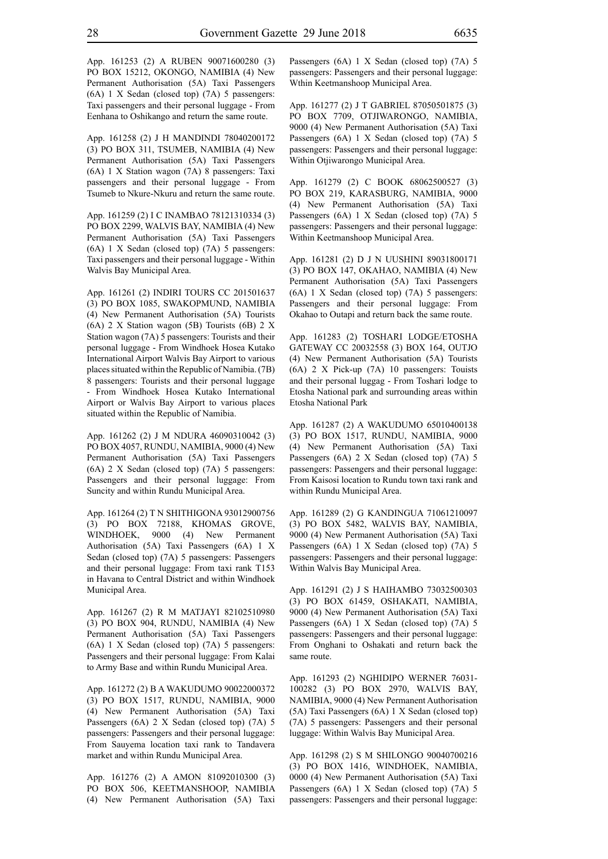App. 161253 (2) A RUBEN 90071600280 (3) PO BOX 15212, OKONGO, NAMIBIA (4) New Permanent Authorisation (5A) Taxi Passengers (6A) 1 X Sedan (closed top) (7A) 5 passengers: Taxi passengers and their personal luggage - From Eenhana to Oshikango and return the same route.

App. 161258 (2) J H MANDINDI 78040200172 (3) PO BOX 311, TSUMEB, NAMIBIA (4) New Permanent Authorisation (5A) Taxi Passengers (6A) 1 X Station wagon (7A) 8 passengers: Taxi passengers and their personal luggage - From Tsumeb to Nkure-Nkuru and return the same route.

App. 161259 (2) I C INAMBAO 78121310334 (3) PO BOX 2299, WALVIS BAY, NAMIBIA (4) New Permanent Authorisation (5A) Taxi Passengers (6A) 1 X Sedan (closed top) (7A) 5 passengers: Taxi passengers and their personal luggage - Within Walvis Bay Municipal Area.

App. 161261 (2) INDIRI TOURS CC 201501637 (3) PO BOX 1085, SWAKOPMUND, NAMIBIA (4) New Permanent Authorisation (5A) Tourists (6A) 2 X Station wagon (5B) Tourists (6B) 2 X Station wagon (7A) 5 passengers: Tourists and their personal luggage - From Windhoek Hosea Kutako International Airport Walvis Bay Airport to various places situated within the Republic of Namibia. (7B) 8 passengers: Tourists and their personal luggage - From Windhoek Hosea Kutako International Airport or Walvis Bay Airport to various places situated within the Republic of Namibia.

App. 161262 (2) J M NDURA 46090310042 (3) PO BOX 4057, RUNDU, NAMIBIA, 9000 (4) New Permanent Authorisation (5A) Taxi Passengers (6A) 2 X Sedan (closed top) (7A) 5 passengers: Passengers and their personal luggage: From Suncity and within Rundu Municipal Area.

App. 161264 (2) T N SHITHIGONA 93012900756 (3) PO BOX 72188, KHOMAS GROVE, WINDHOEK, 9000 (4) New Permanent Authorisation (5A) Taxi Passengers (6A) 1 X Sedan (closed top) (7A) 5 passengers: Passengers and their personal luggage: From taxi rank T153 in Havana to Central District and within Windhoek Municipal Area.

App. 161267 (2) R M MATJAYI 82102510980 (3) PO BOX 904, RUNDU, NAMIBIA (4) New Permanent Authorisation (5A) Taxi Passengers (6A) 1 X Sedan (closed top) (7A) 5 passengers: Passengers and their personal luggage: From Kalai to Army Base and within Rundu Municipal Area.

App. 161272 (2) B A WAKUDUMO 90022000372 (3) PO BOX 1517, RUNDU, NAMIBIA, 9000 (4) New Permanent Authorisation (5A) Taxi Passengers (6A) 2 X Sedan (closed top) (7A) 5 passengers: Passengers and their personal luggage: From Sauyema location taxi rank to Tandavera market and within Rundu Municipal Area.

App. 161276 (2) A AMON 81092010300 (3) PO BOX 506, KEETMANSHOOP, NAMIBIA (4) New Permanent Authorisation (5A) Taxi Passengers (6A) 1 X Sedan (closed top) (7A) 5 passengers: Passengers and their personal luggage: Wthin Keetmanshoop Municipal Area.

App. 161277 (2) J T GABRIEL 87050501875 (3) PO BOX 7709, OTJIWARONGO, NAMIBIA, 9000 (4) New Permanent Authorisation (5A) Taxi Passengers (6A) 1 X Sedan (closed top) (7A) 5 passengers: Passengers and their personal luggage: Within Otjiwarongo Municipal Area.

App. 161279 (2) C BOOK 68062500527 (3) PO BOX 219, KARASBURG, NAMIBIA, 9000 (4) New Permanent Authorisation (5A) Taxi Passengers (6A) 1 X Sedan (closed top) (7A) 5 passengers: Passengers and their personal luggage: Within Keetmanshoop Municipal Area.

App. 161281 (2) D J N UUSHINI 89031800171 (3) PO BOX 147, OKAHAO, NAMIBIA (4) New Permanent Authorisation (5A) Taxi Passengers (6A) 1 X Sedan (closed top) (7A) 5 passengers: Passengers and their personal luggage: From Okahao to Outapi and return back the same route.

App. 161283 (2) TOSHARI LODGE/ETOSHA GATEWAY CC 20032558 (3) BOX 164, OUTJO (4) New Permanent Authorisation (5A) Tourists (6A) 2 X Pick-up (7A) 10 passengers: Touists and their personal luggag - From Toshari lodge to Etosha National park and surrounding areas within Etosha National Park

App. 161287 (2) A WAKUDUMO 65010400138 (3) PO BOX 1517, RUNDU, NAMIBIA, 9000 (4) New Permanent Authorisation (5A) Taxi Passengers (6A) 2 X Sedan (closed top) (7A) 5 passengers: Passengers and their personal luggage: From Kaisosi location to Rundu town taxi rank and within Rundu Municipal Area.

App. 161289 (2) G KANDINGUA 71061210097 (3) PO BOX 5482, WALVIS BAY, NAMIBIA, 9000 (4) New Permanent Authorisation (5A) Taxi Passengers (6A) 1 X Sedan (closed top) (7A) 5 passengers: Passengers and their personal luggage: Within Walvis Bay Municipal Area.

App. 161291 (2) J S HAIHAMBO 73032500303 (3) PO BOX 61459, OSHAKATI, NAMIBIA, 9000 (4) New Permanent Authorisation (5A) Taxi Passengers (6A) 1 X Sedan (closed top) (7A) 5 passengers: Passengers and their personal luggage: From Onghani to Oshakati and return back the same route.

App. 161293 (2) NGHIDIPO WERNER 76031- 100282 (3) PO BOX 2970, WALVIS BAY, NAMIBIA, 9000 (4) New Permanent Authorisation (5A) Taxi Passengers (6A) 1 X Sedan (closed top) (7A) 5 passengers: Passengers and their personal luggage: Within Walvis Bay Municipal Area.

App. 161298 (2) S M SHILONGO 90040700216 (3) PO BOX 1416, WINDHOEK, NAMIBIA, 0000 (4) New Permanent Authorisation (5A) Taxi Passengers (6A) 1 X Sedan (closed top) (7A) 5 passengers: Passengers and their personal luggage: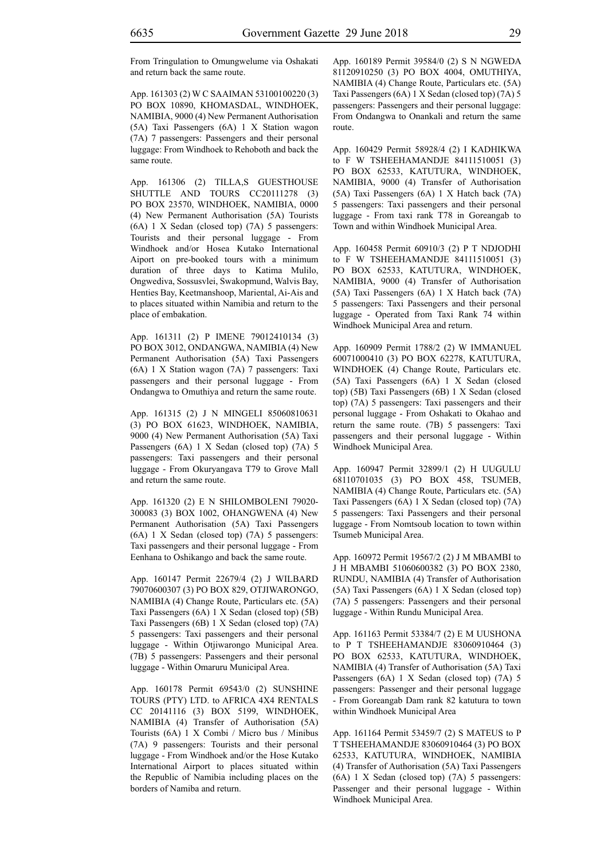From Tringulation to Omungwelume via Oshakati and return back the same route.

App. 161303 (2) W C SAAIMAN 53100100220 (3) PO BOX 10890, KHOMASDAL, WINDHOEK, NAMIBIA, 9000 (4) New Permanent Authorisation (5A) Taxi Passengers (6A) 1 X Station wagon (7A) 7 passengers: Passengers and their personal luggage: From Windhoek to Rehoboth and back the same route.

App. 161306 (2) TILLA,S GUESTHOUSE SHUTTLE AND TOURS CC20111278 (3) PO BOX 23570, WINDHOEK, NAMIBIA, 0000 (4) New Permanent Authorisation (5A) Tourists (6A) 1 X Sedan (closed top) (7A) 5 passengers: Tourists and their personal luggage - From Windhoek and/or Hosea Kutako International Aiport on pre-booked tours with a minimum duration of three days to Katima Mulilo, Ongwediva, Sossusvlei, Swakopmund, Walvis Bay, Henties Bay, Keetmanshoop, Mariental, Ai-Ais and to places situated within Namibia and return to the place of embakation.

App. 161311 (2) P IMENE 79012410134 (3) PO BOX 3012, ONDANGWA, NAMIBIA (4) New Permanent Authorisation (5A) Taxi Passengers (6A) 1 X Station wagon (7A) 7 passengers: Taxi passengers and their personal luggage - From Ondangwa to Omuthiya and return the same route.

App. 161315 (2) J N MINGELI 85060810631 (3) PO BOX 61623, WINDHOEK, NAMIBIA, 9000 (4) New Permanent Authorisation (5A) Taxi Passengers (6A) 1 X Sedan (closed top) (7A) 5 passengers: Taxi passengers and their personal luggage - From Okuryangava T79 to Grove Mall and return the same route.

App. 161320 (2) E N SHILOMBOLENI 79020- 300083 (3) BOX 1002, OHANGWENA (4) New Permanent Authorisation (5A) Taxi Passengers (6A) 1 X Sedan (closed top) (7A) 5 passengers: Taxi passengers and their personal luggage - From Eenhana to Oshikango and back the same route.

App. 160147 Permit 22679/4 (2) J WILBARD 79070600307 (3) PO BOX 829, OTJIWARONGO, NAMIBIA (4) Change Route, Particulars etc. (5A) Taxi Passengers (6A) 1 X Sedan (closed top) (5B) Taxi Passengers (6B) 1 X Sedan (closed top) (7A) 5 passengers: Taxi passengers and their personal luggage - Within Otjiwarongo Municipal Area. (7B) 5 passengers: Passengers and their personal luggage - Within Omaruru Municipal Area.

App. 160178 Permit 69543/0 (2) SUNSHINE TOURS (PTY) LTD. to AFRICA 4X4 RENTALS CC 20141116 (3) BOX 5199, WINDHOEK, NAMIBIA (4) Transfer of Authorisation (5A) Tourists (6A) 1 X Combi / Micro bus / Minibus (7A) 9 passengers: Tourists and their personal luggage - From Windhoek and/or the Hose Kutako International Airport to places situated within the Republic of Namibia including places on the borders of Namiba and return.

App. 160189 Permit 39584/0 (2) S N NGWEDA 81120910250 (3) PO BOX 4004, OMUTHIYA, NAMIBIA (4) Change Route, Particulars etc. (5A) Taxi Passengers (6A) 1 X Sedan (closed top) (7A) 5 passengers: Passengers and their personal luggage: From Ondangwa to Onankali and return the same route.

App. 160429 Permit 58928/4 (2) I KADHIKWA to F W TSHEEHAMANDJE 84111510051 (3) PO BOX 62533, KATUTURA, WINDHOEK, NAMIBIA, 9000 (4) Transfer of Authorisation (5A) Taxi Passengers (6A) 1 X Hatch back (7A) 5 passengers: Taxi passengers and their personal luggage - From taxi rank T78 in Goreangab to Town and within Windhoek Municipal Area.

App. 160458 Permit 60910/3 (2) P T NDJODHI to F W TSHEEHAMANDJE 84111510051 (3) PO BOX 62533, KATUTURA, WINDHOEK, NAMIBIA, 9000 (4) Transfer of Authorisation (5A) Taxi Passengers (6A) 1 X Hatch back (7A) 5 passengers: Taxi Passengers and their personal luggage - Operated from Taxi Rank 74 within Windhoek Municipal Area and return.

App. 160909 Permit 1788/2 (2) W IMMANUEL 60071000410 (3) PO BOX 62278, KATUTURA, WINDHOEK (4) Change Route, Particulars etc. (5A) Taxi Passengers (6A) 1 X Sedan (closed top) (5B) Taxi Passengers (6B) 1 X Sedan (closed top) (7A) 5 passengers: Taxi passengers and their personal luggage - From Oshakati to Okahao and return the same route. (7B) 5 passengers: Taxi passengers and their personal luggage - Within Windhoek Municipal Area.

App. 160947 Permit 32899/1 (2) H UUGULU 68110701035 (3) PO BOX 458, TSUMEB, NAMIBIA (4) Change Route, Particulars etc. (5A) Taxi Passengers (6A) 1 X Sedan (closed top) (7A) 5 passengers: Taxi Passengers and their personal luggage - From Nomtsoub location to town within Tsumeb Municipal Area.

App. 160972 Permit 19567/2 (2) J M MBAMBI to J H MBAMBI 51060600382 (3) PO BOX 2380, RUNDU, NAMIBIA (4) Transfer of Authorisation (5A) Taxi Passengers (6A) 1 X Sedan (closed top) (7A) 5 passengers: Passengers and their personal luggage - Within Rundu Municipal Area.

App. 161163 Permit 53384/7 (2) E M UUSHONA to P T TSHEEHAMANDJE 83060910464 (3) PO BOX 62533, KATUTURA, WINDHOEK, NAMIBIA (4) Transfer of Authorisation (5A) Taxi Passengers (6A) 1 X Sedan (closed top) (7A) 5 passengers: Passenger and their personal luggage - From Goreangab Dam rank 82 katutura to town within Windhoek Municipal Area

App. 161164 Permit 53459/7 (2) S MATEUS to P T TSHEEHAMANDJE 83060910464 (3) PO BOX 62533, KATUTURA, WINDHOEK, NAMIBIA (4) Transfer of Authorisation (5A) Taxi Passengers (6A) 1 X Sedan (closed top) (7A) 5 passengers: Passenger and their personal luggage - Within Windhoek Municipal Area.